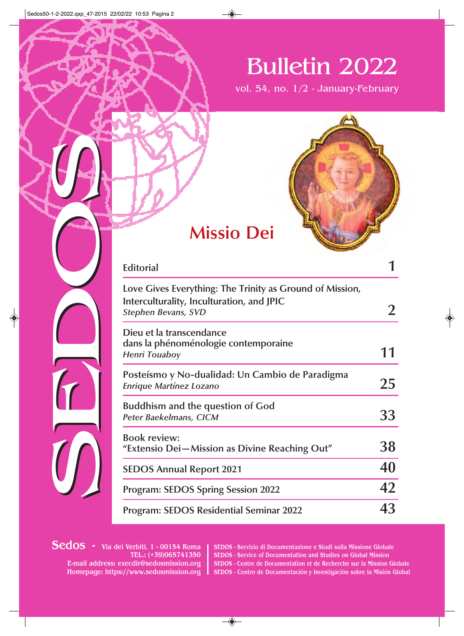# Bulletin 2022

vol. 54, no. 1/2 - January-February



| <b>Missio Dei</b>                                                                                                                   |                |
|-------------------------------------------------------------------------------------------------------------------------------------|----------------|
| <b>Editorial</b>                                                                                                                    |                |
| Love Gives Everything: The Trinity as Ground of Mission,<br>Interculturality, Inculturation, and JPIC<br><b>Stephen Bevans, SVD</b> | $\overline{2}$ |
| Dieu et la transcendance<br>dans la phénoménologie contemporaine<br><b>Henri Touaboy</b>                                            | 11             |
| Posteísmo y No-dualidad: Un Cambio de Paradigma<br><b>Enrique Martínez Lozano</b>                                                   | 25             |
| <b>Buddhism and the question of God</b><br>Peter Baekelmans, CICM                                                                   | 33             |
| <b>Book review:</b><br>"Extensio Dei-Mission as Divine Reaching Out"                                                                | 38             |
| <b>SEDOS Annual Report 2021</b>                                                                                                     | 40             |
| <b>Program: SEDOS Spring Session 2022</b>                                                                                           | 42             |
| <b>Program: SEDOS Residential Seminar 2022</b>                                                                                      | 43             |

Sedos - Via dei Verbiti, 1 - 00154 Roma TEL.: (+39)065741350 E-mail address: execdir@sedosmission.org Homepage: https://www.sedosmission.org

SEDOS - Servizio di Documentazione e Studi sulla Missione Globale SEDOS - Service of Documentation and Studies on Global Mission SEDOS - Centre de Documentation et de Recherche sur la Mission Globale SEDOS - Centro de Documentación y Investigación sobre la Misión Global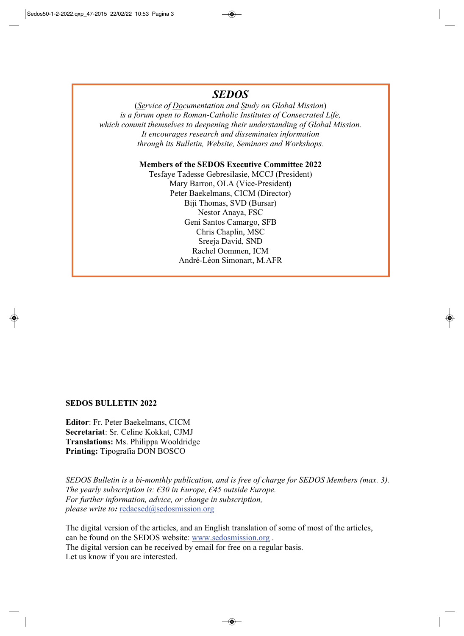## **SEDOS**

(Service of Documentation and Study on Global Mission) is a forum open to Roman-Catholic Institutes of Consecrated Life. which commit themselves to deepening their understanding of Global Mission. It encourages research and disseminates information through its Bulletin, Website, Seminars and Workshops.

#### Members of the SEDOS Executive Committee 2022

Tesfaye Tadesse Gebresilasie, MCCJ (President) Mary Barron, OLA (Vice-President) Peter Baekelmans, CICM (Director) Biji Thomas, SVD (Bursar) Nestor Anaya, FSC Geni Santos Camargo, SFB Chris Chaplin, MSC Sreeja David, SND Rachel Oommen, ICM André-Léon Simonart, M.AFR

#### **SEDOS BULLETIN 2022**

Editor: Fr. Peter Baekelmans, CICM Secretariat: Sr. Celine Kokkat, CJMJ **Translations:** Ms. Philippa Wooldridge **Printing:** Tipografia DON BOSCO

SEDOS Bulletin is a bi-monthly publication, and is free of charge for SEDOS Members (max. 3). The yearly subscription is:  $\epsilon$ 30 in Europe,  $\epsilon$ 45 outside Europe. For further information, advice, or change in subscription, *please write to:* redacsed@sedosmission.org

The digital version of the articles, and an English translation of some of most of the articles, can be found on the SEDOS website: www.sedosmission.org. The digital version can be received by email for free on a regular basis. Let us know if you are interested.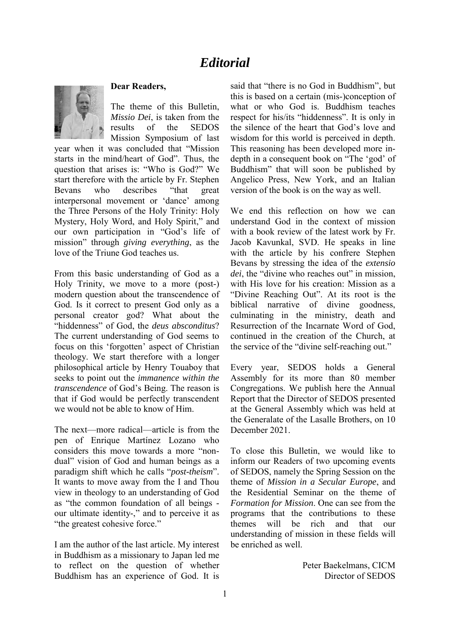# *Editorial*



#### **Dear Readers,**

The theme of this Bulletin, *Missio Dei*, is taken from the results of the SEDOS Mission Symposium of last

year when it was concluded that "Mission starts in the mind/heart of God". Thus, the question that arises is: "Who is God?" We start therefore with the article by Fr. Stephen Bevans who describes "that great interpersonal movement or 'dance' among the Three Persons of the Holy Trinity: Holy Mystery, Holy Word, and Holy Spirit," and our own participation in "God's life of mission" through *giving everything*, as the love of the Triune God teaches us.

From this basic understanding of God as a Holy Trinity, we move to a more (post-) modern question about the transcendence of God. Is it correct to present God only as a personal creator god? What about the "hiddenness" of God, the *deus absconditus*? The current understanding of God seems to focus on this 'forgotten' aspect of Christian theology. We start therefore with a longer philosophical article by Henry Touaboy that seeks to point out the *immanence within the transcendence* of God's Being. The reason is that if God would be perfectly transcendent we would not be able to know of Him.

The next—more radical—article is from the pen of Enrique Martínez Lozano who considers this move towards a more "nondual" vision of God and human beings as a paradigm shift which he calls "*post-theism*". It wants to move away from the I and Thou view in theology to an understanding of God as "the common foundation of all beings our ultimate identity-," and to perceive it as "the greatest cohesive force."

I am the author of the last article. My interest in Buddhism as a missionary to Japan led me to reflect on the question of whether Buddhism has an experience of God. It is

said that "there is no God in Buddhism", but this is based on a certain (mis-)conception of what or who God is. Buddhism teaches respect for his/its "hiddenness". It is only in the silence of the heart that God's love and wisdom for this world is perceived in depth. This reasoning has been developed more indepth in a consequent book on "The 'god' of Buddhism" that will soon be published by Angelico Press, New York, and an Italian version of the book is on the way as well.

We end this reflection on how we can understand God in the context of mission with a book review of the latest work by Fr. Jacob Kavunkal, SVD. He speaks in line with the article by his confrere Stephen Bevans by stressing the idea of the *extensio dei*, the "divine who reaches out" in mission, with His love for his creation: Mission as a "Divine Reaching Out". At its root is the biblical narrative of divine goodness, culminating in the ministry, death and Resurrection of the Incarnate Word of God, continued in the creation of the Church, at the service of the "divine self-reaching out."

Every year, SEDOS holds a General Assembly for its more than 80 member Congregations. We publish here the Annual Report that the Director of SEDOS presented at the General Assembly which was held at the Generalate of the Lasalle Brothers, on 10 December 2021.

To close this Bulletin, we would like to inform our Readers of two upcoming events of SEDOS, namely the Spring Session on the theme of *Mission in a Secular Europe*, and the Residential Seminar on the theme of *Formation for Mission*. One can see from the programs that the contributions to these themes will be rich and that our understanding of mission in these fields will be enriched as well.

> Peter Baekelmans, CICM Director of SEDOS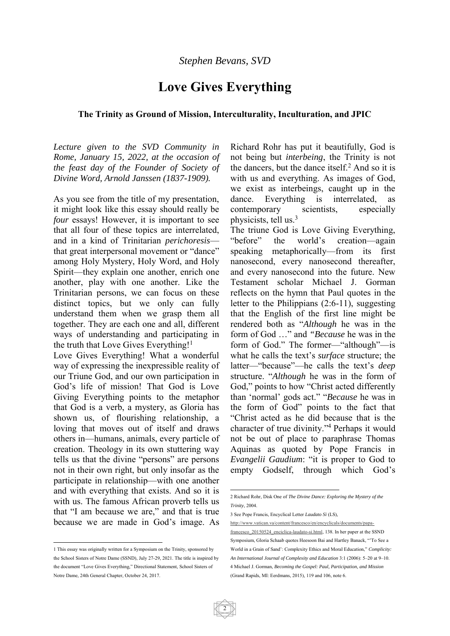# **Love Gives Everything**

#### **The Trinity as Ground of Mission, Interculturality, Inculturation, and JPIC**

*Lecture given to the SVD Community in Rome, January 15, 2022, at the occasion of the feast day of the Founder of Society of Divine Word, Arnold Janssen (1837-1909).* 

As you see from the title of my presentation, it might look like this essay should really be *four* essays! However, it is important to see that all four of these topics are interrelated, and in a kind of Trinitarian *perichoresis* that great interpersonal movement or "dance" among Holy Mystery, Holy Word, and Holy Spirit—they explain one another, enrich one another, play with one another. Like the Trinitarian persons, we can focus on these distinct topics, but we only can fully understand them when we grasp them all together. They are each one and all, different ways of understanding and participating in the truth that Love Gives Everything!<sup>1</sup>

Love Gives Everything! What a wonderful way of expressing the inexpressible reality of our Triune God, and our own participation in God's life of mission! That God is Love Giving Everything points to the metaphor that God is a verb, a mystery, as Gloria has shown us, of flourishing relationship, a loving that moves out of itself and draws others in—humans, animals, every particle of creation. Theology in its own stuttering way tells us that the divine "persons" are persons not in their own right, but only insofar as the participate in relationship—with one another and with everything that exists. And so it is with us. The famous African proverb tells us that "I am because we are," and that is true because we are made in God's image. As Richard Rohr has put it beautifully, God is not being but *interbeing*, the Trinity is not the dancers, but the dance itself.<sup>2</sup> And so it is with us and everything. As images of God, we exist as interbeings, caught up in the dance. Everything is interrelated, as contemporary scientists, especially physicists, tell us.<sup>3</sup>

The triune God is Love Giving Everything, "before" the world's creation—again speaking metaphorically—from its first nanosecond, every nanosecond thereafter, and every nanosecond into the future. New Testament scholar Michael J. Gorman reflects on the hymn that Paul quotes in the letter to the Philippians (2:6-11), suggesting that the English of the first line might be rendered both as "*Although* he was in the form of God …" and *"Because* he was in the form of God." The former—"although"—is what he calls the text's *surface* structure; the latter—"because"—he calls the text's *deep* structure. "*Although* he was in the form of God," points to how "Christ acted differently than 'normal' gods act." "*Because* he was in the form of God" points to the fact that "Christ acted as he did because that is the character of true divinity."<sup>4</sup> Perhaps it would not be out of place to paraphrase Thomas Aquinas as quoted by Pope Francis in *Evangelii Gaudium*: "it is proper to God to empty Godself, through which God's

3 See Pope Francis, Encyclical Letter *Laudato Sì* (LS),

2

<sup>1</sup> This essay was originally written for a Symposium on the Trinity, sponsored by the School Sisters of Notre Dame (SSND), July 27-29, 2021. The title is inspired by the document "Love Gives Everything," Directional Statement, School Sisters of Notre Dame, 24th General Chapter, October 24, 2017.

<sup>1</sup> 2 Richard Rohr, Disk One of *The Divine Dance: Exploring the Mystery of the Trinity*, 2004.

http://www.vatican.va/content/francesco/en/encyclicals/documents/papafrancesco 20150524 enciclica-laudato-si.html, 138. In her paper at the SSND Symposium, Gloria Schaab quotes Heesoon Bai and Hartley Banack, "'To See a World in a Grain of Sand': Complexity Ethics and Moral Education," *Complicity: An International Journal of Complexity and Education* 3:1 (2006): 5–20 at 9–10. 4 Michael J. Gorman, *Becoming the Gospel: Paul, Participation, and Mission* (Grand Rapids, MI: Eerdmans, 2015), 119 and 106, note 6.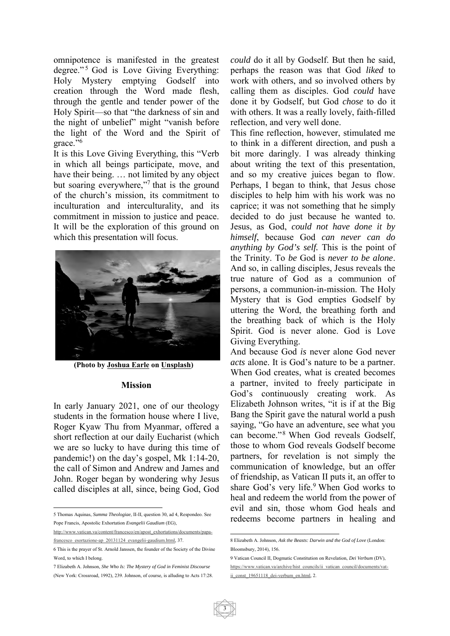omnipotence is manifested in the greatest degree."<sup>5</sup> God is Love Giving Everything: Holy Mystery emptying Godself into creation through the Word made flesh, through the gentle and tender power of the Holy Spirit—so that "the darkness of sin and the night of unbelief" might "vanish before the light of the Word and the Spirit of grace."<sup>6</sup>

It is this Love Giving Everything, this "Verb in which all beings participate, move, and have their being. … not limited by any object but soaring everywhere,"<sup>7</sup> that is the ground of the church's mission, its commitment to inculturation and interculturality, and its commitment in mission to justice and peace. It will be the exploration of this ground on which this presentation will focus.



**(Photo by Joshua Earle on Unsplash)** 

#### **Mission**

In early January 2021, one of our theology students in the formation house where I live, Roger Kyaw Thu from Myanmar, offered a short reflection at our daily Eucharist (which we are so lucky to have during this time of pandemic!) on the day's gospel, Mk 1:14-20, the call of Simon and Andrew and James and John. Roger began by wondering why Jesus called disciples at all, since, being God, God

5 Thomas Aquinas, *Summa Theologiae*, II-II, question 30, ad 4, Respondeo. See Pope Francis, Apostolic Exhortation *Evangelii Gaudium* (EG),

 $\overline{a}$ 

http://www.vatican.va/content/francesco/en/apost\_exhortations/documents/papafrancesco\_esortazione-ap\_20131124\_evangelii-gaudium.html, 37.

7 Elizabeth A. Johnson, *She Who Is: The Mystery of God in Feminist Discourse* (New York: Crossroad, 1992), 239. Johnson, of course, is alluding to Acts 17:28. *could* do it all by Godself. But then he said, perhaps the reason was that God *liked* to work with others, and so involved others by calling them as disciples. God *could* have done it by Godself, but God *chose* to do it with others. It was a really lovely, faith-filled reflection, and very well done.

This fine reflection, however, stimulated me to think in a different direction, and push a bit more daringly. I was already thinking about writing the text of this presentation, and so my creative juices began to flow. Perhaps, I began to think, that Jesus chose disciples to help him with his work was no caprice; it was not something that he simply decided to do just because he wanted to. Jesus, as God, *could not have done it by himself*, because God *can never can do anything by God's self.* This is the point of the Trinity. To *be* God is *never to be alone*. And so, in calling disciples, Jesus reveals the true nature of God as a communion of persons, a communion-in-mission. The Holy Mystery that is God empties Godself by uttering the Word, the breathing forth and the breathing back of which is the Holy Spirit. God is never alone. God is Love Giving Everything.

And because God *is* never alone God never *acts* alone. It is God's nature to be a partner. When God creates, what is created becomes a partner, invited to freely participate in God's continuously creating work. As Elizabeth Johnson writes, "it is if at the Big Bang the Spirit gave the natural world a push saying, "Go have an adventure, see what you can become."<sup>8</sup> When God reveals Godself, those to whom God reveals Godself become partners, for revelation is not simply the communication of knowledge, but an offer of friendship, as Vatican II puts it, an offer to share God's very life.<sup>9</sup> When God works to heal and redeem the world from the power of evil and sin, those whom God heals and redeems become partners in healing and

<sup>6</sup> This is the prayer of St. Arnold Janssen, the founder of the Society of the Divine Word, to which I belong.

 8 Elizabeth A. Johnson, *Ask the Beasts: Darwin and the God of Love* (London: Bloomsbury, 2014), 156.

<sup>9</sup> Vatican Council II, Dogmatic Constitution on Revelation, *Dei Verbum* (DV), https://www.vatican.va/archive/hist\_councils/ii\_vatican\_council/documents/vatii const 19651118 dei-verbum en.html, 2.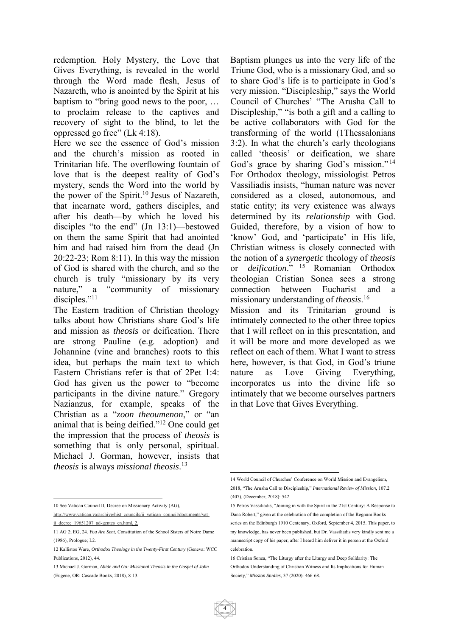redemption. Holy Mystery, the Love that Gives Everything, is revealed in the world through the Word made flesh, Jesus of Nazareth, who is anointed by the Spirit at his baptism to "bring good news to the poor, … to proclaim release to the captives and recovery of sight to the blind, to let the oppressed go free" (Lk 4:18).

Here we see the essence of God's mission and the church's mission as rooted in Trinitarian life. The overflowing fountain of love that is the deepest reality of God's mystery, sends the Word into the world by the power of the Spirit.<sup>10</sup> Jesus of Nazareth, that incarnate word, gathers disciples, and after his death—by which he loved his disciples "to the end" (Jn 13:1)—bestowed on them the same Spirit that had anointed him and had raised him from the dead (Jn 20:22-23; Rom 8:11). In this way the mission of God is shared with the church, and so the church is truly "missionary by its very nature," a "community of missionary disciples."<sup>11</sup>

The Eastern tradition of Christian theology talks about how Christians share God's life and mission as *theosis* or deification. There are strong Pauline (e.g. adoption) and Johannine (vine and branches) roots to this idea, but perhaps the main text to which Eastern Christians refer is that of 2Pet 1:4: God has given us the power to "become participants in the divine nature." Gregory Nazianzus, for example, speaks of the Christian as a "*zoon theoumenon*," or "an animal that is being deified."12 One could get the impression that the process of *theosis* is something that is only personal, spiritual. Michael J. Gorman, however, insists that *theosis* is always *missional theosis*. 13

 $\overline{a}$ 10 See Vatican Council II, Decree on Missionary Activity (AG),

http://www.vatican.va/archive/hist\_councils/ii\_vatican\_council/documents/vatii decree 19651207 ad-gentes en.html, 2.

Baptism plunges us into the very life of the Triune God, who is a missionary God, and so to share God's life is to participate in God's very mission. "Discipleship," says the World Council of Churches' "The Arusha Call to Discipleship," "is both a gift and a calling to be active collaborators with God for the transforming of the world (1Thessalonians 3:2). In what the church's early theologians called 'theosis' or deification, we share God's grace by sharing God's mission."<sup>14</sup> For Orthodox theology, missiologist Petros Vassiliadis insists, "human nature was never considered as a closed, autonomous, and static entity; its very existence was always determined by its *relationship* with God. Guided, therefore, by a vision of how to 'know' God, and 'participate' in His life, Christian witness is closely connected with the notion of a *synergetic* theology of *theosis* or *deification*." 15 Romanian Orthodox theologian Cristian Sonea sees a strong connection between Eucharist and a missionary understanding of *theosis*. 16

Mission and its Trinitarian ground is intimately connected to the other three topics that I will reflect on in this presentation, and it will be more and more developed as we reflect on each of them. What I want to stress here, however, is that God, in God's triune nature as Love Giving Everything, incorporates us into the divine life so intimately that we become ourselves partners in that Love that Gives Everything.

<sup>11</sup> AG 2; EG, 24. *You Are Sent*, Constitution of the School Sisters of Notre Dame (1986), Prologue; I.2.

<sup>12</sup> Kallistos Ware, *Orthodox Theology in the Twenty-First Century* (Geneva: WCC Publications, 2012), 44

<sup>13</sup> Michael J. Gorman, *Abide and Go: Missional Theosis in the Gospel of John* (Eugene, OR: Cascade Books, 2018), 8-13.

<sup>1</sup> 14 World Council of Churches' Conference on World Mission and Evangelism, 2018, "The Arusha Call to Discipleship," *International Review of Mission*, 107.2 (407), (December, 2018): 542.

<sup>15</sup> Petros Vassiliadis, "Joining in with the Spirit in the 21st Century: A Response to Dana Robert," given at the celebration of the completion of the Regnum Books series on the Edinburgh 1910 Centenary, Oxford, September 4, 2015. This paper, to my knowledge, has never been published, but Dr. Vassiliadis very kindly sent me a manuscript copy of his paper, after I heard him deliver it in person at the Oxford celebration.

<sup>16</sup> Cristian Sonea, "The Liturgy after the Liturgy and Deep Solidarity: The Orthodox Understanding of Christian Witness and Its Implications for Human Society," *Mission Studies*, 37 (2020): 466-68.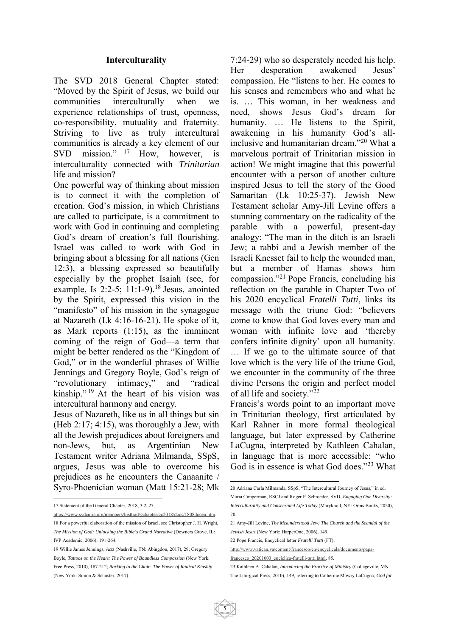#### **Interculturality**

The SVD 2018 General Chapter stated: "Moved by the Spirit of Jesus, we build our communities interculturally when we experience relationships of trust, openness, co-responsibility, mutuality and fraternity. Striving to live as truly intercultural communities is already a key element of our SVD mission." <sup>17</sup> How, however, is interculturality connected with *Trinitarian* life and mission?

One powerful way of thinking about mission is to connect it with the completion of creation. God's mission, in which Christians are called to participate, is a commitment to work with God in continuing and completing God's dream of creation's full flourishing. Israel was called to work with God in bringing about a blessing for all nations (Gen 12:3), a blessing expressed so beautifully especially by the prophet Isaiah (see, for example, Is 2:2-5;  $11:1-9$ .<sup>18</sup> Jesus, anointed by the Spirit, expressed this vision in the "manifesto" of his mission in the synagogue at Nazareth (Lk 4:16-16-21). He spoke of it, as Mark reports (1:15), as the imminent coming of the reign of God—a term that might be better rendered as the "Kingdom of God," or in the wonderful phrases of Willie Jennings and Gregory Boyle, God's reign of "revolutionary intimacy," and "radical kinship." 19 At the heart of his vision was intercultural harmony and energy.

Jesus of Nazareth, like us in all things but sin (Heb 2:17; 4:15), was thoroughly a Jew, with all the Jewish prejudices about foreigners and non-Jews, but, as Argentinian New Testament writer Adriana Milmanda, SSpS, argues, Jesus was able to overcome his prejudices as he encounters the Canaanite / Syro-Phoenician woman (Matt 15:21-28; Mk

 $\overline{a}$ 

7:24-29) who so desperately needed his help. Her desperation awakened Jesus' compassion. He "listens to her. He comes to his senses and remembers who and what he is. … This woman, in her weakness and need, shows Jesus God's dream for humanity. ... He listens to the Spirit, awakening in his humanity God's allinclusive and humanitarian dream."20 What a marvelous portrait of Trinitarian mission in action! We might imagine that this powerful encounter with a person of another culture inspired Jesus to tell the story of the Good Samaritan (Lk 10:25-37). Jewish New Testament scholar Amy-Jill Levine offers a stunning commentary on the radicality of the parable with a powerful, present-day analogy: "The man in the ditch is an Israeli Jew; a rabbi and a Jewish member of the Israeli Knesset fail to help the wounded man, but a member of Hamas shows him compassion."21 Pope Francis, concluding his reflection on the parable in Chapter Two of his 2020 encyclical *Fratelli Tutti*, links its message with the triune God: "believers come to know that God loves every man and woman with infinite love and 'thereby confers infinite dignity' upon all humanity. … If we go to the ultimate source of that love which is the very life of the triune God, we encounter in the community of the three divine Persons the origin and perfect model of all life and society."<sup>22</sup>

Francis's words point to an important move in Trinitarian theology, first articulated by Karl Rahner in more formal theological language, but later expressed by Catherine LaCugna, interpreted by Kathleen Cahalan, in language that is more accessible: "who God is in essence is what God does."<sup>23</sup> What

<sup>17</sup> Statement of the General Chapter, 2018, 3.2, 27,

https://www.svdcuria.org/members/histtrad/gchapter/gc2018/docs/1808docen.htm. 18 For a powerful elaboration of the mission of Israel, see Christopher J. H. Wright, *The Mission of God: Unlocking the Bible's Grand Narrative* (Downers Grove, IL: IVP Academic, 2006), 191-264.

<sup>19</sup> Willie James Jennings, *Acts* (Nashville, TN: Abingdon, 2017), 29; Gregory Boyle, *Tattoos on the Heart: The Power of Boundless Compassion* (New York: Free Press, 2010), 187-212; *Barking to the Choir: The Power of Radical Kinship* (New York: Simon & Schuster, 2017).

<sup>1</sup> 20 Adriana Carla Milmanda, SSpS, "The Intercultural Journey of Jesus," in ed. Maria Cimperman, RSCJ and Roger P. Schroeder, SVD, *Engaging Our Diversity: Interculturality and Consecrated Life Today* (Maryknoll, NY: Orbis Books, 2020),

<sup>70.</sup> 

<sup>21</sup> Amy-Jill Levine, *The Misunderstood Jew: The Church and the Scandal of the Jewish Jesus* (New York: HarperOne, 2006), 149.

<sup>22</sup> Pope Francis, Encyclical letter *Fratelli Tutti* (FT),

http://www.vatican.va/content/francesco/en/encyclicals/documents/papafrancesco\_20201003\_enciclica-fratelli-tutti.html, 85.

<sup>23</sup> Kathleen A. Cahalan, *Introducing the Practice of Ministry* (Collegeville, MN: The Liturgical Press, 2010), 149, referring to Catherine Mowry LaCugna, *God for*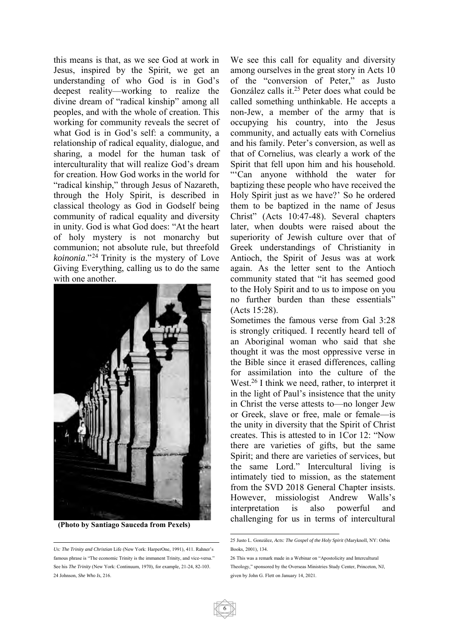this means is that, as we see God at work in Jesus, inspired by the Spirit, we get an understanding of who God is in God's deepest reality—working to realize the divine dream of "radical kinship" among all peoples, and with the whole of creation. This working for community reveals the secret of what God is in God's self: a community, a relationship of radical equality, dialogue, and sharing, a model for the human task of interculturality that will realize God's dream for creation. How God works in the world for "radical kinship," through Jesus of Nazareth, through the Holy Spirit, is described in classical theology as God in Godself being community of radical equality and diversity in unity. God is what God does: "At the heart of holy mystery is not monarchy but communion; not absolute rule, but threefold *koinonia*."24 Trinity is the mystery of Love Giving Everything, calling us to do the same with one another.



 **(Photo by Santiago Sauceda from Pexels)**

We see this call for equality and diversity among ourselves in the great story in Acts 10 of the "conversion of Peter," as Justo González calls it.25 Peter does what could be called something unthinkable. He accepts a non-Jew, a member of the army that is occupying his country, into the Jesus community, and actually eats with Cornelius and his family. Peter's conversion, as well as that of Cornelius, was clearly a work of the Spirit that fell upon him and his household. "'Can anyone withhold the water for baptizing these people who have received the Holy Spirit just as we have?' So he ordered them to be baptized in the name of Jesus Christ" (Acts 10:47-48). Several chapters later, when doubts were raised about the superiority of Jewish culture over that of Greek understandings of Christianity in Antioch, the Spirit of Jesus was at work again. As the letter sent to the Antioch community stated that "it has seemed good to the Holy Spirit and to us to impose on you no further burden than these essentials" (Acts 15:28).

Sometimes the famous verse from Gal 3:28 is strongly critiqued. I recently heard tell of an Aboriginal woman who said that she thought it was the most oppressive verse in the Bible since it erased differences, calling for assimilation into the culture of the West.<sup>26</sup> I think we need, rather, to interpret it in the light of Paul's insistence that the unity in Christ the verse attests to—no longer Jew or Greek, slave or free, male or female—is the unity in diversity that the Spirit of Christ creates. This is attested to in 1Cor 12: "Now there are varieties of gifts, but the same Spirit; and there are varieties of services, but the same Lord." Intercultural living is intimately tied to mission, as the statement from the SVD 2018 General Chapter insists. However, missiologist Andrew Walls's interpretation is also powerful and challenging for us in terms of intercultural

 *Us: The Trinity and Christian* Life (New York: HarperOne, 1991), 411. Rahner's famous phrase is "The economic Trinity is the immanent Trinity, and vice-versa." See his *The Trinity* (New York: Continuum, 1970), for example, 21-24, 82-103. 24 Johnson, *She Who Is*, 216.

 25 Justo L. González, *Acts: The Gospel of the Holy Spirit* (Maryknoll, NY: Orbis Books, 2001), 134.

<sup>26</sup> This was a remark made in a Webinar on "Apostolicity and Intercultural Theology," sponsored by the Overseas Ministries Study Center, Princeton, NJ, given by John G. Flett on January 14, 2021.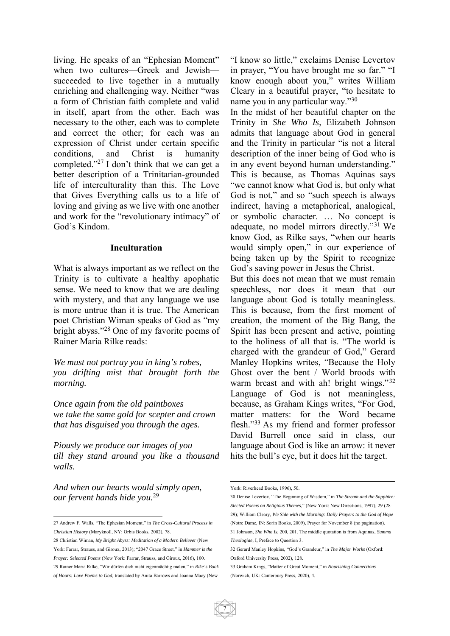living. He speaks of an "Ephesian Moment" when two cultures—Greek and Jewish succeeded to live together in a mutually enriching and challenging way. Neither "was a form of Christian faith complete and valid in itself, apart from the other. Each was necessary to the other, each was to complete and correct the other; for each was an expression of Christ under certain specific conditions, and Christ is humanity completed."27 I don't think that we can get a better description of a Trinitarian-grounded life of interculturality than this. The Love that Gives Everything calls us to a life of loving and giving as we live with one another and work for the "revolutionary intimacy" of God's Kindom.

#### **Inculturation**

What is always important as we reflect on the Trinity is to cultivate a healthy apophatic sense. We need to know that we are dealing with mystery, and that any language we use is more untrue than it is true. The American poet Christian Wiman speaks of God as "my bright abyss."28 One of my favorite poems of Rainer Maria Rilke reads:

*We must not portray you in king's robes, you drifting mist that brought forth the morning.* 

*Once again from the old paintboxes we take the same gold for scepter and crown that has disguised you through the ages.* 

*Piously we produce our images of you till they stand around you like a thousand walls.* 

*And when our hearts would simply open, our fervent hands hide you.*<sup>29</sup>

"I know so little," exclaims Denise Levertov in prayer, "You have brought me so far." "I know enough about you," writes William Cleary in a beautiful prayer, "to hesitate to name you in any particular way."<sup>30</sup>

In the midst of her beautiful chapter on the Trinity in *She Who Is*, Elizabeth Johnson admits that language about God in general and the Trinity in particular "is not a literal description of the inner being of God who is in any event beyond human understanding." This is because, as Thomas Aquinas says "we cannot know what God is, but only what God is not," and so "such speech is always indirect, having a metaphorical, analogical, or symbolic character. … No concept is adequate, no model mirrors directly."31 We know God, as Rilke says, "when our hearts would simply open," in our experience of being taken up by the Spirit to recognize God's saving power in Jesus the Christ.

But this does not mean that we must remain speechless, nor does it mean that our language about God is totally meaningless. This is because, from the first moment of creation, the moment of the Big Bang, the Spirit has been present and active, pointing to the holiness of all that is. "The world is charged with the grandeur of God," Gerard Manley Hopkins writes, "Because the Holy Ghost over the bent / World broods with warm breast and with ah! bright wings."<sup>32</sup> Language of God is not meaningless, because, as Graham Kings writes, "For God, matter matters: for the Word became flesh."33 As my friend and former professor David Burrell once said in class, our language about God is like an arrow: it never hits the bull's eye, but it does hit the target.

 27 Andrew F. Walls, "The Ephesian Moment," in *The Cross-Cultural Process in Christian History* (Maryknoll, NY: Orbis Books, 2002), 78.

<sup>28</sup> Christian Wiman, *My Bright Abyss: Meditation of a Modern Believer* (New York: Farrar, Strauss, and Giroux, 2013); "2047 Grace Street," in *Hammer is the Prayer: Selected Poems* (New York: Farrar, Strauss, and Giroux, 2016), 100. 29 Rainer Maria Rilke, "Wir dürfen dich nicht eigenmächtig malen," in *Rike's Book of Hours: Love Poems to God,* translated by Anita Barrows and Joanna Macy (New

<sup>1</sup> York: Riverhead Books, 1996), 50.

<sup>30</sup> Denise Levertov, "The Beginning of Wisdom," in *The Stream and the Sapphire: Slected Poems on Religious Themes*," (New York: New Directions, 1997), 29 (28- 29); William Cleary, *We Side with the Morning: Daily Prayers to the God of Hope* (Notre Dame, IN: Sorin Books, 2009), Prayer for November 8 (no pagination). 31 Johnson, *She Who Is*, 200, 201. The middle quotation is from Aquinas, *Summa* 

*Theologiae*, I, Preface to Question 3.

<sup>32</sup> Gerard Manley Hopkins, "God's Grandeur," in *The Major Works* (Oxford: Oxford University Press, 2002), 128.

<sup>33</sup> Graham Kings, "Matter of Great Moment," in *Nourishing Connections* (Norwich, UK: Canterbury Press, 2020), 4.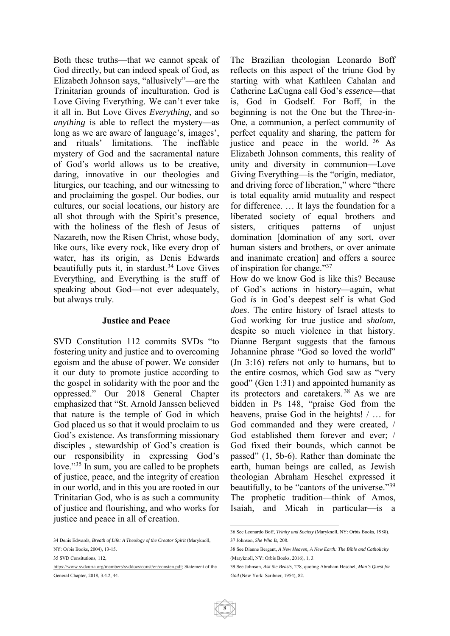Both these truths—that we cannot speak of God directly, but can indeed speak of God, as Elizabeth Johnson says, "allusively"—are the Trinitarian grounds of inculturation. God is Love Giving Everything. We can't ever take it all in. But Love Gives *Everything*, and so *anything* is able to reflect the mystery—as long as we are aware of language's, images', and rituals' limitations. The ineffable mystery of God and the sacramental nature of God's world allows us to be creative, daring, innovative in our theologies and liturgies, our teaching, and our witnessing to and proclaiming the gospel. Our bodies, our cultures, our social locations, our history are all shot through with the Spirit's presence, with the holiness of the flesh of Jesus of Nazareth, now the Risen Christ, whose body, like ours, like every rock, like every drop of water, has its origin, as Denis Edwards beautifully puts it, in stardust.<sup>34</sup> Love Gives Everything, and Everything is the stuff of speaking about God—not ever adequately, but always truly.

#### **Justice and Peace**

SVD Constitution 112 commits SVDs "to fostering unity and justice and to overcoming egoism and the abuse of power. We consider it our duty to promote justice according to the gospel in solidarity with the poor and the oppressed." Our 2018 General Chapter emphasized that "St. Arnold Janssen believed that nature is the temple of God in which God placed us so that it would proclaim to us God's existence. As transforming missionary disciples , stewardship of God's creation is our responsibility in expressing God's love."<sup>35</sup> In sum, you are called to be prophets of justice, peace, and the integrity of creation in our world, and in this you are rooted in our Trinitarian God, who is as such a community of justice and flourishing, and who works for justice and peace in all of creation.

The Brazilian theologian Leonardo Boff reflects on this aspect of the triune God by starting with what Kathleen Cahalan and Catherine LaCugna call God's *essence*—that is, God in Godself. For Boff, in the beginning is not the One but the Three-in-One, a communion, a perfect community of perfect equality and sharing, the pattern for justice and peace in the world. 36 As Elizabeth Johnson comments, this reality of unity and diversity in communion—Love Giving Everything—is the "origin, mediator, and driving force of liberation," where "there is total equality amid mutuality and respect for difference. … It lays the foundation for a liberated society of equal brothers and sisters, critiques patterns of unjust domination [domination of any sort, over human sisters and brothers, or over animate and inanimate creation] and offers a source of inspiration for change."<sup>37</sup>

How do we know God is like this? Because of God's actions in history—again, what God *is* in God's deepest self is what God *does*. The entire history of Israel attests to God working for true justice and *shalom*, despite so much violence in that history. Dianne Bergant suggests that the famous Johannine phrase "God so loved the world" (Jn 3:16) refers not only to humans, but to the entire cosmos, which God saw as "very good" (Gen 1:31) and appointed humanity as its protectors and caretakers. 38 As we are bidden in Ps 148, "praise God from the heavens, praise God in the heights! / … for God commanded and they were created, / God established them forever and ever; / God fixed their bounds, which cannot be passed" (1, 5b-6). Rather than dominate the earth, human beings are called, as Jewish theologian Abraham Heschel expressed it beautifully, to be "cantors of the universe."<sup>39</sup> The prophetic tradition—think of Amos, Isaiah, and Micah in particular—is a

 34 Denis Edwards, *Breath of Life: A Theology of the Creator Spirit* (Maryknoll, NY: Orbis Books, 2004), 13-15.

<sup>35</sup> SVD Consitutions, 112,

https://www.svdcuria.org/members/svddocs/const/en/consten.pdf; Statement of the General Chapter, 2018, 3.4.2, 44.

 36 See Leonardo Boff, *Trinity and Society* (Maryknoll, NY: Orbis Books, 1988). 37 Johnson, *She Who Is*, 208.

<sup>38</sup> See Dianne Bergant, *A New Heaven, A New Earth: The Bible and Catholicity* (Maryknoll, NY: Orbis Books, 2016), 1, 3.

<sup>39</sup> See Johnson, *Ask the Beasts*, 278, quoting Abraham Heschel, *Man's Quest for God* (New York: Scribner, 1954), 82.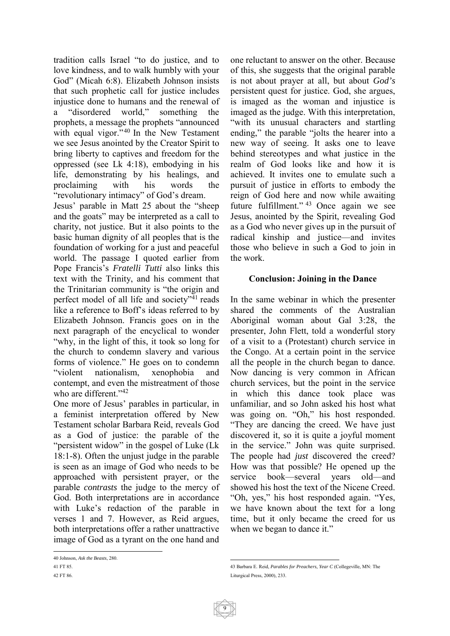tradition calls Israel "to do justice, and to love kindness, and to walk humbly with your God" (Micah 6:8). Elizabeth Johnson insists that such prophetic call for justice includes injustice done to humans and the renewal of a "disordered world," something the prophets, a message the prophets "announced with equal vigor."<sup>40</sup> In the New Testament we see Jesus anointed by the Creator Spirit to bring liberty to captives and freedom for the oppressed (see Lk 4:18), embodying in his life, demonstrating by his healings, and proclaiming with his words the "revolutionary intimacy" of God's dream.

Jesus' parable in Matt 25 about the "sheep and the goats" may be interpreted as a call to charity, not justice. But it also points to the basic human dignity of all peoples that is the foundation of working for a just and peaceful world. The passage I quoted earlier from Pope Francis's *Fratelli Tutti* also links this text with the Trinity, and his comment that the Trinitarian community is "the origin and perfect model of all life and society"41 reads like a reference to Boff's ideas referred to by Elizabeth Johnson. Francis goes on in the next paragraph of the encyclical to wonder "why, in the light of this, it took so long for the church to condemn slavery and various forms of violence." He goes on to condemn "violent nationalism, xenophobia and contempt, and even the mistreatment of those who are different."<sup>42</sup>

One more of Jesus' parables in particular, in a feminist interpretation offered by New Testament scholar Barbara Reid, reveals God as a God of justice: the parable of the "persistent widow" in the gospel of Luke (Lk 18:1-8). Often the unjust judge in the parable is seen as an image of God who needs to be approached with persistent prayer, or the parable *contrasts* the judge to the mercy of God. Both interpretations are in accordance with Luke's redaction of the parable in verses 1 and 7. However, as Reid argues, both interpretations offer a rather unattractive image of God as a tyrant on the one hand and one reluctant to answer on the other. Because of this, she suggests that the original parable is not about prayer at all, but about *God's*  persistent quest for justice. God, she argues, is imaged as the woman and injustice is imaged as the judge. With this interpretation, "with its unusual characters and startling ending," the parable "jolts the hearer into a new way of seeing. It asks one to leave behind stereotypes and what justice in the realm of God looks like and how it is achieved. It invites one to emulate such a pursuit of justice in efforts to embody the reign of God here and now while awaiting future fulfillment." 43 Once again we see Jesus, anointed by the Spirit, revealing God as a God who never gives up in the pursuit of radical kinship and justice—and invites those who believe in such a God to join in the work.

#### **Conclusion: Joining in the Dance**

In the same webinar in which the presenter shared the comments of the Australian Aboriginal woman about Gal 3:28, the presenter, John Flett, told a wonderful story of a visit to a (Protestant) church service in the Congo. At a certain point in the service all the people in the church began to dance. Now dancing is very common in African church services, but the point in the service in which this dance took place was unfamiliar, and so John asked his host what was going on. "Oh," his host responded. "They are dancing the creed. We have just discovered it, so it is quite a joyful moment in the service." John was quite surprised. The people had *just* discovered the creed? How was that possible? He opened up the service book—several years old—and showed his host the text of the Nicene Creed. "Oh, yes," his host responded again. "Yes, we have known about the text for a long time, but it only became the creed for us when we began to dance it."

 40 Johnson, *Ask the Beasts*, 280.

<sup>41</sup> FT 85.

<sup>42</sup> FT 86.

<sup>1</sup> 43 Barbara E. Reid, *Parables for Preachers, Year C* (Collegeville, MN: The Liturgical Press, 2000), 233.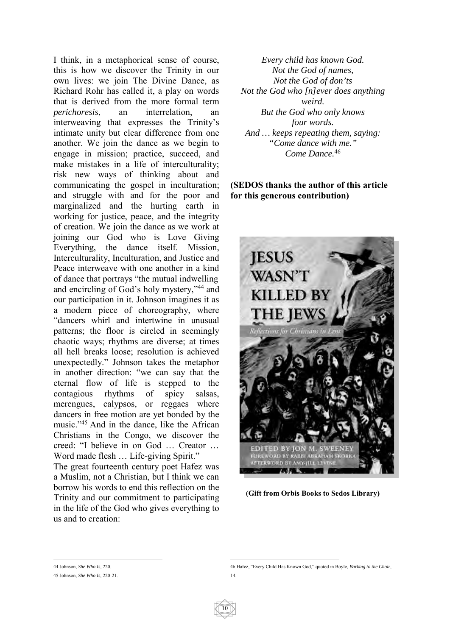I think, in a metaphorical sense of course, this is how we discover the Trinity in our own lives: we join The Divine Dance, as Richard Rohr has called it, a play on words that is derived from the more formal term *perichoresis*, an interrelation. interweaving that expresses the Trinity's intimate unity but clear difference from one another. We join the dance as we begin to engage in mission; practice, succeed, and make mistakes in a life of interculturality; risk new ways of thinking about and communicating the gospel in inculturation; and struggle with and for the poor and marginalized and the hurting earth in working for justice, peace, and the integrity of creation. We join the dance as we work at joining our God who is Love Giving Everything, the dance itself. Mission, Interculturality, Inculturation, and Justice and Peace interweave with one another in a kind of dance that portrays "the mutual indwelling and encircling of God's holy mystery,"44 and our participation in it. Johnson imagines it as a modern piece of choreography, where "dancers whirl and intertwine in unusual patterns; the floor is circled in seemingly chaotic ways; rhythms are diverse; at times all hell breaks loose; resolution is achieved unexpectedly." Johnson takes the metaphor in another direction: "we can say that the eternal flow of life is stepped to the contagious rhythms of spicy salsas, merengues, calypsos, or reggaes where dancers in free motion are yet bonded by the music."45 And in the dance, like the African Christians in the Congo, we discover the creed: "I believe in on God … Creator … Word made flesh … Life-giving Spirit."

The great fourteenth century poet Hafez was a Muslim, not a Christian, but I think we can borrow his words to end this reflection on the Trinity and our commitment to participating in the life of the God who gives everything to us and to creation:

*Every child has known God. Not the God of names, Not the God of don'ts Not the God who [n]ever does anything weird. But the God who only knows four words. And … keeps repeating them, saying: "Come dance with me." Come Dance.*<sup>46</sup>

#### **(SEDOS thanks the author of this article for this generous contribution)**



**(Gift from Orbis Books to Sedos Library)** 

44 Johnson, *She Who Is*, 220.

<sup>45</sup> Johnson, *She Who Is*, 220-21.

<sup>1</sup> 46 Hafez, "Every Child Has Known God," quoted in Boyle, *Barking to the Choir*, 14.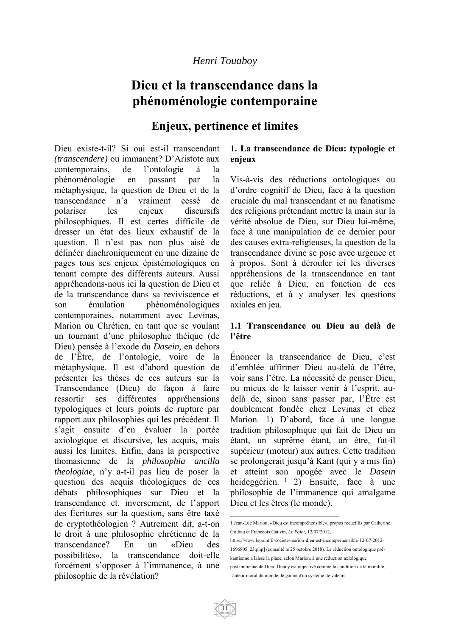# **Dieu et la transcendance dans la phénoménologie contemporaine**

## **Enjeux, pertinence et limites**

Dieu existe-t-il? Si oui est-il transcendant *(transcendere)* ou immanent? D'Aristote aux contemporains, de l'ontologie à la phénoménologie en passant par la métaphysique, la question de Dieu et de la transcendance n'a vraiment cessé de polariser les enjeux discursifs philosophiques. Il est certes difficile de dresser un état des lieux exhaustif de la question. Il n'est pas non plus aisé de délinéer diachroniquement en une dizaine de pages tous ses enjeux épistémologiques en tenant compte des différents auteurs. Aussi appréhendons-nous ici la question de Dieu et de la transcendance dans sa reviviscence et son émulation phénoménologiques contemporaines, notamment avec Levinas, Marion ou Chrétien, en tant que se voulant un tournant d'une philosophie théique (de Dieu) pensée à l'exode du *Dasein,* en dehors de l'Être, de l'ontologie, voire de la métaphysique. Il est d'abord question de présenter les thèses de ces auteurs sur la Transcendance (Dieu) de façon à faire ressortir ses différentes appréhensions typologiques et leurs points de rupture par rapport aux philosophies qui les précèdent. Il s'agit ensuite d'en évaluer la portée axiologique et discursive, les acquis, mais aussi les limites. Enfin, dans la perspective thomasienne de la *philosophia ancilla theologiae,* n'y a-t-il pas lieu de poser la question des acquis théologiques de ces débats philosophiques sur Dieu et la transcendance et, inversement, de l'apport des Écritures sur la question, sans être taxé de cryptothéologien ? Autrement dit, a-t-on le droit à une philosophie chrétienne de la transcendance? En un «Dieu des possibilités», la transcendance doit-elle forcément s'opposer à l'immanence, à une philosophie de la révélation?

#### **1. La transcendance de Dieu: typologie et enjeux**

Vis-à-vis des réductions ontologiques ou d'ordre cognitif de Dieu, face à la question cruciale du mal transcendant et au fanatisme des religions prétendant mettre la main sur la vérité absolue de Dieu, sur Dieu lui-même, face à une manipulation de ce dernier pour des causes extra-religieuses, la question de la transcendance divine se pose avec urgence et à propos. Sont à dérouler ici les diverses appréhensions de la transcendance en tant que reliée à Dieu, en fonction de ces réductions, et à y analyser les questions axiales en jeu.

#### **1.1 Transcendance ou Dieu au delà de l'être**

Énoncer la transcendance de Dieu, c'est d'emblée affirmer Dieu au-delà de l'être, voir sans l'être. La nécessité de penser Dieu, ou mieux de le laisser venir à l'esprit, audelà de, sinon sans passer par, l'Être est doublement fondée chez Levinas et chez Marion. 1) D'abord, face à une longue tradition philosophique qui fait de Dieu un étant, un suprême étant, un être, fut-il supérieur (moteur) aux autres. Cette tradition se prolongerait jusqu'à Kant (qui y a mis fin) et atteint son apogée avec le *Dasein*  heideggérien. <sup>1</sup> 2) Ensuite, face à une philosophie de l'immanence qui amalgame Dieu et les êtres (le monde).

https://www.lepoint.fr/societe/marion-dieu-est-incomprehensible-12-07-2012- 1696805\_23.php] (consulté le 25 octobre 2018). La réduction ontologique prékantienne a laissé la place, selon Marion, à une réduction axiologique postkantienne de Dieu. Dieu y est objectivé comme la condition de la moralité, l'auteur moral du monde, le garant d'un système de valeurs.



<sup>&</sup>lt;u>.</u> 1 Jean-Luc Marion, «Dieu est incompréhensible», propos recueillis par Catherine Golliau et Françcois Gauvin, *Le Point*, 12/07/2012,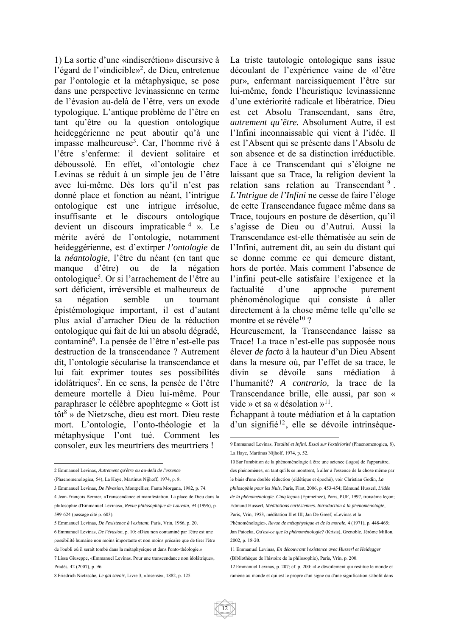1) La sortie d'une «indiscrétion» discursive à l'égard de l'«indicible»2, de Dieu, entretenue par l'ontologie et la métaphysique, se pose dans une perspective levinassienne en terme de l'évasion au-delà de l'être, vers un exode typologique. L'antique problème de l'être en tant qu'être ou la question ontologique heideggérienne ne peut aboutir qu'à une impasse malheureuse<sup>3</sup>. Car, l'homme rivé à l'être s'enferme: il devient solitaire et déboussolé. En effet, «l'ontologie chez Levinas se réduit à un simple jeu de l'être avec lui-même. Dès lors qu'il n'est pas donné place et fonction au néant, l'intrigue ontologique est une intrigue irrésolue, insuffisante et le discours ontologique devient un discours impraticable 4 ». Le mérite avéré de l'ontologie, notamment heideggérienne, est d'extirper *l'ontologie* de la *néantologie,* l'être du néant (en tant que manque d'être) ou de la négation ontologique<sup>5</sup>. Or si l'arrachement de l'être au sort déficient, irréversible et malheureux de sa négation semble un tournant épistémologique important, il est d'autant plus axial d'arracher Dieu de la réduction ontologique qui fait de lui un absolu dégradé, contaminé6 . La pensée de l'être n'est-elle pas destruction de la transcendance ? Autrement dit, l'ontologie sécularise la transcendance et lui fait exprimer toutes ses possibilités idolâtriques<sup>7</sup>. En ce sens, la pensée de l'être demeure mortelle à Dieu lui-même. Pour paraphraser le célèbre apophtegme « Gott ist tôt<sup>8</sup> » de Nietzsche, dieu est mort. Dieu reste mort. L'ontologie, l'onto-théologie et la métaphysique l'ont tué. Comment les consoler, eux les meurtriers des meurtriers !

La triste tautologie ontologique sans issue découlant de l'expérience vaine de «l'être pur», enfermant narcissiquement l'être sur lui-même, fonde l'heuristique levinassienne d'une extériorité radicale et libératrice. Dieu est cet Absolu Transcendant, sans être, *autrement qu'être.* Absolument Autre, il est l'Infini inconnaissable qui vient à l'idée. Il est l'Absent qui se présente dans l'Absolu de son absence et de sa distinction irréductible. Face à ce Transcendant qui s'éloigne ne laissant que sa Trace, la religion devient la relation sans relation au Transcendant<sup>9</sup>. *L'Intrigue de l'Infini* ne cesse de faire l'éloge de cette Transcendance fugace même dans sa Trace, toujours en posture de désertion, qu'il s'agisse de Dieu ou d'Autrui. Aussi la Transcendance est-elle thématisée au sein de l'Infini, autrement dit, au sein du distant qui se donne comme ce qui demeure distant, hors de portée. Mais comment l'absence de l'infini peut-elle satisfaire l'exigence et la factualité d'une approche purement phénoménologique qui consiste à aller directement à la chose même telle qu'elle se montre et se révèle<sup>10</sup>?

Heureusement, la Transcendance laisse sa Trace! La trace n'est-elle pas supposée nous élever *de facto* à la hauteur d'un Dieu Absent dans la mesure où, par l'effet de sa trace, le divin se dévoile sans médiation à l'humanité? *A contrario,* la trace de la Transcendance brille, elle aussi, par son « vide » et sa « désolation »<sup>11</sup>.

Échappant à toute médiation et à la captation d'un signifié<sup>12</sup>, elle se dévoile intrinsèque-

1

 $\overline{a}$ 2 Emmanuel Levinas, *Autrement qu'être ou au-delà de l'essence*

<sup>(</sup>Phaenomenologica, 54), La Haye, Martinus Nijhoff, 1974, p. 8.

<sup>3</sup> Emmanuel Levinas, *De l'évasion*, Montpellier, Fanta Morgana, 1982, p. 74.

<sup>4</sup> Jean-François Bernier, «Transcendance et manifestation. La place de Dieu dans la philosophie d'Emmanuel Levinas», *Revue philosophique de Louvain*, 94 (1996), p. 599-624 (passage cité p. 603).

<sup>5</sup> Emmanuel Levinas, *De l'existence à l'existant*, Paris, Vrin, 1986, p. 20. 6 Emmanuel Levinas, *De l'évasion*, p. 10: «Dieu non contaminé par l'être est une possibilité humaine non moins importante et non moins précaire que de tirer l'être de l'oubli où il serait tombé dans la métaphysique et dans l'onto-théologie.» 7 Lissa Giuseppe, «Emmanuel Levinas. Pour une transcendance non idolâtrique»,

Pradès, 42 (2007), p. 96.

<sup>8</sup> Friedrich Nietzsche, *Le gai savoir*, Livre 3, «Insensé», 1882, p. 125.

<sup>9</sup> Emmanuel Levinas, *Totalité et Infini. Essai sur l'extériorité* (Phaenomenogica, 8), La Haye, Martinus Nijholf, 1974, p. 52.

<sup>10</sup> Sur l'ambition de la phénoménologie à être une science (logos) de l'apparaitre, des phénomènes, en tant qu'ils se montrent, à aller à l'essence de la chose même par le biais d'une double réduction (eidétique et épochè), voir Christian Godin, *La philosophie pour les Nuls*, Paris, First, 2006, p. 453-454; Edmund Husserl*, L'idée de la phénoménologie. Cinq leçons* (Epiméthée), Paris, PUF, 1997, troisième leçon; Edmund Husserl, *Méditations cartésiennes. Introduction à la phénoménologie*, Paris, Vrin, 1953, méditation II et III; Jan De Greef, «Levinas et la

Phénoménologie», *Revue de métaphysique et de la morale*, 4 (1971), p. 448-465; Jan Patocka, *Qu'est-ce que la phénoménologie?* (Krisis), Grenoble, Jérôme Millon, 2002, p. 18-20.

<sup>11</sup> Emmanuel Levinas, *En découvrant l'existence avec Husserl et Heidegger* (Bibliothèque de l'histoire de la philosophie), Paris, Vrin, p. 200.

<sup>12</sup> Emmanuel Levinas, p. 207; cf. p. 200: «Le dévoilement qui restitue le monde et ramène au monde et qui est le propre d'un signe ou d'une signification s'abolit dans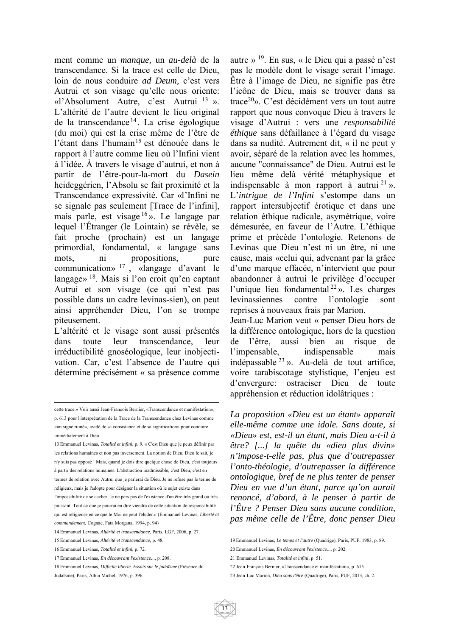ment comme un *manque,* un *au-delà* de la transcendance. Si la trace est celle de Dieu, loin de nous conduire *ad Deum,* c'est vers Autrui et son visage qu'elle nous oriente: «l'Absolument Autre, c'est Autrui <sup>13</sup> ». L'altérité de l'autre devient le lieu original de la transcendance <sup>14</sup> . La crise égologique (du moi) qui est la crise même de l'être de l'étant dans l'humain<sup>15</sup> est dénouée dans le rapport à l'autre comme lieu où l'Infini vient à l'idée. À travers le visage d'autrui, et non à partir de l'être-pour-la-mort du *Dasein*  heideggérien, l'Absolu se fait proximité et la Transcendance expressivité. Car «l'Infini ne se signale pas seulement [Trace de l'infini], mais parle, est visage <sup>16</sup> ». Le langage par lequel l'Étranger (le Lointain) se révèle, se fait proche (prochain) est un langage primordial, fondamental, « langage sans mots, ni propositions, pure communication»  $17 \frac{1}{9}$  «langage d'avant le langage» 18. Mais si l'on croit qu'en captant Autrui et son visage (ce qui n'est pas possible dans un cadre levinas-sien), on peut ainsi appréhender Dieu, l'on se trompe piteusement.

L'altérité et le visage sont aussi présentés dans toute leur transcendance, leur irréductibilité gnoséologique, leur inobjectivation. Car, c'est l'absence de l'autre qui détermine précisément « sa présence comme

autre » 19. En sus, « le Dieu qui a passé n'est pas le modèle dont le visage serait l'image. Être à l'image de Dieu, ne signifie pas être l'icône de Dieu, mais se trouver dans sa trace20». C'est décidément vers un tout autre rapport que nous convoque Dieu à travers le visage d'Autrui : vers une *responsabilité éthique* sans défaillance à l'égard du visage dans sa nudité. Autrement dit, « il ne peut y avoir, séparé de la relation avec les hommes, aucune "connaissance" de Dieu. Autrui est le lieu même delà vérité métaphysique et indispensable à mon rapport à autrui  $21 \gamma$ . L'*intrigue de l'Infini* s'estompe dans un rapport intersubjectif érotique et dans une relation éthique radicale, asymétrique, voire démesurée, en faveur de l'Autre. L'éthique prime et précède l'ontologie. Retenons de Levinas que Dieu n'est ni un être, ni une cause, mais «celui qui, advenant par la grâce d'une marque effacée, n'intervient que pour abandonner à autrui le privilège d'occuper l'unique lieu fondamental <sup>22</sup> ». Les charges levinassiennes contre l'ontologie sont reprises à nouveaux frais par Marion.

Jean-Luc Marion veut « penser Dieu hors de la différence ontologique, hors de la question de l'être, aussi bien au risque de l'impensable, indispensable mais indépassable <sup>23</sup> ». Au-delà de tout artifice, voire tarabiscotage stylistique, l'enjeu est d'envergure: ostraciser Dieu de toute appréhension et réduction idolâtriques :

*La proposition «Dieu est un étant» apparaît elle-même comme une idole. Sans doute, si «Dieu» est, est-il un étant, mais Dieu a-t-il à être? [...] la quête du «dieu plus divin» n'impose-t-elle pas, plus que d'outrepasser l'onto-théologie, d'outrepasser la différence ontologique, bref de ne plus tenter de penser Dieu en vue d'un étant, parce qu'on aurait renoncé, d'abord, à le penser à partir de l'Être ? Penser Dieu sans aucune condition, pas même celle de l'Être, donc penser Dieu* 

22 Jean-François Bernier, «Transcendance et manifestation», p. 615.

 cette trace.» Voir aussi Jean-François Bernier, «Transcendance et manifestation», p. 613 pour l'interprétation de la Trace de la Transcendance chez Levinas comme «un signe ruiné», «vidé de sa consistance et de sa signification» pour conduire immédiatement à Dieu.

<sup>13</sup> Emmanuel Levinas, *Totalité et infini*, p. 9. « C'est Dieu que je peux définir par les relations humaines et non pas inversement. La notion de Dieu, Dieu le sait, je n'y suis pas opposé ! Mais, quand je dois dire quelque chose de Dieu, c'est toujours à partir des relations humaines. L'abstraction inadmissible, c'est Dieu; c'est en termes de relation avec Autrui que je parlerai de Dieu. Je ne refuse pas le terme de religieux, mais je l'adopte pour désigner la situation où le sujet existe dans l'impossibilité de se cacher. Je ne pars pas de l'existence d'un être très grand ou très puissant. Tout ce que je pourrai en dire viendra de cette situation de responsabilité qui est religieuse en ce que le Moi ne peut l'éluder.» (Emmanuel Levinas, *Liberté et commandement*, Cognac, Fata Morgana, 1994, p. 94)

<sup>14</sup> Emmanuel Levinas, *Altérité et transcendance*, Paris, LGF, 2006, p. 27.

<sup>15</sup> Emmanuel Levinas, *Altérité et transcendance*, p. 48.

<sup>16</sup> Emmanuel Levinas, *Totalité et infini*, p. 72.

<sup>17</sup> Emmanuel Levinas, *En découvrant l'existence*..., p. 208.

<sup>18</sup> Emmanuel Levinas, *Difficile liberté. Essais sur le judaïsme* (Présence du Judaïsme), Paris, Albin Michel, 1976, p. 396.

 19 Emmanuel Levinas, *Le temps et l'autre* (Quadrige), Paris, PUF, 1983, p. 89.

<sup>20</sup> Emmanuel Levinas, *En découvrant l'existence*..., p. 202.

<sup>21</sup> Emmanuel Levinas, *Totalité et infini*, p. 51.

<sup>23</sup> Jean-Luc Marion, *Dieu sans l'être* (Quadrige), Paris, PUF, 2013, ch. 2.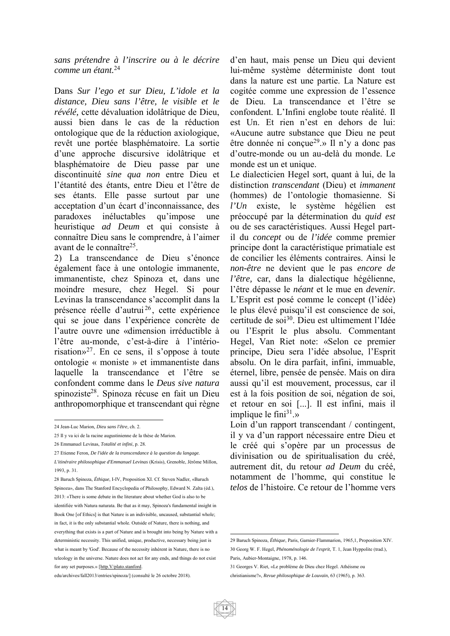*sans prétendre à l'inscrire ou à le décrire comme un étant.*<sup>24</sup>

Dans *Sur l'ego et sur Dieu, L'idole et la distance, Dieu sans l'être, le visible et le révélé,* cette dévaluation idolâtrique de Dieu, aussi bien dans le cas de la réduction ontologique que de la réduction axiologique, revêt une portée blasphématoire. La sortie d'une approche discursive idolâtrique et blasphématoire de Dieu passe par une discontinuité *sine qua non* entre Dieu et l'étantité des étants, entre Dieu et l'être de ses étants. Elle passe surtout par une acceptation d'un écart d'inconnaissance, des paradoxes inéluctables qu'impose une heuristique *ad Deum* et qui consiste à connaître Dieu sans le comprendre, à l'aimer avant de le connaître25.

2) La transcendance de Dieu s'énonce également face à une ontologie immanente, immanentiste, chez Spinoza et, dans une moindre mesure, chez Hegel. Si pour Levinas la transcendance s'accomplit dans la présence réelle d'autrui<sup>26</sup>, cette expérience qui se joue dans l'expérience concrète de l'autre ouvre une «dimension irréductible à l'être au-monde, c'est-à-dire à l'intériorisation»27. En ce sens, il s'oppose à toute ontologie « moniste » et immanentiste dans laquelle la transcendance et l'être se confondent comme dans le *Deus sive natura*  spinoziste28. Spinoza récuse en fait un Dieu anthropomorphique et transcendant qui règne

d'en haut, mais pense un Dieu qui devient lui-même système déterministe dont tout dans la nature est une partie. La Nature est cogitée comme une expression de l'essence de Dieu. La transcendance et l'être se confondent. L'Infini englobe toute réalité. Il est Un. Et rien n'est en dehors de lui: «Aucune autre substance que Dieu ne peut être donnée ni conçue<sup>29</sup>.» Il n'y a donc pas d'outre-monde ou un au-delà du monde. Le monde est un et unique.

Le dialecticien Hegel sort, quant à lui, de la distinction *transcendant* (Dieu) et *immanent*  (hommes) de l'ontologie thomasienne. Si *l'Un* existe, le système hégélien est préoccupé par la détermination du *quid est*  ou de ses caractéristiques. Aussi Hegel partil du *concept* ou de *l'idée* comme premier principe dont la caractéristique primatiale est de concilier les éléments contraires. Ainsi le *non-être* ne devient que le pas *encore de l'être,* car, dans la dialectique hégélienne, l'être dépasse le *néant* et le mue en *devenir.*  L'Esprit est posé comme le concept (l'idée) le plus élevé puisqu'il est conscience de soi, certitude de soi30. Dieu est ultimement l'Idée ou l'Esprit le plus absolu. Commentant Hegel, Van Riet note: «Selon ce premier principe, Dieu sera l'idée absolue, l'Esprit absolu. On le dira parfait, infini, immuable, éternel, libre, pensée de pensée. Mais on dira aussi qu'il est mouvement, processus, car il est à la fois position de soi, négation de soi, et retour en soi [...]. Il est infini, mais il implique le fini $31.$ »

Loin d'un rapport transcendant / contingent, il y va d'un rapport nécessaire entre Dieu et le créé qui s'opère par un processus de divinisation ou de spiritualisation du créé, autrement dit, du retour *ad Deum* du créé, notamment de l'homme, qui constitue le *telos* de l'histoire. Ce retour de l'homme vers

<u>.</u>

 $\overline{a}$ 24 Jean-Luc Marion*, Dieu sans l'être*, ch. 2.

<sup>25</sup> Il y va ici de la racine augustinienne de la thèse de Marion.

<sup>26</sup> Emmanuel Levinas, *Totalité et infini*, p. 28.

<sup>27</sup> Etienne Feron, *De l'idée de la transcendance à la question du langage.* 

*L'itinéraire philosophique d'Emmanuel Levinas* (Krisis), Grenoble, Jérôme Millon, 1993, p. 31.

<sup>28</sup> Baruch Spinoza, *Éthique*, I-IV, Proposition XI. Cf. Steven Nadler, «Baruch Spinoza», dans The Stanford Encyclopedia of Philosophy, Edward N. Zalta (éd.), 2013: «There is some debate in the literature about whether God is also to be identifiée with Natura naturata. Be that as it may, Spinoza's fundamental insight in Book One [of Ethics] is that Nature is an indivisible, uncaused, substantial whole; in fact, it is the only substantial whole. Outside of Nature, there is nothing, and everything that exists is a part of Nature and is brought into being by Nature with a deterministic necessity. This unified, unique, productive, necessary being just is what is meant by 'God'. Because of the necessity inhérent in Nature, there is no teleology in the universe. Nature does not act for any ends, and things do not exist for any set purposes.» [http.V/plato.stanford.

edu/archives/fall2013/entries/spinoza/] (consulté le 26 octobre 2018).

<sup>29</sup> Baruch Spinoza, *Éthique*, Paris, Garnier-Flammarion, 1965,1, Proposition XIV. 30 Georg W. F. Hegel, *Phénoménologie de l'esprit*, T. 1, Jean Hyppolite (trad.), Paris, Aubier-Montaigne, 1978, p. 146.

<sup>31</sup> Georges V. Riet, «Le problème de Dieu chez Hegel. Athéisme ou christianisme?», *Revue philosophique de Louvain*, 63 (1965), p. 363.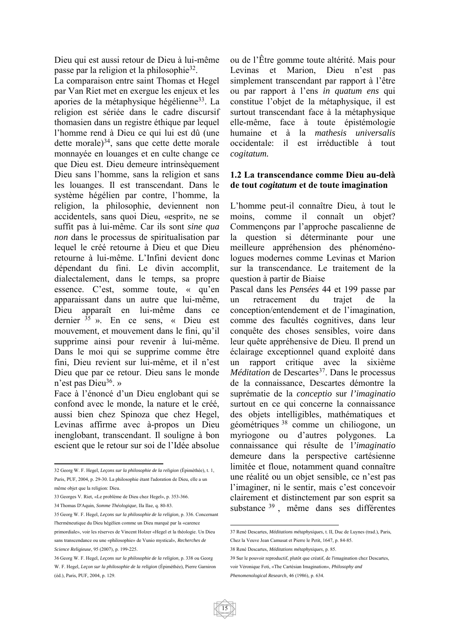Dieu qui est aussi retour de Dieu à lui-même passe par la religion et la philosophie32.

La comparaison entre saint Thomas et Hegel par Van Riet met en exergue les enjeux et les apories de la métaphysique hégélienne<sup>33</sup>. La religion est sériée dans le cadre discursif thomasien dans un registre éthique par lequel l'homme rend à Dieu ce qui lui est dû (une dette morale $)^{34}$ , sans que cette dette morale monnayée en louanges et en culte change ce que Dieu est. Dieu demeure intrinsèquement Dieu sans l'homme, sans la religion et sans les louanges. Il est transcendant. Dans le système hégélien par contre, l'homme, la religion, la philosophie, deviennent non accidentels, sans quoi Dieu, «esprit», ne se suffit pas à lui-même. Car ils sont *sine qua non* dans le processus de spiritualisation par lequel le créé retourne à Dieu et que Dieu retourne à lui-même. L'Infini devient donc dépendant du fini. Le divin accomplit, dialectalement, dans le temps, sa propre essence. C'est, somme toute, « qu'en apparaissant dans un autre que lui-même, Dieu apparaît en lui-même dans ce dernier <sup>35</sup> ». En ce sens, « Dieu est mouvement, et mouvement dans le fini, qu'il supprime ainsi pour revenir à lui-même. Dans le moi qui se supprime comme être fini, Dieu revient sur lui-même, et il n'est Dieu que par ce retour. Dieu sans le monde n'est pas Dieu<sup>36</sup>. »

Face à l'énoncé d'un Dieu englobant qui se confond avec le monde, la nature et le créé, aussi bien chez Spinoza que chez Hegel, Levinas affirme avec à-propos un Dieu inenglobant, transcendant. Il souligne à bon escient que le retour sur soi de l'Idée absolue

ou de l'Être gomme toute altérité. Mais pour Levinas et Marion, Dieu n'est pas simplement transcendant par rapport à l'être ou par rapport à l'ens *in quatum ens* qui constitue l'objet de la métaphysique, il est surtout transcendant face à la métaphysique elle-même, face à toute épistémologie humaine et à la *mathesis universalis*  occidentale: il est irréductible à tout *cogitatum.* 

#### **1.2 La transcendance comme Dieu au-delà de tout** *cogitatum* **et de toute imagination**

L'homme peut-il connaître Dieu, à tout le moins, comme il connaît un objet? Commençons par l'approche pascalienne de la question si déterminante pour une meilleure appréhension des phénoménologues modernes comme Levinas et Marion sur la transcendance. Le traitement de la question à partir de Biaise

Pascal dans les *Pensées* 44 et 199 passe par un retracement du trajet de la conception/entendement et de l'imagination, comme des facultés cognitives, dans leur conquête des choses sensibles, voire dans leur quête appréhensive de Dieu. Il prend un éclairage exceptionnel quand exploité dans un rapport critique avec la sixième *Méditation* de Descartes<sup>37</sup>. Dans le processus de la connaissance, Descartes démontre la suprématie de la *conceptio* sur *l'imaginatio*  surtout en ce qui concerne la connaissance des objets intelligibles, mathématiques et géométriques 38 comme un chiliogone, un myriogone ou d'autres polygones. La connaissance qui résulte de l*'imaginatio*  demeure dans la perspective cartésienne limitée et floue, notamment quand connaître une réalité ou un objet sensible, ce n'est pas l'imaginer, ni le sentir, mais c'est concevoir clairement et distinctement par son esprit sa substance <sup>39</sup> , même dans ses différentes

 32 Georg W. F. Hegel, *Leçons sur la philosophie de la religion* (Épiméthée), t. 1, Paris, PUF, 2004, p. 29-30. La philosophie étant l'adoration de Dieu, elle a un

même objet que la religion: Dieu.

<sup>33</sup> Georges V. Riet, «Le problème de Dieu chez Hegel», p. 353-366. 34 Thomas D'Aquin, *Somme Théologique*, IIa Ilae, q. 80-83.

<sup>35</sup> Georg W. F. Hegel, *Leçons sur la philosophie de la religion*, p. 336. Concernant l'herméneutique du Dieu hégélien comme un Dieu marqué par la «carence primordiale», voir les réserves de Vincent Holzer «Hegel et la théologie. Un Dieu sans transcendance ou une «philosophie» de Vunio mystical», *Recherches de Science Religieuse*, 95 (2007), p. 199-225.

<sup>36</sup> Georg W. F. Hegel, *Leçons sur la philosophie de la religion*, p. 338 ou Georg W. F. Hegel, *Leçon sur la philosophie de la religion* (Épiméthée), Pierre Garniron (éd.), Paris, PUF, 2004, p. 129.

 37 René Descartes, *Méditations métaphysiques*, t. II, Duc de Luynes (trad.), Paris, Chez la Veuve Jean Camusat et Pierre le Petit, 1647, p. 84-85.

<sup>38</sup> René Descartes, *Méditations métaphysiques*, p. 85.

<sup>39</sup> Sur le pouvoir reproductif, plutôt que créatif, de l'imagination chez Descartes, voir Véronique Foti, «The Cartésian Imagination», *Philosophy and* 

*Phenomenological Research*, 46 (1986), p. 634.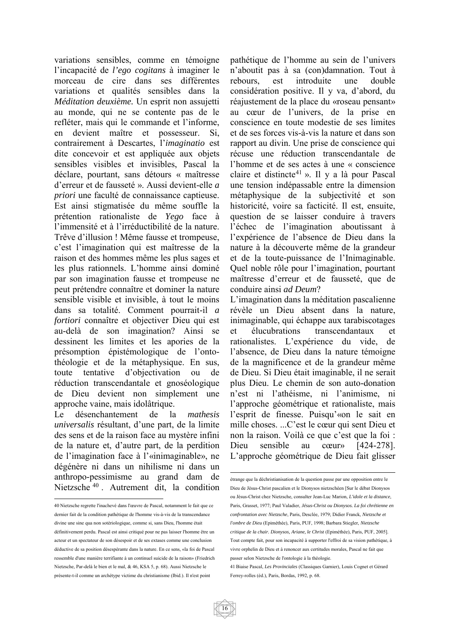variations sensibles, comme en témoigne l'incapacité de *l'ego cogitans* à imaginer le morceau de cire dans ses différentes variations et qualités sensibles dans la *Méditation deuxième.* Un esprit non assujetti au monde, qui ne se contente pas de le refléter, mais qui le commande et l'informe, en devient maître et possesseur. Si, contrairement à Descartes, l'*imaginatio* est dite concevoir et est appliquée aux objets sensibles visibles et invisibles, Pascal la déclare, pourtant, sans détours « maîtresse d'erreur et de fausseté ». Aussi devient-elle *a priori* une faculté de connaissance captieuse. Est ainsi stigmatisée du même souffle la prétention rationaliste de *Yego* face à l'immensité et à l'irréductibilité de la nature. Trêve d'illusion ! Même fausse et trompeuse, c'est l'imagination qui est maîtresse de la raison et des hommes même les plus sages et les plus rationnels. L'homme ainsi dominé par son imagination fausse et trompeuse ne peut prétendre connaître et dominer la nature sensible visible et invisible, à tout le moins dans sa totalité. Comment pourrait-il *a fortiori* connaître et objectiver Dieu qui est au-delà de son imagination? Ainsi se dessinent les limites et les apories de la présomption épistémologique de l'ontothéologie et de la métaphysique. En sus, toute tentative d'objectivation ou de réduction transcendantale et gnoséologique de Dieu devient non simplement une approche vaine, mais idolâtrique.

Le désenchantement de la *mathesis universalis* résultant, d'une part, de la limite des sens et de la raison face au mystère infini de la nature et, d'autre part, de la perdition de l'imagination face à l'«inimaginable», ne dégénère ni dans un nihilisme ni dans un anthropo-pessimisme au grand dam de Nietzsche <sup>40</sup> . Autrement dit, la condition pathétique de l'homme au sein de l'univers n'aboutit pas à sa (con)damnation. Tout à rebours, est introduite une double considération positive. Il y va, d'abord, du réajustement de la place du «roseau pensant» au cœur de l'univers, de la prise en conscience en toute modestie de ses limites et de ses forces vis-à-vis la nature et dans son rapport au divin. Une prise de conscience qui récuse une réduction transcendantale de l'homme et de ses actes à une « conscience claire et distincte<sup>41</sup> ». Il y a là pour Pascal une tension indépassable entre la dimension métaphysique de la subjectivité et son historicité, voire sa facticité. Il est, ensuite, question de se laisser conduire à travers l'échec de l'imagination aboutissant à l'expérience de l'absence de Dieu dans la nature à la découverte même de la grandeur et de la toute-puissance de l'Inimaginable. Quel noble rôle pour l'imagination, pourtant maîtresse d'erreur et de fausseté, que de conduire ainsi *ad Deum*?

L'imagination dans la méditation pascalienne révèle un Dieu absent dans la nature, inimaginable, qui échappe aux tarabiscotages et élucubrations transcendantaux et rationalistes. L'expérience du vide, de l'absence, de Dieu dans la nature témoigne de la magnificence et de la grandeur même de Dieu. Si Dieu était imaginable, il ne serait plus Dieu. Le chemin de son auto-donation n'est ni l'athéisme, ni l'animisme, ni l'approche géométrique et rationaliste, mais l'esprit de finesse. Puisqu'«on le sait en mille choses. ...C'est le cœur qui sent Dieu et non la raison. Voilà ce que c'est que la foi : Dieu sensible au cœur» [424-278]. L'approche géométrique de Dieu fait glisser

 $\overline{a}$ 40 Nietzsche regrette l'inachevé dans l'œuvre de Pascal, notamment le fait que ce dernier fait de la condition pathétique de l'homme vis-à-vis de la transcendance divine une sine qua non sotériologique, comme si, sans Dieu, l'homme était définitivement perdu. Pascal est ainsi critiqué pour ne pas laisser l'homme être un acteur et un spectateur de son désespoir et de ses extases comme une conclusion déductive de sa position désespérante dans la nature. En ce sens, «la foi de Pascal ressemble d'une manière terrifiante à un continuel suicide de la raison» (Friedrich Nietzsche, Par-delà le bien et le mal, & 46, KSA 5, p. 68). Aussi Nietzsche le présente-t-il comme un archétype victime du christianisme (Ibid.). Il n'est point

<sup>1</sup> étrange que la déchristianisation de la question passe par une opposition entre le Dieu de Jésus-Christ pascalien et le Dionysos nietzschéen [Sur le débat Dionysos ou Jésus-Christ chez Nietzsche, consulter Jean-Luc Marion, *L'idole et la distance*, Paris, Grasset, 1977; Paul Valadier, *Jésus-Christ ou Dionysos. La foi chrétienne en confrontation avec Nietzsche*, Paris, Desclée, 1979; Didier Franck, *Nietzsche et l'ombre de Dieu* (Epiméthée), Paris, PUF, 1998; Barbara Stiegler, *Nietzsche critique de la chair. Dionysos, Ariane, le Christ* (Epiméthée), Paris, PUF, 2005]. Tout compte fait, pour son incapacité à supporter l'effroi de sa vision pathétique, à vivre orphelin de Dieu et à renoncer aux certitudes morales, Pascal ne fait que passer selon Nietzsche de l'ontologie à la théologie.

<sup>41</sup> Biaise Pascal, *Les Provinciales* (Classiques Garnier), Louis Cognet et Gérard Ferrey-rolles (éd.), Paris, Bordas, 1992, p. 68.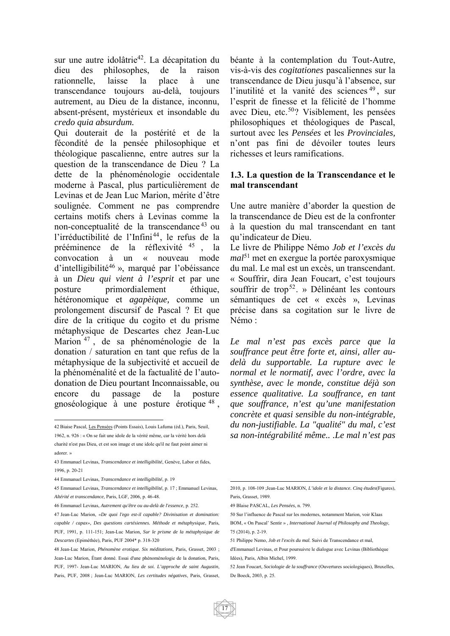sur une autre idolâtrie<sup>42</sup>. La décapitation du dieu des philosophes, de la raison rationnelle, laisse la place à une transcendance toujours au-delà, toujours autrement, au Dieu de la distance, inconnu, absent-présent, mystérieux et insondable du *credo quia absurdum.* 

Qui douterait de la postérité et de la fécondité de la pensée philosophique et théologique pascalienne, entre autres sur la question de la transcendance de Dieu ? La dette de la phénoménologie occidentale moderne à Pascal, plus particulièrement de Levinas et de Jean Luc Marion, mérite d'être soulignée. Comment ne pas comprendre certains motifs chers à Levinas comme la non-conceptualité de la transcendance 43 ou l'irréductibilité de l'Infini<sup>44</sup>, le refus de la prééminence de la réflexivité <sup>45</sup> , la convocation à un « nouveau mode d'intelligibilité46 », marqué par l'obéissance à un *Dieu qui vient à l'esprit* et par une posture primordialement éthique, hétéronomique et *agapèique,* comme un prolongement discursif de Pascal ? Et que dire de la critique du cogito et du prisme métaphysique de Descartes chez Jean-Luc Marion <sup>47</sup> , de sa phénoménologie de la donation / saturation en tant que refus de la métaphysique de la subjectivité et accueil de la phénoménalité et de la factualité de l'autodonation de Dieu pourtant Inconnaissable, ou encore du passage de la posture gnoséologique à une posture érotique <sup>48</sup> ,

béante à la contemplation du Tout-Autre, vis-à-vis des *cogitationes* pascaliennes sur la transcendance de Dieu jusqu'à l'absence, sur l'inutilité et la vanité des sciences <sup>49</sup> , sur l'esprit de finesse et la félicité de l'homme avec Dieu, etc.<sup>50</sup>? Visiblement, les pensées philosophiques et théologiques de Pascal, surtout avec les *Pensées* et les *Provinciales,*  n'ont pas fini de dévoiler toutes leurs richesses et leurs ramifications.

#### **1.3. La question de la Transcendance et le mal transcendant**

Une autre manière d'aborder la question de la transcendance de Dieu est de la confronter à la question du mal transcendant en tant qu'indicateur de Dieu.

Le livre de Philippe Némo *Job et l'excès du mal*<sup>51</sup> met en exergue la portée paroxysmique du mal. Le mal est un excès, un transcendant. « Souffrir, dira Jean Foucart, c'est toujours souffrir de trop<sup>52</sup>. » Délinéant les contours sémantiques de cet « excès », Levinas précise dans sa cogitation sur le livre de Némo :

*Le mal n'est pas excès parce que la souffrance peut être forte et, ainsi, aller audelà du supportable. La rupture avec le normal et le normatif, avec l'ordre, avec la synthèse, avec le monde, constitue déjà son essence qualitative. La souffrance, en tant que souffrance, n'est qu'une manifestation concrète et quasi sensible du non-intégrable, du non-justifiable. La "qualité" du mal, c'est sa non-intégrabilité même.. .Le mal n'est pas* 

 42 Biaise Pascal, Les Pensées (Points Essais), Louis Lafuma (éd.), Paris, Seuil, 1962, n. 926 : « On se fait une idole de la vérité même, car la vérité hors delà charité n'est pas Dieu, et est son image et une idole qu'il ne faut point aimer ni adorer. »

<sup>43</sup> Emmanuel Levinas, *Transcendance et intelligibilité*, Genève, Labor et fides, 1996, p. 20-21

<sup>44</sup> Emmanuel Levinas, *Transcendance et intelligibilité*, p. 19

<sup>45</sup> Emmanuel Levinas, *Transcendance et intelligibilité*, p. 17 ; Emmanuel Levinas, *Altérité et transcendance*, Paris, LGF, 2006, p. 46-48.

<sup>46</sup> Emmanuel Levinas, *Autrement qu'être ou au-delà de l'essence*, p. 252.

<sup>47</sup> Jean-Luc Marion, *«De quoi l'ego est-il capable? Divinisation et domination: capable / capax», Des questions cartésiennes. Méthode et métaphysique*, Paris, PUF, 1991, p. 111-151; Jean-Luc Marion*, Sur le prisme de la métaphysique de Descartes* (Epiméthée), Paris, PUF 2004\* p. 318-320

<sup>48</sup> Jean-Luc Marion, *Phénomène erotique. Six méditations*, Paris, Grasset, 2003 ; Jean-Luc Marion, Étant donné. Essai d'une phénoménologie de la donation, Paris, PUF, 1997- Jean-Luc MARION, *Au lieu de soi. L'approche de saint Augustin*, Paris, PUF, 2008 ; Jean-Luc MARION, *Les certitudes négatives*, Paris, Grasset,

<sup>1</sup> 2010, p. 108-109 ;Jean-Luc MARION, *L'idole et la distance. Cinq études*(Figures), Paris, Grasset, 1989.

<sup>49</sup> Blaise PASCAL, *Les Pensées*, n. 799.

<sup>50</sup> Sur l'influence de Pascal sur les modernes, notamment Marion, voir Klaas

BOM, « On Pascal' Sentir » , *International Journal of Philosophy and Theology*, 75 (2014), p. 2-19.

<sup>51</sup> Philippe Nemo, *Job et l'excès du mal*. Suivi de Transcendance et mal,

d'Emmanuel Levinas, et Pour poursuivre le dialogue avec Levinas (Bibliothèque Idées), Paris, Albin Michel, 1999.

<sup>52</sup> Jean Foucart, *Sociologie de la souffrance* (Ouvertures sociologiques), Bruxelles, De Boeck, 2003, p. 25.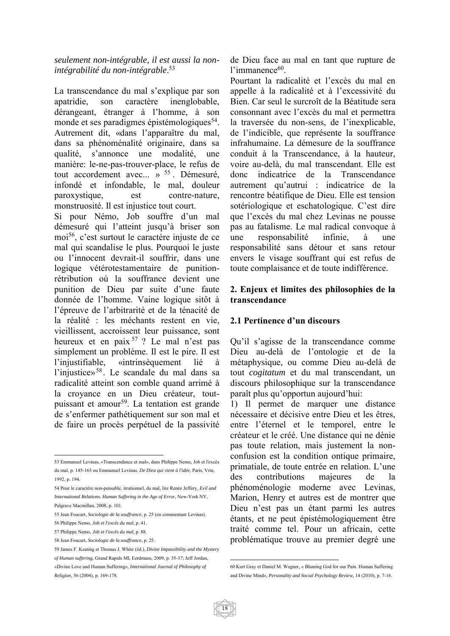#### *seulement non-intégrable, il est aussi la nonintégrabilité du non-intégrable*. 53

La transcendance du mal s'explique par son apatridie, son caractère inenglobable, dérangeant, étranger à l'homme, à son monde et ses paradigmes épistémologiques<sup>54</sup>. Autrement dit, «dans l'apparaître du mal, dans sa phénoménalité originaire, dans sa qualité, s'annonce une modalité, une manière: le-ne-pas-trouver-place, le refus de tout accordement avec... » <sup>55</sup>. Démesuré, infondé et infondable, le mal, douleur paroxystique, est contre-nature, monstruosité. Il est injustice tout court.

Si pour Némo, Job souffre d'un mal démesuré qui l'atteint jusqu'à briser son moi56, c'est surtout le caractère injuste de ce mal qui scandalise le plus. Pourquoi le juste ou l'innocent devrait-il souffrir, dans une logique vétérotestamentaire de punitionrétribution où la souffrance devient une punition de Dieu par suite d'une faute donnée de l'homme. Vaine logique sitôt à l'épreuve de l'arbitrarité et de la ténacité de la réalité : les méchants restent en vie, vieillissent, accroissent leur puissance, sont heureux et en paix 57 ? Le mal n'est pas simplement un problème. Il est le pire. Il est l'injustifiable, «intrinsèquement lié à l'injustice»<sup>58</sup>. Le scandale du mal dans sa radicalité atteint son comble quand arrimé à la croyance en un Dieu créateur, toutpuissant et amour<sup>59</sup>. La tentation est grande de s'enfermer pathétiquement sur son mal et de faire un procès perpétuel de la passivité

de Dieu face au mal en tant que rupture de l'immanence<sup>60</sup>.

Pourtant la radicalité et l'excès du mal en appelle à la radicalité et à l'excessivité du Bien. Car seul le surcroît de la Béatitude sera consonnant avec l'excès du mal et permettra la traversée du non-sens, de l'inexplicable, de l'indicible, que représente la souffrance infrahumaine. La démesure de la souffrance conduit à la Transcendance, à la hauteur, voire au-delà, du mal transcendant. Elle est donc indicatrice de la Transcendance autrement qu'autrui : indicatrice de la rencontre béatifique de Dieu. Elle est tension sotériologique et eschatologique. C'est dire que l'excès du mal chez Levinas ne pousse pas au fatalisme. Le mal radical convoque à une responsabilité infinie, à une responsabilité sans détour et sans retour envers le visage souffrant qui est refus de toute complaisance et de toute indifférence.

#### **2. Enjeux et limites des philosophies de la transcendance**

#### **2.1 Pertinence d'un discours**

Qu'il s'agisse de la transcendance comme Dieu au-delà de l'ontologie et de la métaphysique, ou comme Dieu au-delà de tout *cogitatum* et du mal transcendant, un discours philosophique sur la transcendance paraît plus qu'opportun aujourd'hui:

1) Il permet de marquer une distance nécessaire et décisive entre Dieu et les êtres, entre l'éternel et le temporel, entre le créateur et le créé. Une distance qui ne dénie pas toute relation, mais justement la nonconfusion est la condition ontique primaire, primatiale, de toute entrée en relation. L'une des contributions majeures de la phénoménologie moderne avec Levinas, Marion, Henry et autres est de montrer que Dieu n'est pas un étant parmi les autres étants, et ne peut épistémologiquement être traité comme tel. Pour un africain, cette problématique trouve au premier degré une

 $\overline{a}$ 53 Emmanuel Levinas, «Transcendance et mal», dans Philippe Nemo, Job et l'excès du mal, p. 145-163 ou Emmanuel Levinas, *De Dieu qui vient à l'idée*, Paris, Vrin, 1992, p. 194.

<sup>54</sup> Pour le caractère non-pensable, irrationnel, du mal, lire Renée Jeffery*, Evil and International Relations. Human Suffering in the Age of Error*, New-York NY, Palgrave Macmillan, 2008, p. 101.

<sup>55</sup> Jean Foucart, *Sociologie de la souffrance*, p. 25 (en commentant Levinas).

<sup>56</sup> Philippe Nemo, *Job et l'excès du mal*, p. 41.

<sup>57</sup> Philippe Nemo, *Job et l'excès du mal*, p. 88.

<sup>58</sup> Jean Foucart, *Sociologie de la souffrance*, p. 25.

<sup>59</sup> James F. Keating et Thomas J. White (éd.), *Divine Impassibility and the Mystery of Human suffering,* Grand Rapids MI, Eerdmans, 2009, p. 35-37; Jeff Jordan,

<sup>«</sup>Divine Love and Human Suffering», *International Journal of Philosophy of Religion,* 56 (2004), p. 169-178.

<sup>1</sup> 60 Kurt Gray et Daniel M. Wegner, « Blaming God for our Pain. Human Suffering and Divine Mind», *Personality and Social Psychology Review*, 14 (2010), p. 7-16.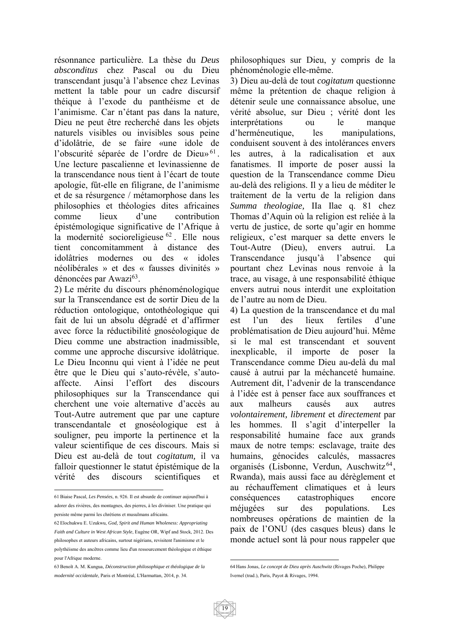résonnance particulière. La thèse du *Deus absconditus* chez Pascal ou du Dieu transcendant jusqu'à l'absence chez Levinas mettent la table pour un cadre discursif théique à l'exode du panthéisme et de l'animisme. Car n'étant pas dans la nature, Dieu ne peut être recherché dans les objets naturels visibles ou invisibles sous peine d'idolâtrie, de se faire «une idole de l'obscurité séparée de l'ordre de Dieu»<sup>61</sup>. Une lecture pascalienne et levinassienne de la transcendance nous tient à l'écart de toute apologie, fût-elle en filigrane, de l'animisme et de sa résurgence / métamorphose dans les philosophies et théologies dites africaines comme lieux d'une contribution épistémologique significative de l'Afrique à la modernité socioreligieuse <sup>62</sup>. Elle nous tient concomitamment à distance des idolâtries modernes ou des « idoles néolibérales » et des « fausses divinités » dénoncées par Awazi<sup>63</sup>.

2) Le mérite du discours phénoménologique sur la Transcendance est de sortir Dieu de la réduction ontologique, ontothéologique qui fait de lui un absolu dégradé et d'affirmer avec force la réductibilité gnoséologique de Dieu comme une abstraction inadmissible, comme une approche discursive idolâtrique. Le Dieu Inconnu qui vient à l'idée ne peut être que le Dieu qui s'auto-révèle, s'autoaffecte. Ainsi l'effort des discours philosophiques sur la Transcendance qui cherchent une voie alternative d'accès au Tout-Autre autrement que par une capture transcendantale et gnoséologique est à souligner, peu importe la pertinence et la valeur scientifique de ces discours. Mais si Dieu est au-delà de tout *cogitatum,* il va falloir questionner le statut épistémique de la vérité des discours scientifiques et

 $\overline{a}$ 

philosophiques sur Dieu, y compris de la phénoménologie elle-même.

3) Dieu au-delà de tout *cogitatum* questionne même la prétention de chaque religion à détenir seule une connaissance absolue, une vérité absolue, sur Dieu ; vérité dont les interprétations ou le manque d'herméneutique, les manipulations, conduisent souvent à des intolérances envers les autres, à la radicalisation et aux fanatismes. Il importe de poser aussi la question de la Transcendance comme Dieu au-delà des religions. Il y a lieu de méditer le traitement de la vertu de la religion dans *Summa theologiae,* IIa Ilae q. 81 chez Thomas d'Aquin où la religion est reliée à la vertu de justice, de sorte qu'agir en homme religieux, c'est marquer sa dette envers le Tout-Autre (Dieu), envers autrui. La Transcendance jusqu'à l'absence qui pourtant chez Levinas nous renvoie à la trace, au visage, à une responsabilité éthique envers autrui nous interdit une exploitation de l'autre au nom de Dieu.

4) La question de la transcendance et du mal est l'un des lieux fertiles d'une problématisation de Dieu aujourd'hui. Même si le mal est transcendant et souvent inexplicable, il importe de poser la Transcendance comme Dieu au-delà du mal causé à autrui par la méchanceté humaine. Autrement dit, l'advenir de la transcendance à l'idée est à penser face aux souffrances et aux malheurs causés aux autres *volontairement, librement* et *directement* par les hommes. Il s'agit d'interpeller la responsabilité humaine face aux grands maux de notre temps: esclavage, traite des humains, génocides calculés, massacres organisés (Lisbonne, Verdun, Auschwitz<sup>64</sup>, Rwanda), mais aussi face au dérèglement et au réchauffement climatiques et à leurs conséquences catastrophiques encore méjugées sur des populations. Les nombreuses opérations de maintien de la paix de l'ONU (des casques bleus) dans le monde actuel sont là pour nous rappeler que

<sup>61</sup> Biaise Pascal, *Les Pensées*, n. 926. Il est absurde de continuer aujourd'hui à adorer des rivières, des montagnes, des pierres, à les diviniser. Une pratique qui persiste même parmi les chrétiens et musulmans africains.

<sup>62</sup> Elochukwu E. Uzukwu, *God, Spirit and Human Wholeness: Appropriating Faith and Culture in West African Style*, Eugène OR, Wipf and Stock, 2012. Des philosophes et auteurs africains, surtout nigérians, revisitent l'animisme et le polythéisme des ancêtres comme lieu d'un ressourcement théologique et éthique pour l'Afrique moderne.

<sup>63</sup> Benoît A. M. Kungua, *Déconstruction philosophique et théologique de la modernité occidentale*, Paris et Montréal, L'Harmattan, 2014, p. 34.

<sup>1</sup> 64 Hans Jonas, *Le concept de Dieu après Auschwitz* (Rivages Poche), Philippe Ivernel (trad.), Paris, Payot & Rivages, 1994.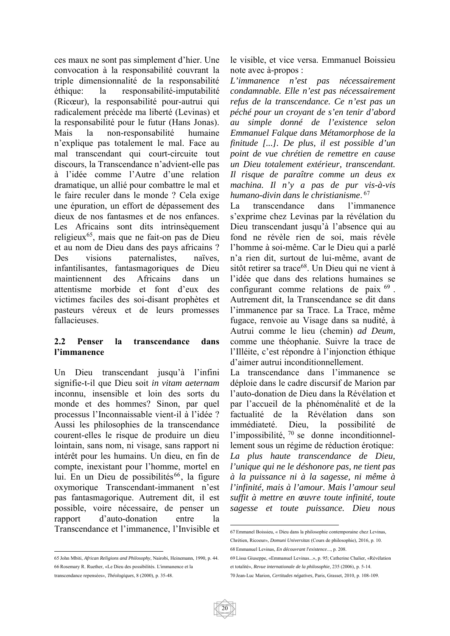ces maux ne sont pas simplement d'hier. Une convocation à la responsabilité couvrant la triple dimensionnalité de la responsabilité éthique: la responsabilité-imputabilité (Ricœur), la responsabilité pour-autrui qui radicalement précède ma liberté (Levinas) et la responsabilité pour le futur (Hans Jonas). Mais la non-responsabilité humaine n'explique pas totalement le mal. Face au mal transcendant qui court-circuite tout discours, la Transcendance n'advient-elle pas à l'idée comme l'Autre d'une relation dramatique, un allié pour combattre le mal et le faire reculer dans le monde ? Cela exige une épuration, un effort de dépassement des dieux de nos fantasmes et de nos enfances. Les Africains sont dits intrinsèquement religieux<sup>65</sup>, mais que ne fait-on pas de Dieu et au nom de Dieu dans des pays africains ? Des visions paternalistes, naïves, infantilisantes, fantasmagoriques de Dieu maintiennent des Africains dans un attentisme morbide et font d'eux des victimes faciles des soi-disant prophètes et pasteurs véreux et de leurs promesses fallacieuses.

#### **2.2 Penser la transcendance dans l'immanence**

Un Dieu transcendant jusqu'à l'infini signifie-t-il que Dieu soit *in vitam aeternam*  inconnu, insensible et loin des sorts du monde et des hommes? Sinon, par quel processus l'Inconnaissable vient-il à l'idée ? Aussi les philosophies de la transcendance courent-elles le risque de produire un dieu lointain, sans nom, ni visage, sans rapport ni intérêt pour les humains. Un dieu, en fin de compte, inexistant pour l'homme, mortel en lui. En un Dieu de possibilités<sup>66</sup>, la figure oxymorique Transcendant-immanent n'est pas fantasmagorique. Autrement dit, il est possible, voire nécessaire, de penser un rapport d'auto-donation entre la Transcendance et l'immanence, l'Invisible et

transcendance repensées», *Théologiques*, 8 (2000), p. 35-48.

le visible, et vice versa. Emmanuel Boissieu note avec à-propos :

*L'immanence n'est pas nécessairement condamnable. Elle n'est pas nécessairement refus de la transcendance. Ce n'est pas un péché pour un croyant de s'en tenir d'abord au simple donné de l'existence selon Emmanuel Falque dans Métamorphose de la finitude [...]. De plus, il est possible d'un point de vue chrétien de remettre en cause un Dieu totalement extérieur, transcendant. Il risque de paraître comme un deus ex machina. Il n'y a pas de pur vis-à-vis humano-divin dans le christianisme*. 67

La transcendance dans l'immanence s'exprime chez Levinas par la révélation du Dieu transcendant jusqu'à l'absence qui au fond ne révèle rien de soi, mais révèle l'homme à soi-même. Car le Dieu qui a parlé n'a rien dit, surtout de lui-même, avant de sitôt retirer sa trace<sup>68</sup>. Un Dieu qui ne vient à l'idée que dans des relations humaines se configurant comme relations de paix  $^{69}$ . Autrement dit, la Transcendance se dit dans l'immanence par sa Trace. La Trace, même fugace, renvoie au Visage dans sa nudité, à Autrui comme le lieu (chemin) *ad Deum,*  comme une théophanie. Suivre la trace de l'Illéite, c'est répondre à l'injonction éthique d'aimer autrui inconditionnellement.

La transcendance dans l'immanence se déploie dans le cadre discursif de Marion par l'auto-donation de Dieu dans la Révélation et par l'accueil de la phénoménalité et de la factualité de la Révélation dans son immédiateté. Dieu, la possibilité de l'impossibilité,  $70$  se donne inconditionnellement sous un régime de réduction érotique: *La plus haute transcendance de Dieu, l'unique qui ne le déshonore pas, ne tient pas à la puissance ni à la sagesse, ni même à l'infinité, mais à l'amour. Mais l'amour seul suffit à mettre en œuvre toute infinité, toute sagesse et toute puissance. Dieu nous* 

 65 John Mbiti, *African Religions and Philosophy*, Nairobi, Heinemann, 1990, p. 44. 66 Rosemary R. Ruether, «Le Dieu des possibilités. L'immanence et la

 67 Emmanel Boissieu, « Dieu dans la philosophie contemporaine chez Levinas, Chrétien, Ricoeur», *Domuni Universitas* (Cours de philosophie), 2016, p. 10. 68 Emmanuel Levinas, *En découvrant l'existence*..., p. 208.

<sup>69</sup> Lissa Giuseppe, «Emmanuel Levinas...», p. 95; Catherine Chalier, «Révélation et totalité», *Revue internationale de la philosophie*, 235 (2006), p. 5-14. 70 Jean-Luc Marion, *Certitudes négatives*, Paris, Grasset, 2010, p. 108-109.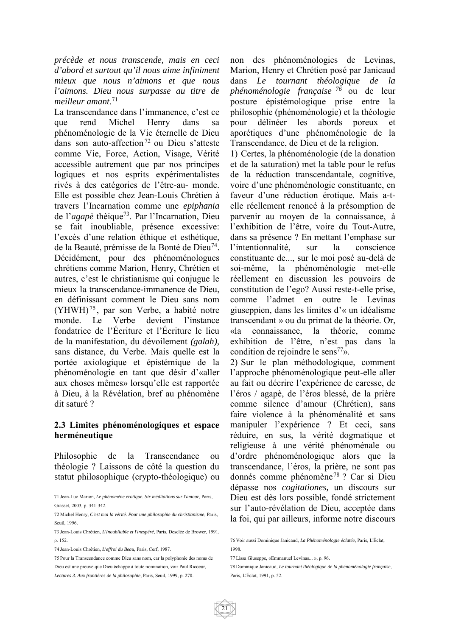*précède et nous transcende, mais en ceci d'abord et surtout qu'il nous aime infiniment mieux que nous n'aimons et que nous l'aimons. Dieu nous surpasse au titre de meilleur amant*. 71

La transcendance dans l'immanence, c'est ce que rend Michel Henry dans sa phénoménologie de la Vie éternelle de Dieu dans son auto-affection<sup>72</sup> ou Dieu s'atteste comme Vie, Force, Action, Visage, Vérité accessible autrement que par nos principes logiques et nos esprits expérimentalistes rivés à des catégories de l'être-au- monde. Elle est possible chez Jean-Louis Chrétien à travers l'Incarnation comme une *epiphania*  de l'*agapè* thèique73. Par l'Incarnation, Dieu se fait inoubliable, présence excessive: l'excès d'une relation éthique et esthétique, de la Beauté, prémisse de la Bonté de Dieu74. Décidément, pour des phénoménologues chrétiens comme Marion, Henry, Chrétien et autres, c'est le christianisme qui conjugue le mieux la transcendance-immanence de Dieu, en définissant comment le Dieu sans nom (YHWH) <sup>75</sup> , par son Verbe, a habité notre monde. Le Verbe devient l'instance fondatrice de l'Écriture et l'Écriture le lieu de la manifestation, du dévoilement *(galah),*  sans distance, du Verbe. Mais quelle est la portée axiologique et épistémique de la phénoménologie en tant que désir d'«aller aux choses mêmes» lorsqu'elle est rapportée à Dieu, à la Révélation, bref au phénomène dit saturé ?

#### **2.3 Limites phénoménologiques et espace herméneutique**

Philosophie de la Transcendance ou théologie ? Laissons de côté la question du statut philosophique (crypto-théologique) ou

Dieu est une preuve que Dieu échappe à toute nomination, voir Paul Ricoeur, *Lectures 3. Aux frontières de la philosophie*, Paris, Seuil, 1999, p. 270.

non des phénoménologies de Levinas, Marion, Henry et Chrétien posé par Janicaud dans *Le tournant théologique de la phénoménologie française <sup>76</sup>* ou de leur posture épistémologique prise entre la philosophie (phénoménologie) et la théologie pour délinéer les abords poreux et aporétiques d'une phénoménologie de la Transcendance, de Dieu et de la religion.

1) Certes, la phénoménologie (de la donation et de la saturation) met la table pour le refus de la réduction transcendantale, cognitive, voire d'une phénoménologie constituante, en faveur d'une réduction érotique. Mais a-telle réellement renoncé à la présomption de parvenir au moyen de la connaissance, à l'exhibition de l'être, voire du Tout-Autre, dans sa présence ? En mettant l'emphase sur l'intentionnalité, sur la conscience constituante de..., sur le moi posé au-delà de soi-même, la phénoménologie met-elle réellement en discussion les pouvoirs de constitution de l'ego? Aussi reste-t-elle prise, comme l'admet en outre le Levinas giuseppien, dans les limites d'« un idéalisme transcendant » ou du primat de la théorie. Or, «la connaissance, la théorie, comme exhibition de l'être, n'est pas dans la condition de rejoindre le sens<sup>77</sup>».

2) Sur le plan méthodologique, comment l'approche phénoménologique peut-elle aller au fait ou décrire l'expérience de caresse, de l'éros / agapè, de l'éros blessé, de la prière comme silence d'amour (Chrétien), sans faire violence à la phénoménalité et sans manipuler l'expérience ? Et ceci, sans réduire, en sus, la vérité dogmatique et religieuse à une vérité phénoménale ou d'ordre phénoménologique alors que la transcendance, l'éros, la prière, ne sont pas donnés comme phénomène78 ? Car si Dieu dépasse nos *cogitationes,* un discours sur Dieu est dès lors possible, fondé strictement sur l'auto-révélation de Dieu, acceptée dans la foi, qui par ailleurs, informe notre discours

 $\overline{a}$ 71 Jean-Luc Marion, *Le phénomène erotique. Six méditations sur l'amour*, Paris, Grasset, 2003, p. 341-342.

<sup>72</sup> Michel Henry, *C'est moi la vérité. Pour une philosophie du christianisme*, Paris, Seuil, 1996.

<sup>73</sup> Jean-Louis Chrétien, *L'Inoubliable et l'inespéré*, Paris, Desclée de Brower, 1991, p. 152.

<sup>74</sup> Jean-Louis Chrétien, *L'effroi du Beau*, Paris, Cerf, 1987.

<sup>75</sup> Pour la Transcendance comme Dieu sans nom, car la polyphonie des noms de

 76 Voir aussi Dominique Janicaud, *La Phénoménologie éclatée*, Paris, L'Éclat, 1998.

<sup>77</sup> Lissa Giuseppe, «Emmanuel Levinas... », p. 96.

<sup>78</sup> Dominique Janicaud, *Le tournant théologique de la phénoménologie française*, Paris, L'Éclat, 1991, p. 52.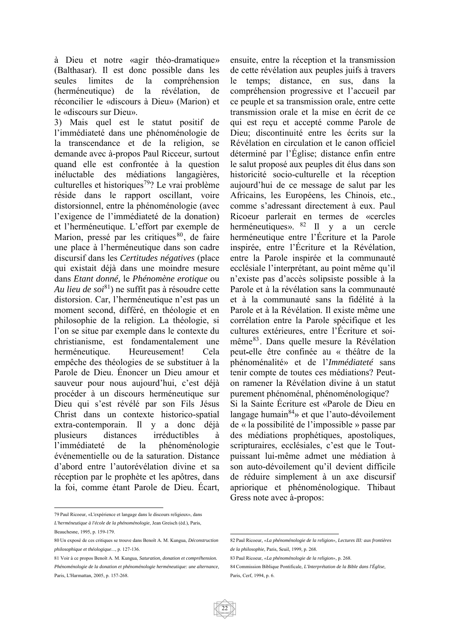à Dieu et notre «agir théo-dramatique» (Balthasar). Il est donc possible dans les seules limites de la compréhension (herméneutique) de la révélation, de réconcilier le «discours à Dieu» (Marion) et le «discours sur Dieu».

3) Mais quel est le statut positif de l'immédiateté dans une phénoménologie de la transcendance et de la religion, se demande avec à-propos Paul Ricceur, surtout quand elle est confrontée à la question inéluctable des médiations langagières, culturelles et historiques<sup>79</sup>? Le vrai problème réside dans le rapport oscillant, voire distorsionnel, entre la phénoménologie (avec l'exigence de l'immédiateté de la donation) et l'herméneutique. L'effort par exemple de Marion, pressé par les critiques<sup>80</sup>, de faire une place à l'herméneutique dans son cadre discursif dans les *Certitudes négatives* (place qui existait déjà dans une moindre mesure dans *Etant donné,* le *Phénomène erotique* ou *Au lieu de soi*81) ne suffit pas à résoudre cette distorsion. Car, l'herméneutique n'est pas un moment second, différé, en théologie et en philosophie de la religion. La théologie, si l'on se situe par exemple dans le contexte du christianisme, est fondamentalement une herméneutique. Heureusement! Cela empêche des théologies de se substituer à la Parole de Dieu. Énoncer un Dieu amour et sauveur pour nous aujourd'hui, c'est déjà procéder à un discours herméneutique sur Dieu qui s'est révélé par son Fils Jésus Christ dans un contexte historico-spatial extra-contemporain. Il y a donc déjà plusieurs distances irréductibles à l'immédiateté de la phénoménologie événementielle ou de la saturation. Distance d'abord entre l'autorévélation divine et sa réception par le prophète et les apôtres, dans la foi, comme étant Parole de Dieu. Écart,

79 Paul Ricoeur, «L'expérience et langage dans le discours religieux», dans *L'herméneutique à l'école de la phénoménologie*, Jean Greisch (éd.), Paris, Beauchesne, 1995, p. 159-179.

 $\overline{a}$ 

Paris, L'Harmattan, 2005, p. 157-268.

ensuite, entre la réception et la transmission de cette révélation aux peuples juifs à travers le temps; distance, en sus, dans la compréhension progressive et l'accueil par ce peuple et sa transmission orale, entre cette transmission orale et la mise en écrit de ce qui est reçu et accepté comme Parole de Dieu; discontinuité entre les écrits sur la Révélation en circulation et le canon officiel déterminé par l'Église; distance enfin entre le salut proposé aux peuples dit élus dans son historicité socio-culturelle et la réception aujourd'hui de ce message de salut par les Africains, les Européens, les Chinois, etc., comme s'adressant directement à eux. Paul Ricoeur parlerait en termes de «cercles herméneutiques». <sup>82</sup> Il y a un cercle herméneutique entre l'Écriture et la Parole inspirée, entre l'Écriture et la Révélation, entre la Parole inspirée et la communauté ecclésiale l'interprétant, au point même qu'il n'existe pas d'accès solipsiste possible à la Parole et à la révélation sans la communauté et à la communauté sans la fidélité à la Parole et à la Révélation. Il existe même une corrélation entre la Parole spécifique et les cultures extérieures, entre l'Écriture et soimême83. Dans quelle mesure la Révélation peut**-**elle être confinée au « théâtre de la phénoménalité» et de l'*Immédiateté* sans tenir compte de toutes ces médiations? Peuton ramener la Révélation divine à un statut purement phénoménal, phénoménologique? Si la Sainte Écriture est «Parole de Dieu en langage humain $84$ » et que l'auto-dévoilement de « la possibilité de l'impossible » passe par des médiations prophétiques, apostoliques, scripturaires, ecclésiales, c'est que le Toutpuissant lui-même admet une médiation à son auto-dévoilement qu'il devient difficile de réduire simplement à un axe discursif apriorique et phénoménologique. Thibaut Gress note avec à-propos:

<sup>80</sup> Un exposé de ces critiques se trouve dans Benoît A. M. Kungua, *Déconstruction philosophique et théologique*..., p. 127-136.

<sup>81</sup> Voir à ce propos Benoît A. M. Kungua, *Saturation, donation et compréhension. Phénoménologie de la donation et phénoménologie herméneutique: une alternance*,

 82 Paul Ricoeur*, «La phénoménologie de la religion», Lectures III: aux frontières de la philosophie*, Paris, Seuil, 1999, p. 268.

<sup>83</sup> Paul Ricoeur, *«La phénoménologie de la religion»*, p. 268.

<sup>84</sup> Commission Biblique Pontificale, *L'Interprétation de la Bible dans l'Église*, Paris, Cerf, 1994, p. 6.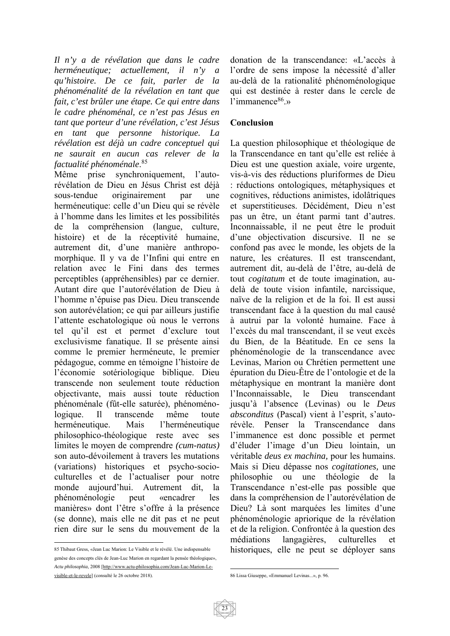*Il n'y a de révélation que dans le cadre herméneutique; actuellement, il n'y a qu'histoire. De ce fait, parler de la phénoménalité de la révélation en tant que fait, c'est brûler une étape. Ce qui entre dans le cadre phénoménal, ce n'est pas Jésus en tant que porteur d'une révélation, c'est Jésus en tant que personne historique. La révélation est déjà un cadre conceptuel qui ne saurait en aucun cas relever de la factualité phénoménale*. 85

Même prise synchroniquement, l'autorévélation de Dieu en Jésus Christ est déjà sous-tendue originairement par une herméneutique: celle d'un Dieu qui se révèle à l'homme dans les limites et les possibilités de la compréhension (langue, culture, histoire) et de la réceptivité humaine, autrement dit, d'une manière anthropomorphique. Il y va de l'Infini qui entre en relation avec le Fini dans des termes perceptibles (appréhensibles) par ce dernier. Autant dire que l'autorévélation de Dieu à l'homme n'épuise pas Dieu. Dieu transcende son autorévélation; ce qui par ailleurs justifie l'attente eschatologique où nous le verrons tel qu'il est et permet d'exclure tout exclusivisme fanatique. Il se présente ainsi comme le premier herméneute, le premier pédagogue, comme en témoigne l'histoire de l'économie sotériologique biblique. Dieu transcende non seulement toute réduction objectivante, mais aussi toute réduction phénoménale (fût-elle saturée), phénoménologique. Il transcende même toute herméneutique. Mais l'herméneutique philosophico-théologique reste avec ses limites le moyen de comprendre *(cum-natus)*  son auto-dévoilement à travers les mutations (variations) historiques et psycho-socioculturelles et de l'actualiser pour notre monde aujourd'hui. Autrement dit, la phénoménologie peut «encadrer les manières» dont l'être s'offre à la présence (se donne), mais elle ne dit pas et ne peut rien dire sur le sens du mouvement de la

 85 Thibaut Gress, «Jean Luc Marion: Le Visible et le révélé. Une indispensable genèse des concepts clés de Jean-Luc Marion en regardant la pensée théologique», *Actu philosophia*, 2008 [http://www.actu-philosophia.com/Jean-Luc-Marion-Levisible-et-le-revele] (consulté le 26 octobre 2018).

donation de la transcendance: «L'accès à l'ordre de sens impose la nécessité d'aller au-delà de la rationalité phénoménologique qui est destinée à rester dans le cercle de  $l'$ immanence $86.$ »

#### **Conclusion**

La question philosophique et théologique de la Transcendance en tant qu'elle est reliée à Dieu est une question axiale, voire urgente, vis-à-vis des réductions pluriformes de Dieu : réductions ontologiques, métaphysiques et cognitives, réductions animistes, idolâtriques et superstitieuses. Décidément, Dieu n'est pas un être, un étant parmi tant d'autres. Inconnaissable, il ne peut être le produit d'une objectivation discursive. Il ne se confond pas avec le monde, les objets de la nature, les créatures. Il est transcendant, autrement dit, au-delà de l'être, au-delà de tout *cogitatum* et de toute imagination, audelà de toute vision infantile, narcissique, naïve de la religion et de la foi. Il est aussi transcendant face à la question du mal causé à autrui par la volonté humaine. Face à l'excès du mal transcendant, il se veut excès du Bien, de la Béatitude. En ce sens la phénoménologie de la transcendance avec Levinas, Marion ou Chrétien permettent une épuration du Dieu-Être de l'ontologie et de la métaphysique en montrant la manière dont l'Inconnaissable, le Dieu transcendant jusqu'à l'absence (Levinas) ou le *Deus absconditus* (Pascal) vient à l'esprit, s'autorévèle. Penser la Transcendance dans l'immanence est donc possible et permet d'éluder l'image d'un Dieu lointain, un véritable *deus ex machina,* pour les humains. Mais si Dieu dépasse nos *cogitationes,* une philosophie ou une théologie de la Transcendance n'est-elle pas possible que dans la compréhension de l'autorévélation de Dieu? Là sont marquées les limites d'une phénoménologie apriorique de la révélation et de la religion. Confrontée à la question des médiations langagières, culturelles et historiques, elle ne peut se déployer sans

23

 86 Lissa Giuseppe, «Emmanuel Levinas...», p. 96.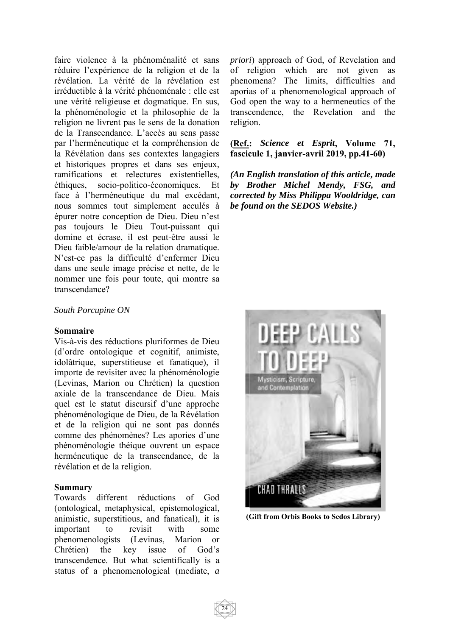faire violence à la phénoménalité et sans réduire l'expérience de la religion et de la révélation. La vérité de la révélation est irréductible à la vérité phénoménale : elle est une vérité religieuse et dogmatique. En sus, la phénoménologie et la philosophie de la religion ne livrent pas le sens de la donation de la Transcendance. L'accès au sens passe par l'herméneutique et la compréhension de la Révélation dans ses contextes langagiers et historiques propres et dans ses enjeux, ramifications et relectures existentielles, éthiques, socio-politico-économiques. Et face à l'herméneutique du mal excédant, nous sommes tout simplement acculés à épurer notre conception de Dieu. Dieu n'est pas toujours le Dieu Tout-puissant qui domine et écrase, il est peut-être aussi le Dieu faible/amour de la relation dramatique. N'est-ce pas la difficulté d'enfermer Dieu dans une seule image précise et nette, de le nommer une fois pour toute, qui montre sa transcendance?

#### *South Porcupine ON*

#### **Sommaire**

Vis-à-vis des réductions pluriformes de Dieu (d'ordre ontologique et cognitif, animiste, idolâtrique, superstitieuse et fanatique), il importe de revisiter avec la phénoménologie (Levinas, Marion ou Chrétien) la question axiale de la transcendance de Dieu. Mais quel est le statut discursif d'une approche phénoménologique de Dieu, de la Révélation et de la religion qui ne sont pas donnés comme des phénomènes? Les apories d'une phénoménologie théique ouvrent un espace herméneutique de la transcendance, de la révélation et de la religion.

#### **Summary**

Towards different réductions of God (ontological, metaphysical, epistemological, animistic, superstitious, and fanatical), it is important to revisit with some phenomenologists (Levinas, Marion or Chrétien) the key issue of God's transcendence. But what scientifically is a status of a phenomenological (mediate, *a* 

*priori*) approach of God, of Revelation and of religion which are not given as phenomena? The limits, difficulties and aporias of a phenomenological approach of God open the way to a hermeneutics of the transcendence, the Revelation and the religion.

**(Ref.:** *Science et Esprit***, Volume 71, fascicule 1, janvier-avril 2019, pp.41-60)** 

*(An English translation of this article, made by Brother Michel Mendy, FSG, and corrected by Miss Philippa Wooldridge, can be found on the SEDOS Website.)* 



 **(Gift from Orbis Books to Sedos Library)**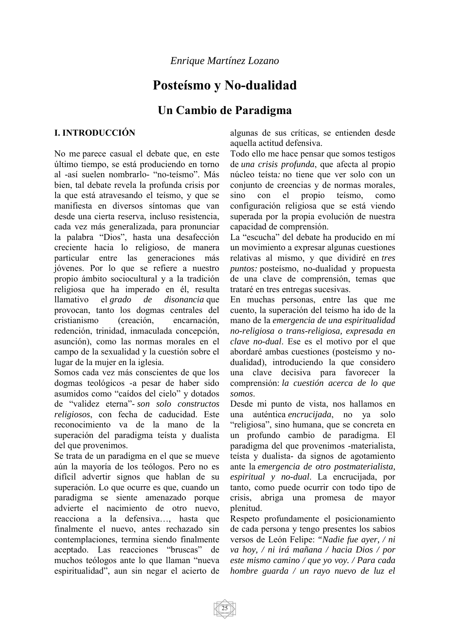# **Posteísmo y No-dualidad**

# **Un Cambio de Paradigma**

#### **I. INTRODUCCIÓN**

No me parece casual el debate que, en este último tiempo, se está produciendo en torno al -así suelen nombrarlo- "no-teísmo". Más bien, tal debate revela la profunda crisis por la que está atravesando el teísmo, y que se manifiesta en diversos síntomas que van desde una cierta reserva, incluso resistencia, cada vez más generalizada, para pronunciar la palabra "Dios", hasta una desafección creciente hacia lo religioso, de manera particular entre las generaciones más jóvenes. Por lo que se refiere a nuestro propio ámbito sociocultural y a la tradición religiosa que ha imperado en él, resulta llamativo el *grado de disonancia* que provocan, tanto los dogmas centrales del cristianismo (creación, encarnación, redención, trinidad, inmaculada concepción, asunción), como las normas morales en el campo de la sexualidad y la cuestión sobre el lugar de la mujer en la iglesia.

Somos cada vez más conscientes de que los dogmas teológicos -a pesar de haber sido asumidos como "caídos del cielo" y dotados de "validez eterna"- *son solo constructos religiosos*, con fecha de caducidad. Este reconocimiento va de la mano de la superación del paradigma teísta y dualista del que provenimos.

Se trata de un paradigma en el que se mueve aún la mayoría de los teólogos. Pero no es difícil advertir signos que hablan de su superación. Lo que ocurre es que, cuando un paradigma se siente amenazado porque advierte el nacimiento de otro nuevo, reacciona a la defensiva…, hasta que finalmente el nuevo, antes rechazado sin contemplaciones, termina siendo finalmente aceptado. Las reacciones "bruscas" de muchos teólogos ante lo que llaman "nueva espiritualidad", aun sin negar el acierto de

algunas de sus críticas, se entienden desde aquella actitud defensiva.

Todo ello me hace pensar que somos testigos de *una crisis profunda*, que afecta al propio núcleo teísta*:* no tiene que ver solo con un conjunto de creencias y de normas morales, sino con el propio teísmo, como configuración religiosa que se está viendo superada por la propia evolución de nuestra capacidad de comprensión.

La "escucha" del debate ha producido en mí un movimiento a expresar algunas cuestiones relativas al mismo, y que dividiré en *tres puntos:* posteísmo, no-dualidad y propuesta de una clave de comprensión, temas que trataré en tres entregas sucesivas.

En muchas personas, entre las que me cuento, la superación del teísmo ha ido de la mano de la *emergencia de una espiritualidad no-religiosa o trans-religiosa, expresada en clave no-dual*. Ese es el motivo por el que abordaré ambas cuestiones (posteísmo y nodualidad), introduciendo la que considero una clave decisiva para favorecer la comprensión: *la cuestión acerca de lo que somos*.

Desde mi punto de vista, nos hallamos en una auténtica *encrucijada*, no ya solo "religiosa", sino humana, que se concreta en un profundo cambio de paradigma. El paradigma del que provenimos -materialista, teísta y dualista- da signos de agotamiento ante la *emergencia de otro postmaterialista, espiritual y no-dual*. La encrucijada, por tanto, como puede ocurrir con todo tipo de crisis, abriga una promesa de mayor plenitud.

Respeto profundamente el posicionamiento de cada persona y tengo presentes los sabios versos de León Felipe: *"Nadie fue ayer, / ni va hoy, / ni irá mañana / hacia Dios / por este mismo camino / que yo voy. / Para cada hombre guarda / un rayo nuevo de luz el* 

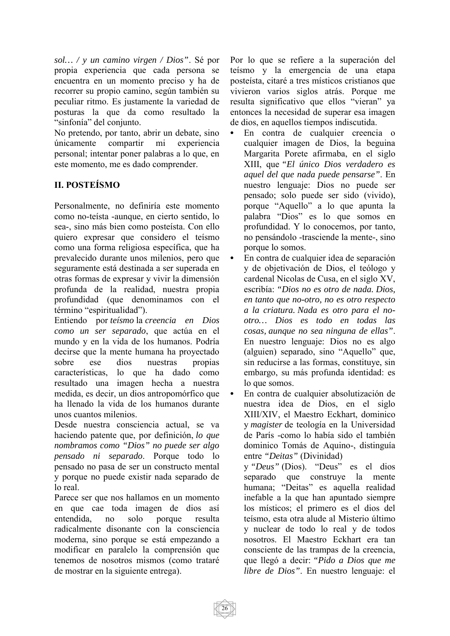*sol… / y un camino virgen / Dios"*. Sé por propia experiencia que cada persona se encuentra en un momento preciso y ha de recorrer su propio camino, según también su peculiar ritmo. Es justamente la variedad de posturas la que da como resultado la "sinfonía" del conjunto.

No pretendo, por tanto, abrir un debate, sino únicamente compartir mi experiencia personal; intentar poner palabras a lo que, en este momento, me es dado comprender.

### **II. POSTEÍSMO**

Personalmente, no definiría este momento como no-teísta -aunque, en cierto sentido, lo sea-, sino más bien como posteísta. Con ello quiero expresar que considero el teísmo como una forma religiosa específica, que ha prevalecido durante unos milenios, pero que seguramente está destinada a ser superada en otras formas de expresar y vivir la dimensión profunda de la realidad, nuestra propia profundidad (que denominamos con el término "espiritualidad").

Entiendo por *teísmo* la *creencia en Dios como un ser separado*, que actúa en el mundo y en la vida de los humanos. Podría decirse que la mente humana ha proyectado sobre ese dios nuestras propias características, lo que ha dado como resultado una imagen hecha a nuestra medida, es decir, un dios antropomórfico que ha llenado la vida de los humanos durante unos cuantos milenios.

Desde nuestra consciencia actual, se va haciendo patente que, por definición, *lo que nombramos como "Dios" no puede ser algo pensado ni separado*. Porque todo lo pensado no pasa de ser un constructo mental y porque no puede existir nada separado de lo real.

Parece ser que nos hallamos en un momento en que cae toda imagen de dios así entendida, no solo porque resulta radicalmente disonante con la consciencia moderna, sino porque se está empezando a modificar en paralelo la comprensión que tenemos de nosotros mismos (como trataré de mostrar en la siguiente entrega).

Por lo que se refiere a la superación del teísmo y la emergencia de una etapa posteísta, citaré a tres místicos cristianos que vivieron varios siglos atrás. Porque me resulta significativo que ellos "vieran" ya entonces la necesidad de superar esa imagen de dios, en aquellos tiempos indiscutida.

- x En contra de cualquier creencia o cualquier imagen de Dios, la beguina Margarita Porete afirmaba, en el siglo XIII, que *"El único Dios verdadero es aquel del que nada puede pensarse"*. En nuestro lenguaje: Dios no puede ser pensado; solo puede ser sido (vivido), porque "Aquello" a lo que apunta la palabra "Dios" es lo que somos en profundidad. Y lo conocemos, por tanto, no pensándolo -trasciende la mente-, sino porque lo somos.
- x En contra de cualquier idea de separación y de objetivación de Dios, el teólogo y cardenal Nicolas de Cusa, en el siglo XV, escribía: *"Dios no es otro de nada. Dios, en tanto que no-otro, no es otro respecto a la criatura. Nada es otro para el nootro… Dios es todo en todas las cosas, aunque no sea ninguna de ellas"*. En nuestro lenguaje: Dios no es algo (alguien) separado, sino "Aquello" que, sin reducirse a las formas, constituye, sin embargo, su más profunda identidad: es lo que somos.
- En contra de cualquier absolutización de nuestra idea de Dios, en el siglo XIII/XIV, el Maestro Eckhart, dominico y *magister* de teología en la Universidad de París -como lo había sido el también dominico Tomás de Aquino-, distinguía entre *"Deitas"* (Divinidad)

y *"Deus"* (Dios). "Deus" es el dios separado que construye la mente humana; "Deitas" es aquella realidad inefable a la que han apuntado siempre los místicos; el primero es el dios del teísmo, esta otra alude al Misterio último y nuclear de todo lo real y de todos nosotros. El Maestro Eckhart era tan consciente de las trampas de la creencia, que llegó a decir: *"Pido a Dios que me libre de Dios"*. En nuestro lenguaje: el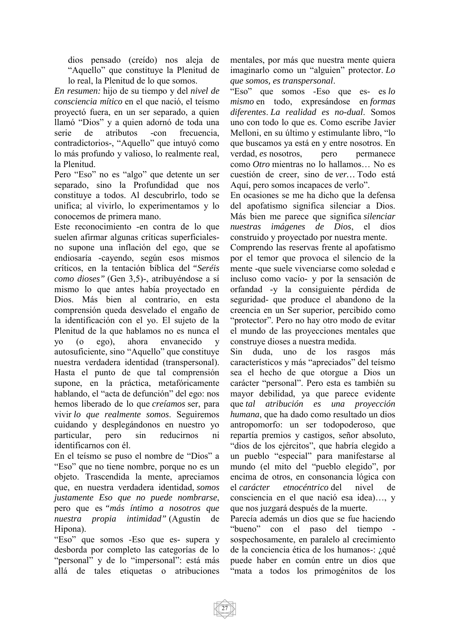dios pensado (creído) nos aleja de "Aquello" que constituye la Plenitud de lo real, la Plenitud de lo que somos.

*En resumen:* hijo de su tiempo y del *nivel de consciencia mítico* en el que nació, el teísmo proyectó fuera, en un ser separado, a quien llamó "Dios" y a quien adornó de toda una serie de atributos -con frecuencia, contradictorios-, "Aquello" que intuyó como lo más profundo y valioso, lo realmente real, la Plenitud.

Pero "Eso" no es "algo" que detente un ser separado, sino la Profundidad que nos constituye a todos. Al descubrirlo, todo se unifica; al vivirlo, lo experimentamos y lo conocemos de primera mano.

Este reconocimiento -en contra de lo que suelen afirmar algunas críticas superficialesno supone una inflación del ego, que se endiosaría -cayendo, según esos mismos críticos, en la tentación bíblica del *"Seréis como dioses"* (Gen 3,5)-, atribuyéndose a sí mismo lo que antes había proyectado en Dios. Más bien al contrario, en esta comprensión queda desvelado el engaño de la identificación con el yo. El sujeto de la Plenitud de la que hablamos no es nunca el yo (o ego), ahora envanecido y autosuficiente, sino "Aquello" que constituye nuestra verdadera identidad (transpersonal). Hasta el punto de que tal comprensión supone, en la práctica, metafóricamente hablando, el "acta de defunción" del ego: nos hemos liberado de lo que *creíamos* ser, para vivir *lo que realmente somos*. Seguiremos cuidando y desplegándonos en nuestro yo particular, pero sin reducirnos ni identificarnos con él.

En el teísmo se puso el nombre de "Dios" a "Eso" que no tiene nombre, porque no es un objeto. Trascendida la mente, apreciamos que, en nuestra verdadera identidad, *somos justamente Eso que no puede nombrarse*, pero que es *"más íntimo a nosotros que nuestra propia intimidad"* (Agustín de Hipona).

"Eso" que somos -Eso que es- supera y desborda por completo las categorías de lo "personal" y de lo "impersonal": está más allá de tales etiquetas o atribuciones mentales, por más que nuestra mente quiera imaginarlo como un "alguien" protector. *Lo que somos, es transpersonal*.

"Eso" que somos -Eso que es- es *lo mismo* en todo, expresándose en *formas diferentes*. *La realidad es no-dual*. Somos uno con todo lo que es. Como escribe Javier Melloni, en su último y estimulante libro, "lo que buscamos ya está en y entre nosotros. En verdad, *es* nosotros, pero permanece como *Otro* mientras no lo hallamos… No es cuestión de creer, sino de *ver…* Todo está Aquí, pero somos incapaces de verlo".

En ocasiones se me ha dicho que la defensa del apofatismo significa silenciar a Dios. Más bien me parece que significa *silenciar nuestras imágenes de Dios*, el dios construido y proyectado por nuestra mente.

Comprendo las reservas frente al apofatismo por el temor que provoca el silencio de la mente -que suele vivenciarse como soledad e incluso como vacío- y por la sensación de orfandad -y la consiguiente pérdida de seguridad- que produce el abandono de la creencia en un Ser superior, percibido como "protector". Pero no hay otro modo de evitar el mundo de las proyecciones mentales que construye dioses a nuestra medida.

Sin duda, uno de los rasgos más característicos y más "apreciados" del teísmo sea el hecho de que otorgue a Dios un carácter "personal". Pero esta es también su mayor debilidad, ya que parece evidente que *tal atribución es una proyección humana*, que ha dado como resultado un dios antropomorfo: un ser todopoderoso, que repartía premios y castigos, señor absoluto, "dios de los ejércitos", que habría elegido a un pueblo "especial" para manifestarse al mundo (el mito del "pueblo elegido", por encima de otros, en consonancia lógica con el *carácter etnocéntrico* del nivel de consciencia en el que nació esa idea)…, y que nos juzgará después de la muerte.

Parecía además un dios que se fue haciendo "bueno" con el paso del tiempo sospechosamente, en paralelo al crecimiento de la conciencia ética de los humanos-: ¿qué puede haber en común entre un dios que "mata a todos los primogénitos de los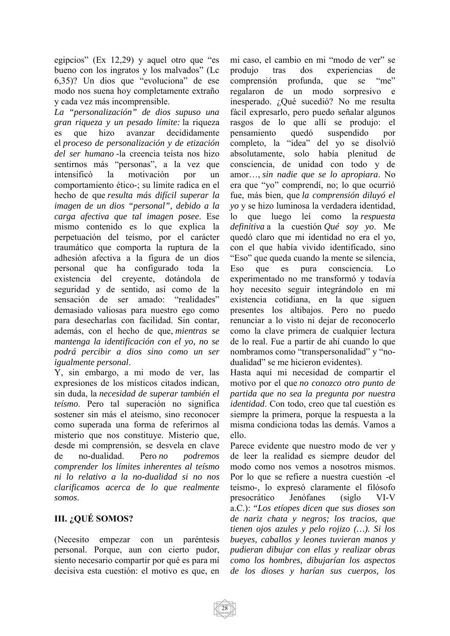egipcios" (Ex 12,29) y aquel otro que "es bueno con los ingratos y los malvados" (Lc 6,35)? Un dios que "evoluciona" de ese modo nos suena hoy completamente extraño y cada vez más incomprensible.

*La "personalización" de dios supuso una gran riqueza y un pesado límite:* la riqueza es que hizo avanzar decididamente el *proceso de personalización y de etización del ser humano* -la creencia teísta nos hizo sentirnos más "personas", a la vez que intensificó la motivación por un comportamiento ético-; su límite radica en el hecho de que *resulta más difícil superar la imagen de un dios "personal", debido a la carga afectiva que tal imagen posee*. Ese mismo contenido es lo que explica la perpetuación del teísmo, por el carácter traumático que comporta la ruptura de la adhesión afectiva a la figura de un dios personal que ha configurado toda la existencia del creyente, dotándola de seguridad y de sentido, así como de la sensación de ser amado: "realidades" demasiado valiosas para nuestro ego como para desecharlas con facilidad. Sin contar, además, con el hecho de que, *mientras se mantenga la identificación con el yo, no se podrá percibir a dios sino como un ser igualmente personal*.

Y, sin embargo, a mi modo de ver, las expresiones de los místicos citados indican, sin duda, la *necesidad de superar también el teísmo*. Pero tal superación no significa sostener sin más el ateísmo, sino reconocer como superada una forma de referirnos al misterio que nos constituye. Misterio que, desde mi comprensión, se desvela en clave de no-dualidad. Pero *no podremos comprender los límites inherentes al teísmo ni lo relativo a la no-dualidad si no nos clarificamos acerca de lo que realmente somos*.

#### **III. ¿QUÉ SOMOS?**

(Necesito empezar con un paréntesis personal. Porque, aun con cierto pudor, siento necesario compartir por qué es para mí decisiva esta cuestión: el motivo es que, en

mi caso, el cambio en mi "modo de ver" se produjo tras dos experiencias de comprensión profunda, que se "me" regalaron de un modo sorpresivo e inesperado. ¿Qué sucedió? No me resulta fácil expresarlo, pero puedo señalar algunos rasgos de lo que allí se produjo: el pensamiento quedó suspendido por completo, la "idea" del yo se disolvió absolutamente, solo había plenitud de consciencia, de unidad con todo y de amor…, *sin nadie que se lo apropiara*. No era que "yo" comprendí, no; lo que ocurrió fue, más bien, que *la comprensión diluyó el yo* y se hizo luminosa la verdadera identidad, lo que luego leí como la *respuesta definitiva* a la cuestión *Qué soy yo*. Me quedó claro que mi identidad no era el yo, con el que había vivido identificado, sino "Eso" que queda cuando la mente se silencia, Eso que es pura consciencia. Lo experimentado no me transformó y todavía hoy necesito seguir integrándolo en mi existencia cotidiana, en la que siguen presentes los altibajos. Pero no puedo renunciar a lo visto ni dejar de reconocerlo como la clave primera de cualquier lectura de lo real. Fue a partir de ahí cuando lo que nombramos como "transpersonalidad" y "nodualidad" se me hicieron evidentes).

Hasta aquí mi necesidad de compartir el motivo por el que *no conozco otro punto de partida que no sea la pregunta por nuestra identidad*. Con todo, creo que tal cuestión es siempre la primera, porque la respuesta a la misma condiciona todas las demás. Vamos a ello.

Parece evidente que nuestro modo de ver y de leer la realidad es siempre deudor del modo como nos vemos a nosotros mismos. Por lo que se refiere a nuestra cuestión -el teísmo-, lo expresó claramente el filósofo presocrático Jenófanes (siglo VI-V a.C.): *"Los etíopes dicen que sus dioses son de nariz chata y negros; los tracios, que tienen ojos azules y pelo rojizo (…). Si los bueyes, caballos y leones tuvieran manos y pudieran dibujar con ellas y realizar obras como los hombres, dibujarían los aspectos de los dioses y harían sus cuerpos, los* 

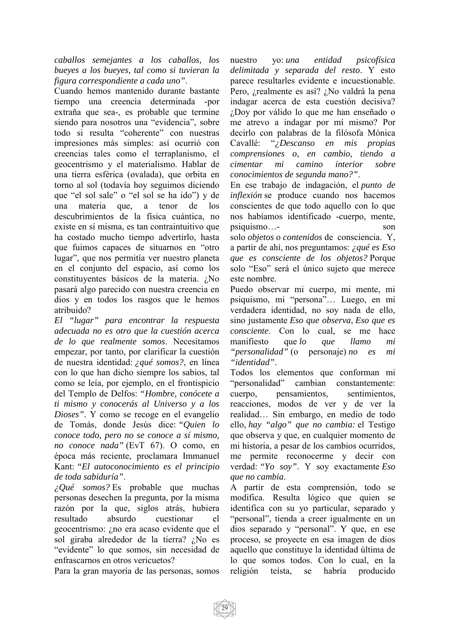*caballos semejantes a los caballos, los bueyes a los bueyes, tal como si tuvieran la figura correspondiente a cada uno"*.

Cuando hemos mantenido durante bastante tiempo una creencia determinada -por extraña que sea-, es probable que termine siendo para nosotros una "evidencia", sobre todo si resulta "coherente" con nuestras impresiones más simples: así ocurrió con creencias tales como el terraplanismo, el geocentrismo y el materialismo. Hablar de una tierra esférica (ovalada), que orbita en torno al sol (todavía hoy seguimos diciendo que "el sol sale" o "el sol se ha ido") y de una materia que, a tenor de los descubrimientos de la física cuántica, no existe en sí misma, es tan contraintuitivo que ha costado mucho tiempo advertirlo, hasta que fuimos capaces de situarnos en "otro lugar", que nos permitía ver nuestro planeta en el conjunto del espacio, así como los constituyentes básicos de la materia. ¿No pasará algo parecido con nuestra creencia en dios y en todos los rasgos que le hemos atribuido?

*El "lugar" para encontrar la respuesta adecuada no es otro que la cuestión acerca de lo que realmente somos*. Necesitamos empezar, por tanto, por clarificar la cuestión de nuestra identidad: *¿qué somos?*, en línea con lo que han dicho siempre los sabios, tal como se leía, por ejemplo, en el frontispicio del Templo de Delfos: *"Hombre, conócete a ti mismo y conocerás al Universo y a los Dioses"*. Y como se recoge en el evangelio de Tomás, donde Jesús dice: *"Quien lo conoce todo, pero no se conoce a sí mismo, no conoce nada"* (EvT 67). O como, en época más reciente, proclamara Immanuel Kant: *"El autoconocimiento es el principio de toda sabiduría"*.

*¿Qué somos?* Es probable que muchas personas desechen la pregunta, por la misma razón por la que, siglos atrás, hubiera resultado absurdo cuestionar el geocentrismo: ¿no era acaso evidente que el sol giraba alrededor de la tierra? ¿No es "evidente" lo que somos, sin necesidad de enfrascarnos en otros vericuetos?

Para la gran mayoría de las personas, somos

nuestro yo: *una entidad psicofísica delimitada y separada del resto*. Y esto parece resultarles evidente e incuestionable. Pero, ¿realmente es así? ¿No valdrá la pena indagar acerca de esta cuestión decisiva? ¿Doy por válido lo que me han enseñado o me atrevo a indagar por mí mismo? Por decirlo con palabras de la filósofa Mónica Cavallé: "*¿Descanso en mis propias comprensiones o, en cambio, tiendo a cimentar mi camino interior sobre conocimientos de segunda mano?"*.

En ese trabajo de indagación, el *punto de inflexión* se produce cuando nos hacemos conscientes de que todo aquello con lo que nos habíamos identificado -cuerpo, mente, psiquismo…- son solo *objetos* o *contenidos* de consciencia. Y, a partir de ahí, nos preguntamos: *¿qué es Eso que es consciente de los objetos?* Porque solo "Eso" será el único sujeto que merece este nombre.

Puedo observar mi cuerpo, mi mente, mi psiquismo, mi "persona"… Luego, en mi verdadera identidad, no soy nada de ello, sino justamente *Eso que observa*, *Eso que es consciente*. Con lo cual, se me hace manifiesto que *lo que llamo mi "personalidad"* (o personaje) *no es mi "identidad"*.

Todos los elementos que conforman mi "personalidad" cambian constantemente: cuerpo, pensamientos, sentimientos, reacciones, modos de ver y de ver la realidad… Sin embargo, en medio de todo ello, *hay "algo" que no cambia:* el Testigo que observa y que, en cualquier momento de mi historia, a pesar de los cambios ocurridos, me permite reconocerme y decir con verdad: *"Yo soy"*. Y soy exactamente *Eso que no cambia*.

A partir de esta comprensión, todo se modifica. Resulta lógico que quien se identifica con su yo particular, separado y "personal", tienda a creer igualmente en un dios separado y "personal". Y que, en ese proceso, se proyecte en esa imagen de dios aquello que constituye la identidad última de lo que somos todos. Con lo cual, en la religión teísta, se habría producido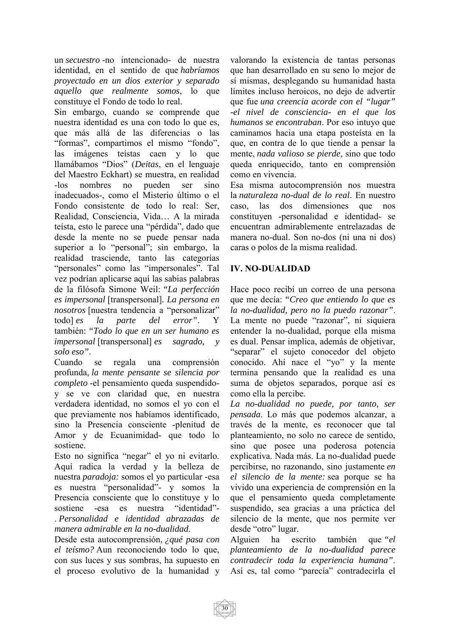un *secuestro* -no intencionado- de nuestra identidad, en el sentido de que *habríamos proyectado en un dios exterior y separado aquello que realmente somos*, lo que constituye el Fondo de todo lo real.

Sin embargo, cuando se comprende que nuestra identidad es una con todo lo que es, que más allá de las diferencias o las "formas", compartimos el mismo "fondo", las imágenes teístas caen y lo que llamábamos "Dios" (*Deitas*, en el lenguaje del Maestro Eckhart) se muestra, en realidad -los nombres no pueden ser sino inadecuados-, como el Misterio último o el Fondo consistente de todo lo real: Ser, Realidad, Consciencia, Vida… A la mirada teísta, esto le parece una "pérdida", dado que desde la mente no se puede pensar nada superior a lo "personal"; sin embargo, la realidad trasciende, tanto las categorías "personales" como las "impersonales". Tal vez podrían aplicarse aquí las sabias palabras de la filósofa Simone Weil: *"La perfección es impersonal* [transpersonal]*. La persona en nosotros* [nuestra tendencia a "personalizar" todo] *es la parte del error"*. Y también: *"Todo lo que en un ser humano es impersonal* [transpersonal] *es sagrado, y solo eso"*.

Cuando se regala una comprensión profunda, *la mente pensante se silencia por completo* -el pensamiento queda suspendidoy se ve con claridad que, en nuestra verdadera identidad, no somos el yo con el que previamente nos habíamos identificado, sino la Presencia consciente -plenitud de Amor y de Ecuanimidad- que todo lo sostiene.

Esto no significa "negar" el yo ni evitarlo. Aquí radica la verdad y la belleza de nuestra *paradoja:* somos el yo particular -esa es nuestra "personalidad"- y somos la Presencia consciente que lo constituye y lo sostiene -esa es nuestra "identidad"- . *Personalidad e identidad abrazadas de manera admirable en la no-dualidad*.

Desde esta autocomprensión, *¿qué pasa con el teísmo?* Aun reconociendo todo lo que, con sus luces y sus sombras, ha supuesto en el proceso evolutivo de la humanidad y

valorando la existencia de tantas personas que han desarrollado en su seno lo mejor de sí mismas, desplegando su humanidad hasta límites incluso heroicos, no dejo de advertir que fue *una creencia acorde con el "lugar" -el nivel de consciencia- en el que los humanos se encontraban*. Por eso intuyo que caminamos hacia una etapa posteísta en la que, en contra de lo que tiende a pensar la mente, *nada valioso se pierde*, sino que todo queda enriquecido, tanto en comprensión como en vivencia.

Esa misma autocomprensión nos muestra la *naturaleza no-dual de lo real*. En nuestro caso, las dos dimensiones que nos constituyen -personalidad e identidad- se encuentran admirablemente entrelazadas de manera no-dual. Son no-dos (ni una ni dos) caras o polos de la misma realidad.

#### **IV. NO-DUALIDAD**

Hace poco recibí un correo de una persona que me decía: *"Creo que entiendo lo que es la no-dualidad, pero no la puedo razonar"*. La mente no puede "razonar", ni siquiera entender la no-dualidad, porque ella misma es dual. Pensar implica, además de objetivar, "separar" el sujeto conocedor del objeto conocido. Ahí nace el "yo" y la mente termina pensando que la realidad es una suma de objetos separados, porque así es como ella la percibe.

*La no-dualidad no puede, por tanto, ser pensada*. Lo más que podemos alcanzar, a través de la mente, es reconocer que tal planteamiento, no solo no carece de sentido, sino que posee una poderosa potencia explicativa. Nada más. La no-dualidad puede percibirse, no razonando, sino justamente *en el silencio de la mente:* sea porque se ha vivido una experiencia de comprensión en la que el pensamiento queda completamente suspendido, sea gracias a una práctica del silencio de la mente, que nos permite ver desde "otro" lugar.

Alguien ha escrito también que *"el planteamiento de la no-dualidad parece contradecir toda la experiencia humana"*. Así es, tal como "parecía" contradecirla el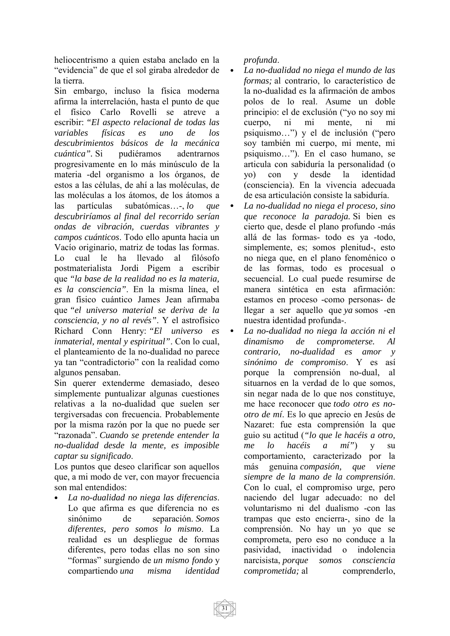heliocentrismo a quien estaba anclado en la "evidencia" de que el sol giraba alrededor de la tierra.

Sin embargo, incluso la física moderna afirma la interrelación, hasta el punto de que el físico Carlo Rovelli se atreve a escribir: *"El aspecto relacional de todas las variables físicas es uno de los descubrimientos básicos de la mecánica cuántica".* Si pudiéramos adentrarnos progresivamente en lo más minúsculo de la materia -del organismo a los órganos, de estos a las células, de ahí a las moléculas, de las moléculas a los átomos, de los átomos a las partículas subatómicas…-, *lo que descubriríamos al final del recorrido serían ondas de vibración, cuerdas vibrantes y campos cuánticos*. Todo ello apunta hacia un Vacío originario, matriz de todas las formas. Lo cual le ha llevado al filósofo postmaterialista Jordi Pigem a escribir que *"la base de la realidad no es la materia, es la consciencia"*. En la misma línea, el gran físico cuántico James Jean afirmaba que *"el universo material se deriva de la consciencia, y no al revés"*. Y el astrofísico Richard Conn Henry: *"El universo es inmaterial, mental y espiritual"*. Con lo cual, el planteamiento de la no-dualidad no parece ya tan "contradictorio" con la realidad como algunos pensaban.

Sin querer extenderme demasiado, deseo simplemente puntualizar algunas cuestiones relativas a la no-dualidad que suelen ser tergiversadas con frecuencia. Probablemente por la misma razón por la que no puede ser "razonada". *Cuando se pretende entender la no-dualidad desde la mente, es imposible captar su significado*.

Los puntos que deseo clarificar son aquellos que, a mi modo de ver, con mayor frecuencia son mal entendidos:

x *La no-dualidad no niega las diferencias*. Lo que afirma es que diferencia no es sinónimo de separación. *Somos diferentes, pero somos lo mismo*. La realidad es un despliegue de formas diferentes, pero todas ellas no son sino "formas" surgiendo de *un mismo fondo* y compartiendo *una misma identidad*  *profunda*.

- x *La no-dualidad no niega el mundo de las formas;* al contrario, lo característico de la no-dualidad es la afirmación de ambos polos de lo real. Asume un doble principio: el de exclusión ("yo no soy mi cuerpo, ni mi mente, ni mi psiquismo…") y el de inclusión ("pero soy también mi cuerpo, mi mente, mi psiquismo…"). En el caso humano, se articula con sabiduría la personalidad (o yo) con y desde la identidad (consciencia). En la vivencia adecuada de esa articulación consiste la sabiduría.
- x *La no-dualidad no niega el proceso, sino que reconoce la paradoja.* Si bien es cierto que, desde el plano profundo -más allá de las formas- todo es ya -todo, simplemente, es; somos plenitud-, esto no niega que, en el plano fenoménico o de las formas, todo es procesual o secuencial. Lo cual puede resumirse de manera sintética en esta afirmación: estamos en proceso -como personas- de llegar a ser aquello que *ya* somos -en nuestra identidad profunda-.
- x *La no-dualidad no niega la acción ni el dinamismo de comprometerse. Al contrario, no-dualidad es amor y sinónimo de compromiso*. Y es así porque la comprensión no-dual, al situarnos en la verdad de lo que somos, sin negar nada de lo que nos constituye, me hace reconocer que *todo otro es nootro de mí*. Es lo que aprecio en Jesús de Nazaret: fue esta comprensión la que guio su actitud (*"lo que le hacéis a otro, me lo hacéis a mí"*) y su comportamiento, caracterizado por la más genuina *compasión, que viene siempre de la mano de la comprensión*. Con lo cual, el compromiso urge, pero naciendo del lugar adecuado: no del voluntarismo ni del dualismo -con las trampas que esto encierra-, sino de la comprensión. No hay un yo que se comprometa, pero eso no conduce a la pasividad, inactividad o indolencia narcisista, *porque somos consciencia comprometida;* al comprenderlo,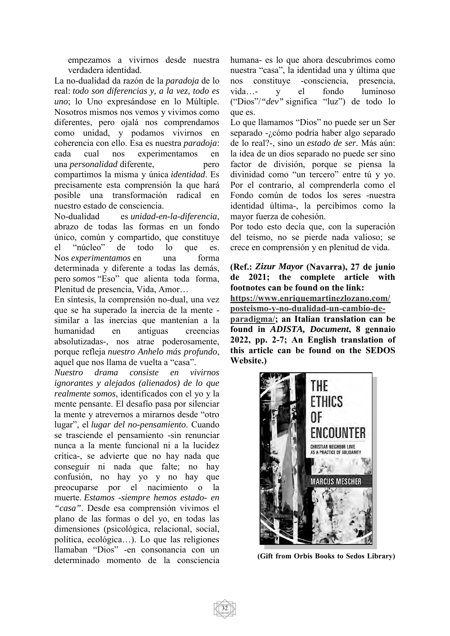empezamos a vivirnos desde nuestra verdadera identidad.

La no-dualidad da razón de la *paradoja* de lo real: *todo son diferencias y, a la vez, todo es uno*; lo Uno expresándose en lo Múltiple. Nosotros mismos nos vemos y vivimos como diferentes, pero ojalá nos comprendamos como unidad, y podamos vivirnos en coherencia con ello. Esa es nuestra *paradoja*: cada cual nos experimentamos en una *personalidad* diferente, pero compartimos la misma y única *identidad*. Es precisamente esta comprensión la que hará posible una transformación radical nuestro estado de consciencia.

No-dualidad es *unidad-en-la-diferencia*, abrazo de todas las formas en un fondo único, común y compartido, que constituye el "núcleo" de todo lo que es. Nos *experimentamos* en una forma determinada y diferente a todas las demás, pero *somos* "Eso" que alienta toda forma, Plenitud de presencia, Vida, Amor…

En síntesis, la comprensión no-dual, una vez que se ha superado la inercia de la mente similar a las inercias que mantenían a la humanidad en antiguas creencias absolutizadas-, nos atrae poderosamente, porque refleja *nuestro Anhelo más profundo*, aquel que nos llama de vuelta a "casa".

*Nuestro drama consiste en vivirnos ignorantes y alejados (alienados) de lo que realmente somos*, identificados con el yo y la mente pensante. El desafío pasa por silenciar la mente y atrevernos a mirarnos desde "otro lugar", el *lugar del no-pensamiento*. Cuando se trasciende el pensamiento -sin renunciar nunca a la mente funcional ni a la lucidez crítica-, se advierte que no hay nada que conseguir ni nada que falte; no hay confusión, no hay yo y no hay que preocuparse por el nacimiento o la muerte. *Estamos -siempre hemos estado- en "casa"*. Desde esa comprensión vivimos el plano de las formas o del yo, en todas las dimensiones (psicológica, relacional, social, política, ecológica…). Lo que las religiones llamaban "Dios" -en consonancia con un determinado momento de la consciencia humana- es lo que ahora descubrimos como nuestra "casa", la identidad una y última que nos constituye -consciencia, presencia, vida…- y el fondo luminoso ("Dios"/*"dev"* significa "luz") de todo lo que es.

Lo que llamamos "Dios" no puede ser un Ser separado -¿cómo podría haber algo separado de lo real?-, sino un *estado de ser*. Más aún: la idea de un dios separado no puede ser sino factor de división, porque se piensa la divinidad como "un tercero" entre tú y yo. Por el contrario, al comprenderla como el Fondo común de todos los seres -nuestra identidad última-, la percibimos como la mayor fuerza de cohesión.

Por todo esto decía que, con la superación del teísmo, no se pierde nada valioso; se crece en comprensión y en plenitud de vida.

**(Ref.:** *Zizur Mayor* **(Navarra), 27 de junio de 2021; the complete article with footnotes can be found on the link: https://www.enriquemartinezlozano.com/ posteismo-y-no-dualidad-un-cambio-deparadigma/; an Italian translation can be found in** *ADISTA, Document***, 8 gennaio 2022, pp. 2-7; An English translation of this article can be found on the SEDOS Website.)** 



 **(Gift from Orbis Books to Sedos Library)**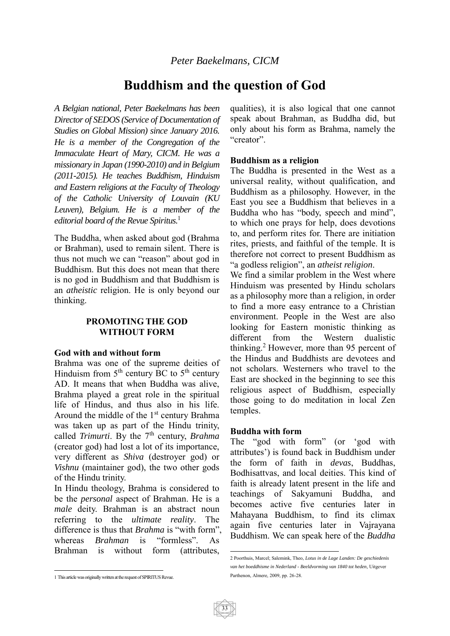# **Buddhism and the question of God**

*A Belgian national, Peter Baekelmans has been Director of SEDOS (Service of Documentation of Studies on Global Mission) since January 2016. He is a member of the Congregation of the Immaculate Heart of Mary, CICM. He was a missionary in Japan (1990-2010) and in Belgium (2011-2015). He teaches Buddhism, Hinduism and Eastern religions at the Faculty of Theology of the Catholic University of Louvain (KU Leuven), Belgium. He is a member of the editorial board of the Revue Spiritus.*<sup>1</sup>

The Buddha, when asked about god (Brahma or Brahman), used to remain silent. There is thus not much we can "reason" about god in Buddhism. But this does not mean that there is no god in Buddhism and that Buddhism is an *atheistic* religion. He is only beyond our thinking.

#### **PROMOTING THE GOD WITHOUT FORM**

#### **God with and without form**

Brahma was one of the supreme deities of Hinduism from  $5<sup>th</sup>$  century BC to  $5<sup>th</sup>$  century AD. It means that when Buddha was alive, Brahma played a great role in the spiritual life of Hindus, and thus also in his life. Around the middle of the 1<sup>st</sup> century Brahma was taken up as part of the Hindu trinity, called *Trimurti*. By the 7<sup>th</sup> century, *Brahma* (creator god) had lost a lot of its importance, very different as *Shiva* (destroyer god) or *Vishnu* (maintainer god), the two other gods of the Hindu trinity.

In Hindu theology, Brahma is considered to be the *personal* aspect of Brahman. He is a *male* deity. Brahman is an abstract noun referring to the *ultimate reality*. The difference is thus that *Brahma* is "with form", whereas *Brahman* is "formless". As Brahman is without form (attributes,

qualities), it is also logical that one cannot speak about Brahman, as Buddha did, but only about his form as Brahma, namely the "creator".

#### **Buddhism as a religion**

The Buddha is presented in the West as a universal reality, without qualification, and Buddhism as a philosophy. However, in the East you see a Buddhism that believes in a Buddha who has "body, speech and mind", to which one prays for help, does devotions to, and perform rites for. There are initiation rites, priests, and faithful of the temple. It is therefore not correct to present Buddhism as "a godless religion", an *atheist religion*.

We find a similar problem in the West where Hinduism was presented by Hindu scholars as a philosophy more than a religion, in order to find a more easy entrance to a Christian environment. People in the West are also looking for Eastern monistic thinking as different from the Western dualistic thinking.<sup>2</sup> However, more than 95 percent of the Hindus and Buddhists are devotees and not scholars. Westerners who travel to the East are shocked in the beginning to see this religious aspect of Buddhism, especially those going to do meditation in local Zen temples.

#### **Buddha with form**

The "god with form" (or 'god with attributes') is found back in Buddhism under the form of faith in *devas*, Buddhas, Bodhisattvas, and local deities. This kind of faith is already latent present in the life and teachings of Sakyamuni Buddha, and becomes active five centuries later in Mahayana Buddhism, to find its climax again five centuries later in Vajrayana Buddhism. We can speak here of the *Buddha* 

 2 Poorthuis, Marcel; Salemink, Theo, *Lotus in de Lage Landen: De geschiedenis van het boeddhisme in Nederland - Beeldvorming van 1840 tot heden,* Uitgever Parthenon, Almere, 2009, pp. 26-28.

 1 This article was originally written at the request of SPIRITUS Revue.

<sup>33</sup>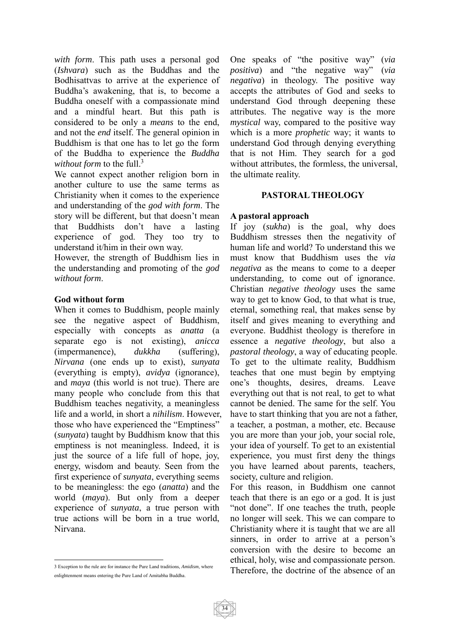*with form*. This path uses a personal god (*Ishvara*) such as the Buddhas and the Bodhisattvas to arrive at the experience of Buddha's awakening, that is, to become a Buddha oneself with a compassionate mind and a mindful heart. But this path is considered to be only a *means* to the end, and not the *end* itself. The general opinion in Buddhism is that one has to let go the form of the Buddha to experience the *Buddha without form* to the full.3

We cannot expect another religion born in another culture to use the same terms as Christianity when it comes to the experience and understanding of the *god with form*. The story will be different, but that doesn't mean that Buddhists don't have a lasting experience of god. They too try to understand it/him in their own way.

However, the strength of Buddhism lies in the understanding and promoting of the *god without form*.

#### **God without form**

When it comes to Buddhism, people mainly see the negative aspect of Buddhism, especially with concepts as *anatta* (a separate ego is not existing), *anicca* (impermanence), *dukkha* (suffering), *Nirvana* (one ends up to exist), *sunyata* (everything is empty), *avidya* (ignorance), and *maya* (this world is not true). There are many people who conclude from this that Buddhism teaches negativity, a meaningless life and a world, in short a *nihilism*. However, those who have experienced the "Emptiness" (*sunyata*) taught by Buddhism know that this emptiness is not meaningless. Indeed, it is just the source of a life full of hope, joy, energy, wisdom and beauty. Seen from the first experience of *sunyata*, everything seems to be meaningless: the ego (*anatta*) and the world (*maya*). But only from a deeper experience of *sunyata*, a true person with true actions will be born in a true world, Nirvana.

One speaks of "the positive way" (*via positiva*) and "the negative way" (*via negativa*) in theology. The positive way accepts the attributes of God and seeks to understand God through deepening these attributes. The negative way is the more *mystical* way, compared to the positive way which is a more *prophetic* way; it wants to understand God through denying everything that is not Him. They search for a god without attributes, the formless, the universal, the ultimate reality.

#### **PASTORAL THEOLOGY**

#### **A pastoral approach**

If joy (*sukha*) is the goal, why does Buddhism stresses then the negativity of human life and world? To understand this we must know that Buddhism uses the *via negativa* as the means to come to a deeper understanding, to come out of ignorance. Christian *negative theology* uses the same way to get to know God, to that what is true, eternal, something real, that makes sense by itself and gives meaning to everything and everyone. Buddhist theology is therefore in essence a *negative theology*, but also a *pastoral theology*, a way of educating people. To get to the ultimate reality, Buddhism teaches that one must begin by emptying one's thoughts, desires, dreams. Leave everything out that is not real, to get to what cannot be denied. The same for the self. You have to start thinking that you are not a father, a teacher, a postman, a mother, etc. Because you are more than your job, your social role, your idea of yourself. To get to an existential experience, you must first deny the things you have learned about parents, teachers, society, culture and religion.

For this reason, in Buddhism one cannot teach that there is an ego or a god. It is just "not done". If one teaches the truth, people no longer will seek. This we can compare to Christianity where it is taught that we are all sinners, in order to arrive at a person's conversion with the desire to become an ethical, holy, wise and compassionate person. Therefore, the doctrine of the absence of an

 $\overline{a}$ 3 Exception to the rule are for instance the Pure Land traditions, *Amidism*, where enlightenment means entering the Pure Land of Amitabha Buddha.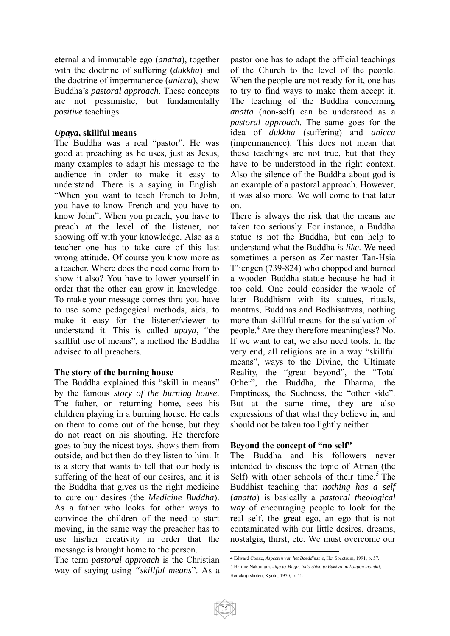eternal and immutable ego (*anatta*), together with the doctrine of suffering (*dukkha*) and the doctrine of impermanence (*anicca*), show Buddha's *pastoral approach*. These concepts are not pessimistic, but fundamentally *positive* teachings.

#### *Upaya***, skillful means**

The Buddha was a real "pastor". He was good at preaching as he uses, just as Jesus, many examples to adapt his message to the audience in order to make it easy to understand. There is a saying in English: "When you want to teach French to John, you have to know French and you have to know John". When you preach, you have to preach at the level of the listener, not showing off with your knowledge. Also as a teacher one has to take care of this last wrong attitude. Of course you know more as a teacher. Where does the need come from to show it also? You have to lower yourself in order that the other can grow in knowledge. To make your message comes thru you have to use some pedagogical methods, aids, to make it easy for the listener/viewer to understand it. This is called *upaya*, "the skillful use of means", a method the Buddha advised to all preachers.

#### **The story of the burning house**

The Buddha explained this "skill in means" by the famous *story of the burning house*. The father, on returning home, sees his children playing in a burning house. He calls on them to come out of the house, but they do not react on his shouting. He therefore goes to buy the nicest toys, shows them from outside, and but then do they listen to him. It is a story that wants to tell that our body is suffering of the heat of our desires, and it is the Buddha that gives us the right medicine to cure our desires (the *Medicine Buddha*). As a father who looks for other ways to convince the children of the need to start moving, in the same way the preacher has to use his/her creativity in order that the message is brought home to the person.

The term *pastoral approach* is the Christian way of saying using *"skillful means*". As a

pastor one has to adapt the official teachings of the Church to the level of the people. When the people are not ready for it, one has to try to find ways to make them accept it. The teaching of the Buddha concerning *anatta* (non-self) can be understood as a *pastoral approach*. The same goes for the idea of *dukkha* (suffering) and *anicca* (impermanence). This does not mean that these teachings are not true, but that they have to be understood in the right context. Also the silence of the Buddha about god is an example of a pastoral approach. However, it was also more. We will come to that later on.

There is always the risk that the means are taken too seriously. For instance, a Buddha statue *is* not the Buddha, but can help to understand what the Buddha *is like*. We need sometimes a person as Zenmaster Tan-Hsia T'iengen (739-824) who chopped and burned a wooden Buddha statue because he had it too cold. One could consider the whole of later Buddhism with its statues, rituals, mantras, Buddhas and Bodhisattvas, nothing more than skillful means for the salvation of people.<sup>4</sup> Are they therefore meaningless? No. If we want to eat, we also need tools. In the very end, all religions are in a way "skillful means", ways to the Divine, the Ultimate Reality, the "great beyond", the "Total Other", the Buddha, the Dharma, the Emptiness, the Suchness, the "other side". But at the same time, they are also expressions of that what they believe in, and should not be taken too lightly neither.

#### **Beyond the concept of "no self"**

The Buddha and his followers never intended to discuss the topic of Atman (the Self) with other schools of their time.<sup>5</sup> The Buddhist teaching that *nothing has a self* (*anatta*) is basically a *pastoral theological way* of encouraging people to look for the real self, the great ego, an ego that is not contaminated with our little desires, dreams, nostalgia, thirst, etc. We must overcome our

 4 Edward Conze, *Aspecten van het Boeddhisme*, Het Spectrum, 1991, p. 57. 5 Hajime Nakamura, *Jiga to Muga, Indo shiso to Bukkyo no konpon mondai*, Heirakuji shoten, Kyoto, 1970, p. 51.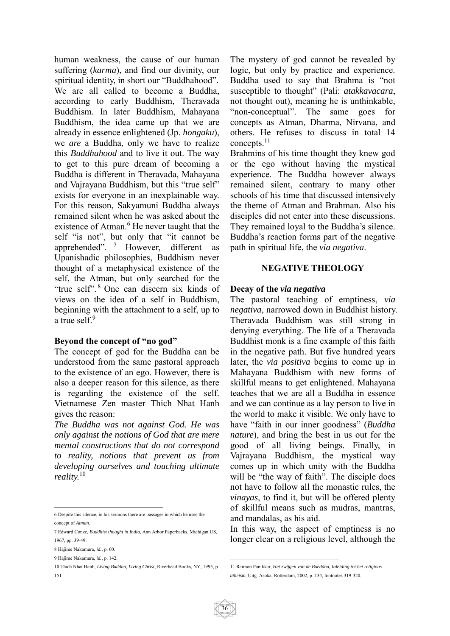human weakness, the cause of our human suffering (*karma*), and find our divinity, our spiritual identity, in short our "Buddhahood". We are all called to become a Buddha, according to early Buddhism, Theravada Buddhism. In later Buddhism, Mahayana Buddhism, the idea came up that we are already in essence enlightened (Jp. *hongaku*), we *are* a Buddha, only we have to realize this *Buddhahood* and to live it out. The way to get to this pure dream of becoming a Buddha is different in Theravada, Mahayana and Vajrayana Buddhism, but this "true self" exists for everyone in an inexplainable way. For this reason, Sakyamuni Buddha always remained silent when he was asked about the existence of Atman.<sup>6</sup> He never taught that the self "is not", but only that "it cannot be apprehended". 7 However, different as Upanishadic philosophies, Buddhism never thought of a metaphysical existence of the self, the Atman, but only searched for the "true self". 8 One can discern six kinds of views on the idea of a self in Buddhism, beginning with the attachment to a self, up to a true self.<sup>9</sup>

#### **Beyond the concept of "no god"**

The concept of god for the Buddha can be understood from the same pastoral approach to the existence of an ego. However, there is also a deeper reason for this silence, as there is regarding the existence of the self. Vietnamese Zen master Thich Nhat Hanh gives the reason:

*The Buddha was not against God. He was only against the notions of God that are mere mental constructions that do not correspond to reality, notions that prevent us from developing ourselves and touching ultimate reality.*<sup>10</sup>

 $\overline{a}$ 

The mystery of god cannot be revealed by logic, but only by practice and experience. Buddha used to say that Brahma is "not susceptible to thought" (Pali: *atakkavacara*, not thought out), meaning he is unthinkable, "non-conceptual". The same goes for concepts as Atman, Dharma, Nirvana, and others. He refuses to discuss in total 14 concepts.11

Brahmins of his time thought they knew god or the ego without having the mystical experience. The Buddha however always remained silent, contrary to many other schools of his time that discussed intensively the theme of Atman and Brahman. Also his disciples did not enter into these discussions. They remained loyal to the Buddha's silence. Buddha's reaction forms part of the negative path in spiritual life, the *via negativa*.

#### **NEGATIVE THEOLOGY**

#### **Decay of the** *via negativa*

The pastoral teaching of emptiness, *via negativa*, narrowed down in Buddhist history. Theravada Buddhism was still strong in denying everything. The life of a Theravada Buddhist monk is a fine example of this faith in the negative path. But five hundred years later, the *via positiva* begins to come up in Mahayana Buddhism with new forms of skillful means to get enlightened. Mahayana teaches that we are all a Buddha in essence and we can continue as a lay person to live in the world to make it visible. We only have to have "faith in our inner goodness" (*Buddha nature*), and bring the best in us out for the good of all living beings. Finally, in Vajrayana Buddhism, the mystical way comes up in which unity with the Buddha will be "the way of faith". The disciple does not have to follow all the monastic rules, the *vinayas*, to find it, but will be offered plenty of skillful means such as mudras, mantras, and mandalas, as his aid.

In this way, the aspect of emptiness is no longer clear on a religious level, although the

<sup>6</sup> Despite this silence, in his sermons there are passages in which he uses the concept of *Atman*.

<sup>7</sup> Edward Conze, *Buddhist thought in India*, Ann Arbor Paperbacks, Michigan US, 1967, pp. 39-49.

<sup>8</sup> Hajime Nakamura, *id.*, p. 60.

<sup>9</sup> Hajime Nakamura, *id.*, p. 142.

<sup>10</sup> Thich Nhat Hanh, *Living Buddha, Living Christ*, Riverhead Books, NY, 1995, p. 151.

<sup>1</sup> 11 Raimon Panikkar, *Het zwijgen van de Boeddha, Inleiding tot het religious atheism*, Uitg. Asoka, Rotterdam, 2002, p. 134, footnotes 319-320.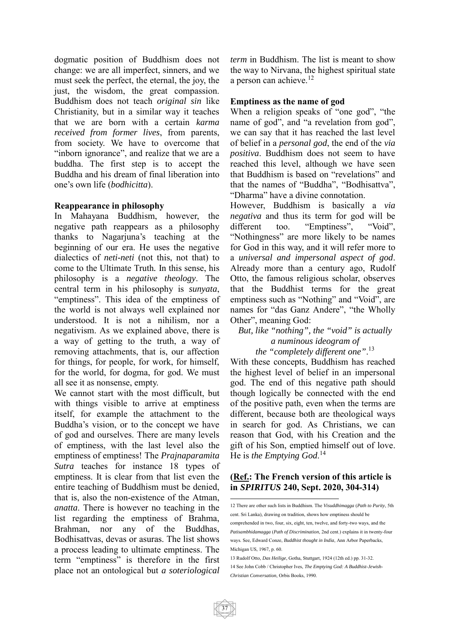dogmatic position of Buddhism does not change: we are all imperfect, sinners, and we must seek the perfect, the eternal, the joy, the just, the wisdom, the great compassion. Buddhism does not teach *original sin* like Christianity, but in a similar way it teaches that we are born with a certain *karma received from former lives*, from parents, from society. We have to overcome that "inborn ignorance", and realize that we are a buddha. The first step is to accept the Buddha and his dream of final liberation into one's own life (*bodhicitta*).

#### **Reappearance in philosophy**

In Mahayana Buddhism, however, the negative path reappears as a philosophy thanks to Nagarjuna's teaching at the beginning of our era. He uses the negative dialectics of *neti-neti* (not this, not that) to come to the Ultimate Truth*.* In this sense, his philosophy is a *negative theology*. The central term in his philosophy is *sunyata*, "emptiness". This idea of the emptiness of the world is not always well explained nor understood. It is not a nihilism, nor a negativism. As we explained above, there is a way of getting to the truth, a way of removing attachments, that is, our affection for things, for people, for work, for himself, for the world, for dogma, for god. We must all see it as nonsense, empty.

We cannot start with the most difficult, but with things visible to arrive at emptiness itself, for example the attachment to the Buddha's vision, or to the concept we have of god and ourselves. There are many levels of emptiness, with the last level also the emptiness of emptiness! The *Prajnaparamita Sutra* teaches for instance 18 types of emptiness. It is clear from that list even the entire teaching of Buddhism must be denied, that is, also the non-existence of the Atman, *anatta*. There is however no teaching in the list regarding the emptiness of Brahma, Brahman, nor any of the Buddhas, Bodhisattvas, devas or asuras. The list shows a process leading to ultimate emptiness. The term "emptiness" is therefore in the first place not an ontological but *a soteriological*  *term* in Buddhism. The list is meant to show the way to Nirvana, the highest spiritual state a person can achieve. $12$ 

#### **Emptiness as the name of god**

When a religion speaks of "one god", "the name of god", and "a revelation from god", we can say that it has reached the last level of belief in a *personal god*, the end of the *via positiva*. Buddhism does not seem to have reached this level, although we have seen that Buddhism is based on "revelations" and that the names of "Buddha", "Bodhisattva", "Dharma" have a divine connotation.

However, Buddhism is basically a *via negativa* and thus its term for god will be different too. "Emptiness", "Void", "Nothingness" are more likely to be names for God in this way, and it will refer more to a *universal and impersonal aspect of god*. Already more than a century ago, Rudolf Otto, the famous religious scholar, observes that the Buddhist terms for the great emptiness such as "Nothing" and "Void", are names for "das Ganz Andere", "the Wholly Other", meaning God:

#### *But, like "nothing", the "void" is actually a numinous ideogram of the "completely different one"*. 13

With these concepts, Buddhism has reached the highest level of belief in an impersonal god. The end of this negative path should though logically be connected with the end of the positive path, even when the terms are different, because both are theological ways in search for god. As Christians, we can reason that God, with his Creation and the gift of his Son, emptied himself out of love. He is *the Emptying God*. 14

#### **(Ref.: The French version of this article is in** *SPIRITUS* **240, Sept. 2020, 304-314)**

<sup>1</sup> 12 There are other such lists in Buddhism. The *Visuddhimagga* (*Path to Purity*, 5th cent. Sri Lanka), drawing on tradition, shows how emptiness should be comprehended in two, four, six, eight, ten, twelve, and forty-two ways, and the *Patisambhidamagga* (*Path of Discrimination*, 2nd cent.) explains it in twenty-four ways. See, Edward Conze, *Buddhist thought in India*, Ann Arbor Paperbacks, Michigan US, 1967, p. 60.

<sup>13</sup> Rudolf Otto, *Das Heilige*, Gotha, Stuttgart, 1924 (12th ed.) pp. 31-32. 14 See John Cobb / Christopher Ives, *The Emptying God: A Buddhist-Jewish-Christian Conversation*, Orbis Books, 1990.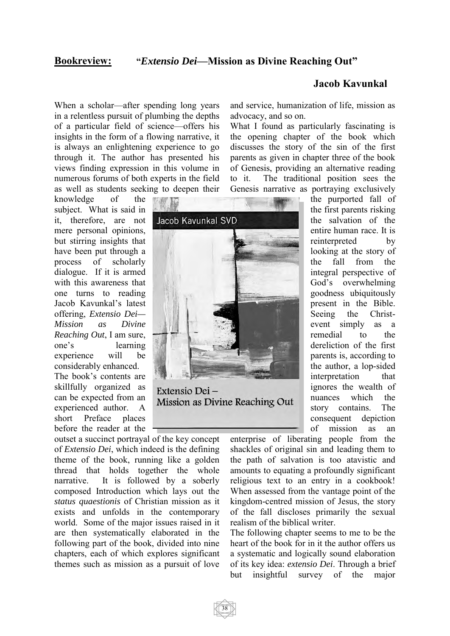#### **Bookreview: "***Extensio Dei***—Mission as Divine Reaching Out"**

When a scholar—after spending long years in a relentless pursuit of plumbing the depths of a particular field of science—offers his insights in the form of a flowing narrative, it is always an enlightening experience to go through it. The author has presented his views finding expression in this volume in numerous forums of both experts in the field as well as students seeking to deepen their

Jacob Kavunkal SVD

Extensio Dei-

Mission as Divine Reaching Out

knowledge of the subject. What is said in it, therefore, are not mere personal opinions, but stirring insights that have been put through a process of scholarly dialogue. If it is armed with this awareness that one turns to reading Jacob Kavunkal's latest offering, *Extensio Dei— Mission as Divine Reaching Out*, I am sure, one's learning experience will be considerably enhanced. The book's contents are skillfully organized as can be expected from an experienced author. A short Preface places

before the reader at the

outset a succinct portrayal of the key concept of *Extensio Dei*, which indeed is the defining theme of the book, running like a golden thread that holds together the whole narrative. It is followed by a soberly composed Introduction which lays out the *status quaestionis* of Christian mission as it exists and unfolds in the contemporary world. Some of the major issues raised in it are then systematically elaborated in the following part of the book, divided into nine chapters, each of which explores significant themes such as mission as a pursuit of love

#### **Jacob Kavunkal**

and service, humanization of life, mission as advocacy, and so on.

What I found as particularly fascinating is the opening chapter of the book which discusses the story of the sin of the first parents as given in chapter three of the book of Genesis, providing an alternative reading to it. The traditional position sees the Genesis narrative as portraying exclusively



enterprise of liberating people from the shackles of original sin and leading them to the path of salvation is too atavistic and amounts to equating a profoundly significant religious text to an entry in a cookbook! When assessed from the vantage point of the kingdom-centred mission of Jesus, the story of the fall discloses primarily the sexual realism of the biblical writer.

The following chapter seems to me to be the heart of the book for in it the author offers us a systematic and logically sound elaboration of its key idea: *extensio Dei*. Through a brief but insightful survey of the major

38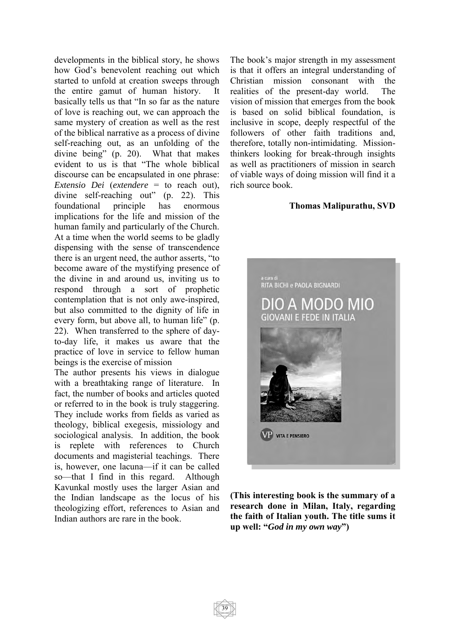developments in the biblical story, he shows how God's benevolent reaching out which started to unfold at creation sweeps through the entire gamut of human history. It basically tells us that "In so far as the nature of love is reaching out, we can approach the same mystery of creation as well as the rest of the biblical narrative as a process of divine self-reaching out, as an unfolding of the divine being" (p. 20). What that makes evident to us is that "The whole biblical discourse can be encapsulated in one phrase: *Extensio Dei* (*extendere* = to reach out), divine self-reaching out" (p. 22). This foundational principle has enormous implications for the life and mission of the human family and particularly of the Church. At a time when the world seems to be gladly dispensing with the sense of transcendence there is an urgent need, the author asserts, "to become aware of the mystifying presence of the divine in and around us, inviting us to respond through a sort of prophetic contemplation that is not only awe-inspired, but also committed to the dignity of life in every form, but above all, to human life" (p. 22). When transferred to the sphere of dayto-day life, it makes us aware that the practice of love in service to fellow human beings is the exercise of mission

The author presents his views in dialogue with a breathtaking range of literature. In fact, the number of books and articles quoted or referred to in the book is truly staggering. They include works from fields as varied as theology, biblical exegesis, missiology and sociological analysis. In addition, the book is replete with references to Church documents and magisterial teachings. There is, however, one lacuna—if it can be called so—that I find in this regard. Although Kavunkal mostly uses the larger Asian and the Indian landscape as the locus of his theologizing effort, references to Asian and Indian authors are rare in the book.

The book's major strength in my assessment is that it offers an integral understanding of Christian mission consonant with the realities of the present-day world. The vision of mission that emerges from the book is based on solid biblical foundation, is inclusive in scope, deeply respectful of the followers of other faith traditions and, therefore, totally non-intimidating. Missionthinkers looking for break-through insights as well as practitioners of mission in search of viable ways of doing mission will find it a rich source book.

#### **Thomas Malipurathu, SVD**



**(This interesting book is the summary of a research done in Milan, Italy, regarding the faith of Italian youth. The title sums it up well: "***God in my own way***")**

39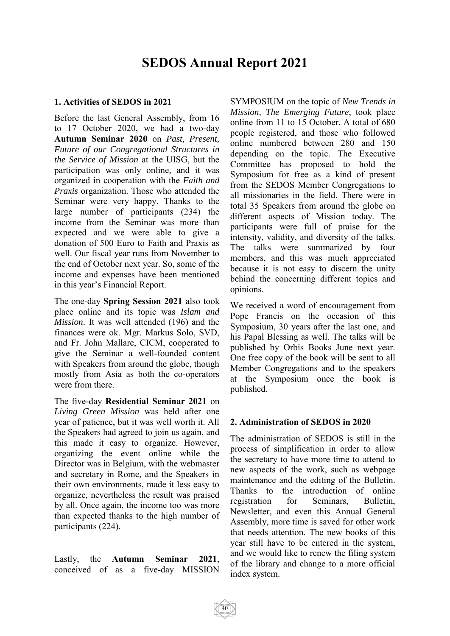# **SEDOS Annual Report 2021**

#### **1. Activities of SEDOS in 2021**

Before the last General Assembly, from 16 to 17 October 2020, we had a two-day **Autumn Seminar 2020** on *Past, Present, Future of our Congregational Structures in the Service of Mission* at the UISG, but the participation was only online, and it was organized in cooperation with the *Faith and Praxis* organization. Those who attended the Seminar were very happy. Thanks to the large number of participants (234) the income from the Seminar was more than expected and we were able to give a donation of 500 Euro to Faith and Praxis as well. Our fiscal year runs from November to the end of October next year. So, some of the income and expenses have been mentioned in this year's Financial Report.

The one-day **Spring Session 2021** also took place online and its topic was *Islam and Mission*. It was well attended (196) and the finances were ok. Mgr. Markus Solo, SVD, and Fr. John Mallare, CICM, cooperated to give the Seminar a well-founded content with Speakers from around the globe, though mostly from Asia as both the co-operators were from there.

The five-day **Residential Seminar 2021** on *Living Green Mission* was held after one year of patience, but it was well worth it. All the Speakers had agreed to join us again, and this made it easy to organize. However, organizing the event online while the Director was in Belgium, with the webmaster and secretary in Rome, and the Speakers in their own environments, made it less easy to organize, nevertheless the result was praised by all. Once again, the income too was more than expected thanks to the high number of participants (224).

Lastly, the **Autumn Seminar 2021**, conceived of as a five-day MISSION

SYMPOSIUM on the topic of *New Trends in Mission, The Emerging Future*, took place online from 11 to 15 October. A total of 680 people registered, and those who followed online numbered between 280 and 150 depending on the topic. The Executive Committee has proposed to hold the Symposium for free as a kind of present from the SEDOS Member Congregations to all missionaries in the field. There were in total 35 Speakers from around the globe on different aspects of Mission today. The participants were full of praise for the intensity, validity, and diversity of the talks. The talks were summarized by four members, and this was much appreciated because it is not easy to discern the unity behind the concerning different topics and opinions.

We received a word of encouragement from Pope Francis on the occasion of this Symposium, 30 years after the last one, and his Papal Blessing as well. The talks will be published by Orbis Books June next year. One free copy of the book will be sent to all Member Congregations and to the speakers at the Symposium once the book is published.

#### **2. Administration of SEDOS in 2020**

The administration of SEDOS is still in the process of simplification in order to allow the secretary to have more time to attend to new aspects of the work, such as webpage maintenance and the editing of the Bulletin. Thanks to the introduction of online registration for Seminars, Bulletin, Newsletter, and even this Annual General Assembly, more time is saved for other work that needs attention. The new books of this year still have to be entered in the system, and we would like to renew the filing system of the library and change to a more official index system.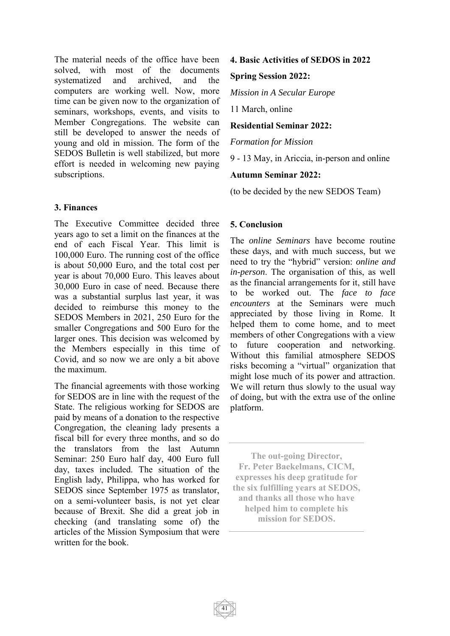The material needs of the office have been solved, with most of the documents systematized and archived, and the computers are working well. Now, more time can be given now to the organization of seminars, workshops, events, and visits to Member Congregations. The website can still be developed to answer the needs of young and old in mission. The form of the SEDOS Bulletin is well stabilized, but more effort is needed in welcoming new paying subscriptions.

#### **3. Finances**

The Executive Committee decided three years ago to set a limit on the finances at the end of each Fiscal Year. This limit is 100,000 Euro. The running cost of the office is about 50,000 Euro, and the total cost per year is about 70,000 Euro. This leaves about 30,000 Euro in case of need. Because there was a substantial surplus last year, it was decided to reimburse this money to the SEDOS Members in 2021, 250 Euro for the smaller Congregations and 500 Euro for the larger ones. This decision was welcomed by the Members especially in this time of Covid, and so now we are only a bit above the maximum.

The financial agreements with those working for SEDOS are in line with the request of the State. The religious working for SEDOS are paid by means of a donation to the respective Congregation, the cleaning lady presents a fiscal bill for every three months, and so do the translators from the last Autumn Seminar: 250 Euro half day, 400 Euro full day, taxes included. The situation of the English lady, Philippa, who has worked for SEDOS since September 1975 as translator, on a semi-volunteer basis, is not yet clear because of Brexit. She did a great job in checking (and translating some of) the articles of the Mission Symposium that were written for the book.

#### **4. Basic Activities of SEDOS in 2022**

#### **Spring Session 2022:**

*Mission in A Secular Europe*

11 March, online

**Residential Seminar 2022:** 

*Formation for Mission*

9 - 13 May, in Ariccia, in-person and online

#### **Autumn Seminar 2022:**

(to be decided by the new SEDOS Team)

#### **5. Conclusion**

The *online Seminars* have become routine these days, and with much success, but we need to try the "hybrid" version: *online and in-person*. The organisation of this, as well as the financial arrangements for it, still have to be worked out. The *face to face encounters* at the Seminars were much appreciated by those living in Rome. It helped them to come home, and to meet members of other Congregations with a view to future cooperation and networking. Without this familial atmosphere SEDOS risks becoming a "virtual" organization that might lose much of its power and attraction. We will return thus slowly to the usual way of doing, but with the extra use of the online platform.

**The out-going Director, Fr. Peter Baekelmans, CICM, expresses his deep gratitude for the six fulfilling years at SEDOS, and thanks all those who have helped him to complete his mission for SEDOS.**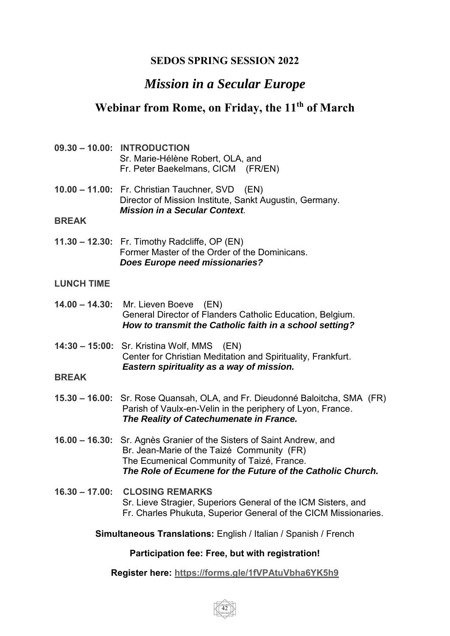## **SEDOS SPRING SESSION 2022**

# *Mission in a Secular Europe*

# **Webinar from Rome, on Friday, the 11th of March**

- **09.30 – 10.00: INTRODUCTION** Sr. Marie-Hélène Robert, OLA, and Fr. Peter Baekelmans, CICM (FR/EN)
- **10.00 – 11.00:** Fr. Christian Tauchner, SVD (EN) Director of Mission Institute, Sankt Augustin, Germany. *Mission in a Secular Context.*

#### **BREAK**

**11.30 – 12.30:** Fr. Timothy Radcliffe, OP (EN) Former Master of the Order of the Dominicans. *Does Europe need missionaries?*

#### **LUNCH TIME**

- **14.00 – 14.30:** Mr. Lieven Boeve (EN) General Director of Flanders Catholic Education, Belgium.  *How to transmit the Catholic faith in a school setting?*
- **14:30 – 15:00:** Sr. Kristina Wolf, MMS (EN) Center for Christian Meditation and Spirituality, Frankfurt. *Eastern spirituality as a way of mission.*

#### **BREAK**

- **15.30 – 16.00:** Sr. Rose Quansah, OLA, and Fr. Dieudonné Baloitcha, SMA (FR) Parish of Vaulx-en-Velin in the periphery of Lyon, France.  *The Reality of Catechumenate in France.*
- **16.00 – 16.30:** Sr. Agnès Granier of the Sisters of Saint Andrew, and Br. Jean-Marie of the Taizé Community (FR) The Ecumenical Community of Taizé, France. *The Role of Ecumene for the Future of the Catholic Church.*
- **16.30 – 17.00: CLOSING REMARKS** Sr. Lieve Stragier, Superiors General of the ICM Sisters, and Fr. Charles Phukuta, Superior General of the CICM Missionaries.
	- **Simultaneous Translations:** English / Italian / Spanish / French

#### **Participation fee: Free, but with registration!**

#### **Register here: https://forms.gle/1fVPAtuVbha6YK5h9**

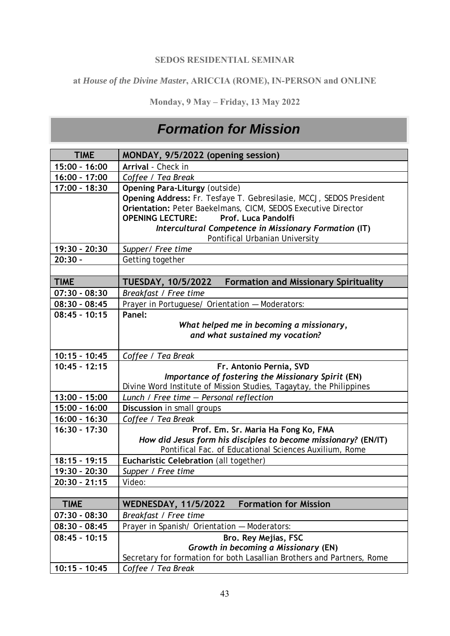#### **SEDOS RESIDENTIAL SEMINAR**

### **at** *House of the Divine Master***, ARICCIA (ROME), IN-PERSON and ONLINE**

**Monday, 9 May – Friday, 13 May 2022** 

# *Formation for Mission*

| <b>TIME</b>     | MONDAY, 9/5/2022 (opening session)                                        |
|-----------------|---------------------------------------------------------------------------|
| 15:00 - 16:00   | Arrival - Check in                                                        |
| 16:00 - 17:00   | Coffee / Tea Break                                                        |
| 17:00 - 18:30   | <b>Opening Para-Liturgy (outside)</b>                                     |
|                 | Opening Address: Fr. Tesfaye T. Gebresilasie, MCCJ, SEDOS President       |
|                 | Orientation: Peter Baekelmans, CICM, SEDOS Executive Director             |
|                 | Prof. Luca Pandolfi<br><b>OPENING LECTURE:</b>                            |
|                 | Intercultural Competence in Missionary Formation (IT)                     |
|                 | Pontifical Urbanian University                                            |
| 19:30 - 20:30   | Supper/ Free time                                                         |
| $20:30 -$       | Getting together                                                          |
|                 |                                                                           |
| <b>TIME</b>     | <b>TUESDAY, 10/5/2022</b><br><b>Formation and Missionary Spirituality</b> |
| $07:30 - 08:30$ | Breakfast / Free time                                                     |
| $08:30 - 08:45$ | Prayer in Portuguese/ Orientation - Moderators:                           |
| $08:45 - 10:15$ | Panel:                                                                    |
|                 | What helped me in becoming a missionary,                                  |
|                 | and what sustained my vocation?                                           |
|                 |                                                                           |
| $10:15 - 10:45$ | Coffee / Tea Break                                                        |
| $10:45 - 12:15$ | Fr. Antonio Pernia, SVD                                                   |
|                 | Importance of fostering the Missionary Spirit (EN)                        |
|                 | Divine Word Institute of Mission Studies, Tagaytay, the Philippines       |
| $13:00 - 15:00$ | Lunch / Free time - Personal reflection                                   |
| 15:00 - 16:00   | Discussion in small groups                                                |
| $16:00 - 16:30$ | Coffee / Tea Break                                                        |
| $16:30 - 17:30$ | Prof. Em. Sr. Maria Ha Fong Ko, FMA                                       |
|                 | How did Jesus form his disciples to become missionary? (EN/IT)            |
| $18:15 - 19:15$ | Pontifical Fac. of Educational Sciences Auxilium, Rome                    |
| 19:30 - 20:30   | Eucharistic Celebration (all together)<br>Supper / Free time              |
| $20:30 - 21:15$ | Video:                                                                    |
|                 |                                                                           |
| <b>TIME</b>     | <b>Formation for Mission</b>                                              |
|                 | <b>WEDNESDAY, 11/5/2022</b>                                               |
| $07:30 - 08:30$ | Breakfast / Free time                                                     |
| $08:30 - 08:45$ | Prayer in Spanish/ Orientation - Moderators:                              |
| $08:45 - 10:15$ | Bro. Rey Mejias, FSC                                                      |
|                 | Growth in becoming a Missionary (EN)                                      |
|                 | Secretary for formation for both Lasallian Brothers and Partners, Rome    |
| $10:15 - 10:45$ | Coffee / Tea Break                                                        |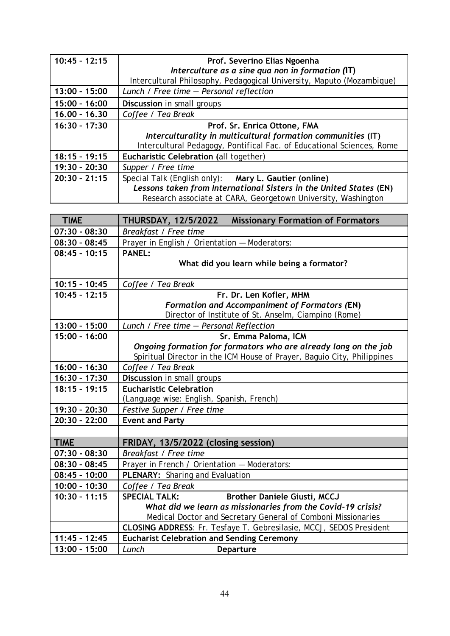| $10:45 - 12:15$ | Prof. Severino Elias Ngoenha                                          |
|-----------------|-----------------------------------------------------------------------|
|                 | Interculture as a sine qua non in formation (IT)                      |
|                 | Intercultural Philosophy, Pedagogical University, Maputo (Mozambique) |
| $13:00 - 15:00$ | Lunch / Free time $-$ Personal reflection                             |
| $15:00 - 16:00$ | Discussion in small groups                                            |
| $16,00 - 16,30$ | Coffee / Tea Break                                                    |
| $16:30 - 17:30$ | Prof. Sr. Enrica Ottone, FMA                                          |
|                 | Interculturality in multicultural formation communities (IT)          |
|                 | Intercultural Pedagogy, Pontifical Fac. of Educational Sciences, Rome |
| $18:15 - 19:15$ | Eucharistic Celebration (all together)                                |
| 19:30 - 20:30   | Supper / Free time                                                    |
| $20:30 - 21:15$ | Special Talk (English only): Mary L. Gautier (online)                 |
|                 | Lessons taken from International Sisters in the United States (EN)    |
|                 | Research associate at CARA, Georgetown University, Washington         |

| <b>TIME</b>     | <b>Missionary Formation of Formators</b><br><b>THURSDAY, 12/5/2022</b>  |
|-----------------|-------------------------------------------------------------------------|
| $07:30 - 08:30$ | Breakfast / Free time                                                   |
| $08:30 - 08:45$ | Prayer in English / Orientation - Moderators:                           |
| $08:45 - 10:15$ | <b>PANEL:</b>                                                           |
|                 | What did you learn while being a formator?                              |
|                 |                                                                         |
| $10:15 - 10:45$ | Coffee / Tea Break                                                      |
| $10:45 - 12:15$ | Fr. Dr. Len Kofler, MHM                                                 |
|                 | <b>Formation and Accompaniment of Formators (EN)</b>                    |
|                 | Director of Institute of St. Anselm, Ciampino (Rome)                    |
| $13:00 - 15:00$ | Lunch / Free time - Personal Reflection                                 |
| $15:00 - 16:00$ | Sr. Emma Paloma, ICM                                                    |
|                 | Ongoing formation for formators who are already long on the job         |
|                 | Spiritual Director in the ICM House of Prayer, Baguio City, Philippines |
| $16:00 - 16:30$ | Coffee / Tea Break                                                      |
| $16:30 - 17:30$ | Discussion in small groups                                              |
| $18:15 - 19:15$ | <b>Eucharistic Celebration</b>                                          |
|                 | (Language wise: English, Spanish, French)                               |
| 19:30 - 20:30   | Festive Supper / Free time                                              |
| 20:30 - 22:00   | <b>Event and Party</b>                                                  |
|                 |                                                                         |
| <b>TIME</b>     | FRIDAY, 13/5/2022 (closing session)                                     |
| $07:30 - 08:30$ | Breakfast / Free time                                                   |
| $08:30 - 08:45$ | Prayer in French / Orientation - Moderators:                            |
| $08:45 - 10:00$ | PLENARY: Sharing and Evaluation                                         |
| $10:00 - 10:30$ | Coffee / Tea Break                                                      |
| $10:30 - 11:15$ | <b>SPECIAL TALK:</b><br><b>Brother Daniele Giusti, MCCJ</b>             |
|                 | What did we learn as missionaries from the Covid-19 crisis?             |
|                 | Medical Doctor and Secretary General of Comboni Missionaries            |
|                 | CLOSING ADDRESS: Fr. Tesfaye T. Gebresilasie, MCCJ, SEDOS President     |
| $11:45 - 12:45$ | <b>Eucharist Celebration and Sending Ceremony</b>                       |
| 13:00 - 15:00   | Lunch<br>Departure                                                      |